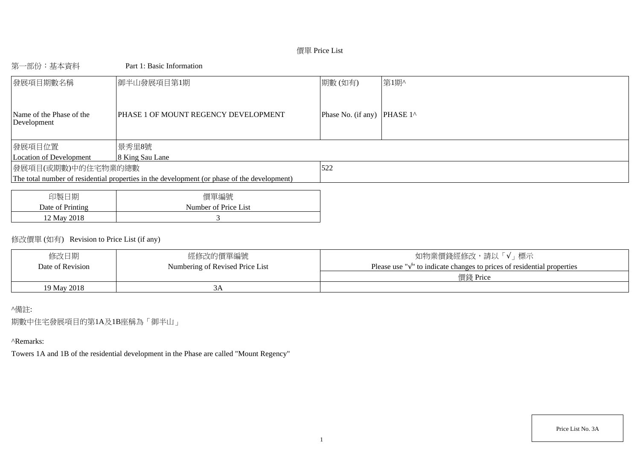# 價單 Price List

# 第一部份:基本資料 Part 1: Basic Information

| 發展項目期數名稱                                | 御半山發展項目第1期                                                                                  | 期數(如有)                                | 第1期^ |
|-----------------------------------------|---------------------------------------------------------------------------------------------|---------------------------------------|------|
| Name of the Phase of the<br>Development | PHASE 1 OF MOUNT REGENCY DEVELOPMENT                                                        | Phase No. (if any) PHASE $1^{\wedge}$ |      |
| 發展項目位置                                  | 景秀里8號                                                                                       |                                       |      |
| Location of Development                 | 8 King Sau Lane                                                                             |                                       |      |
| 發展項目(或期數)中的住宅物業的總數                      |                                                                                             | 522                                   |      |
|                                         | The total number of residential properties in the development (or phase of the development) |                                       |      |
|                                         |                                                                                             |                                       |      |

| 印製<br>日期         | 價單編號                 |
|------------------|----------------------|
| Date of Printing | Number of Price List |
| 12 May 2018      |                      |

# 修改價單 (如有) Revision to Price List (if any)

| 修改日期             | 經修改的價單編號                        | / 標示<br>如物業價錢經修改,請以「√」                                                            |
|------------------|---------------------------------|-----------------------------------------------------------------------------------|
| Date of Revision | Numbering of Revised Price List | Please use " $\sqrt{ }$ " to indicate changes to prices of residential properties |
|                  |                                 | 價錢 Price                                                                          |
| 19 May 2018      |                                 |                                                                                   |

## ^備註:

期數中住宅發展項目的第1A及1B座稱為「御半山」

## ^Remarks:

Towers 1A and 1B of the residential development in the Phase are called "Mount Regency"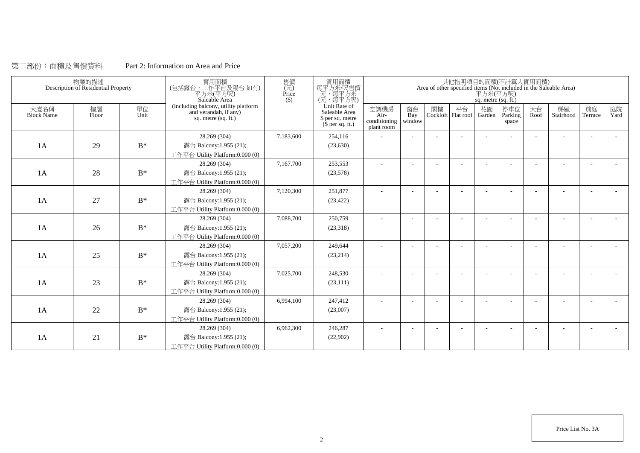# 第二部份:面積及售價資料 Part 2: Information on Area and Price

|                           | 物業的描述<br>Description of Residential Property |                | 實用面積<br>(包括露台,工作平台及陽台 如有)<br>平方米(平方呎)<br>Saleable Area                               | 售價<br>$(\vec{\pi})$<br>Price<br>$($)$ | 實用面積<br>每平方米/呎售價<br>元,每平方米<br>(元,每平方呎)                                        |                                              |                          |    |    | 平方米(平方呎)<br>sq. metre (sq. ft.) | 其他指明項目的面積(不計算入實用面積)      |            | Area of other specified items (Not included in the Saleable Area) |                          |            |
|---------------------------|----------------------------------------------|----------------|--------------------------------------------------------------------------------------|---------------------------------------|-------------------------------------------------------------------------------|----------------------------------------------|--------------------------|----|----|---------------------------------|--------------------------|------------|-------------------------------------------------------------------|--------------------------|------------|
| 大廈名稱<br><b>Block Name</b> | 樓層<br>Floor                                  | 單位<br>Unit     | (including balcony, utility platform<br>and verandah, if any)<br>sq. metre (sq. ft.) |                                       | Unit Rate of<br>Saleable Area<br>\$ per sq. metre<br>$(\bar{\S}$ per sq. ft.) | 空調機房<br>$Air-$<br>conditioning<br>plant room | 窗台<br>Bay<br>window      | 閣樓 | 平台 | 花園<br>Cockloft Flat roof Garden | 停車位<br>Parking<br>space  | 天台<br>Roof | 梯屋<br>Stairhood                                                   | 前庭<br>Terrace            | 庭院<br>Yard |
|                           |                                              |                | 28.269 (304)                                                                         | 7,183,600                             | 254,116                                                                       |                                              |                          |    |    |                                 |                          |            |                                                                   |                          |            |
| 1A                        | 29                                           | $\mathbf{B}^*$ | 露台 Balcony:1.955 (21);                                                               |                                       | (23, 630)                                                                     |                                              |                          |    |    |                                 |                          |            |                                                                   |                          |            |
|                           |                                              |                | 工作平台 Utility Platform:0.000 (0)                                                      |                                       |                                                                               |                                              |                          |    |    |                                 |                          |            |                                                                   |                          |            |
|                           |                                              |                | 28.269 (304)                                                                         | 7,167,700                             | 253,553                                                                       | $\sim$                                       | $\overline{\phantom{a}}$ |    |    |                                 | $\overline{\phantom{a}}$ | ÷          |                                                                   | $\overline{\phantom{a}}$ | $\sim$     |
| 1A                        | 28                                           | $\mathbf{B}^*$ | 露台 Balcony:1.955 (21);                                                               |                                       | (23,578)                                                                      |                                              |                          |    |    |                                 |                          |            |                                                                   |                          |            |
|                           |                                              |                | 工作平台 Utility Platform:0.000 (0)                                                      |                                       |                                                                               |                                              |                          |    |    |                                 |                          |            |                                                                   |                          |            |
|                           |                                              |                | 28.269 (304)                                                                         | 7,120,300                             | 251.877                                                                       |                                              |                          |    |    |                                 |                          |            |                                                                   |                          |            |
| 1A                        | 27                                           | $B^*$          | 露台 Balcony:1.955 (21);                                                               |                                       | (23, 422)                                                                     |                                              |                          |    |    |                                 |                          |            |                                                                   |                          |            |
|                           |                                              |                | 工作平台 Utility Platform:0.000 (0)                                                      |                                       |                                                                               |                                              |                          |    |    |                                 |                          |            |                                                                   |                          |            |
|                           |                                              |                | 28.269 (304)                                                                         | 7,088,700                             | 250,759                                                                       |                                              |                          |    |    |                                 |                          |            |                                                                   |                          |            |
| 1A                        | 26                                           | $B^*$          | 露台 Balcony:1.955 (21);                                                               |                                       | (23,318)                                                                      |                                              |                          |    |    |                                 |                          |            |                                                                   |                          |            |
|                           |                                              |                | 工作平台 Utility Platform:0.000 (0)                                                      |                                       |                                                                               |                                              |                          |    |    |                                 |                          |            |                                                                   |                          |            |
|                           |                                              |                | 28.269 (304)                                                                         | 7,057,200                             | 249,644                                                                       | ٠                                            |                          |    |    |                                 |                          |            |                                                                   |                          |            |
| 1A                        | 25                                           | $B^*$          | 露台 Balcony:1.955 (21);                                                               |                                       | (23,214)                                                                      |                                              |                          |    |    |                                 |                          |            |                                                                   |                          |            |
|                           |                                              |                | 工作平台 Utility Platform:0.000 (0)                                                      |                                       |                                                                               |                                              |                          |    |    |                                 |                          |            |                                                                   |                          |            |
|                           |                                              |                | 28.269 (304)                                                                         | 7,025,700                             | 248,530                                                                       |                                              |                          |    |    |                                 |                          |            |                                                                   |                          |            |
| 1A                        | 23                                           | $B^*$          | 露台 Balcony:1.955 (21);                                                               |                                       | (23, 111)                                                                     |                                              |                          |    |    |                                 |                          |            |                                                                   |                          |            |
|                           |                                              |                | 工作平台 Utility Platform:0.000 (0)                                                      |                                       |                                                                               |                                              |                          |    |    |                                 |                          |            |                                                                   |                          |            |
|                           |                                              |                | 28.269 (304)                                                                         | 6,994,100                             | 247,412                                                                       |                                              |                          |    |    |                                 |                          |            |                                                                   |                          |            |
| 1A                        | 22                                           | $B^*$          | 露台 Balcony:1.955 (21);                                                               |                                       | (23,007)                                                                      |                                              |                          |    |    |                                 |                          |            |                                                                   |                          |            |
|                           |                                              |                | 工作平台 Utility Platform:0.000 (0)                                                      |                                       |                                                                               |                                              |                          |    |    |                                 |                          |            |                                                                   |                          |            |
|                           |                                              |                | 28.269 (304)                                                                         | 6,962,300                             | 246,287                                                                       |                                              |                          |    |    |                                 |                          |            |                                                                   |                          |            |
| 1A                        | 21                                           | $\mathbf{B}^*$ | 露台 Balcony:1.955 (21);                                                               |                                       | (22,902)                                                                      |                                              |                          |    |    |                                 |                          |            |                                                                   |                          |            |
|                           |                                              |                | 工作平台 Utility Platform:0.000 (0)                                                      |                                       |                                                                               |                                              |                          |    |    |                                 |                          |            |                                                                   |                          |            |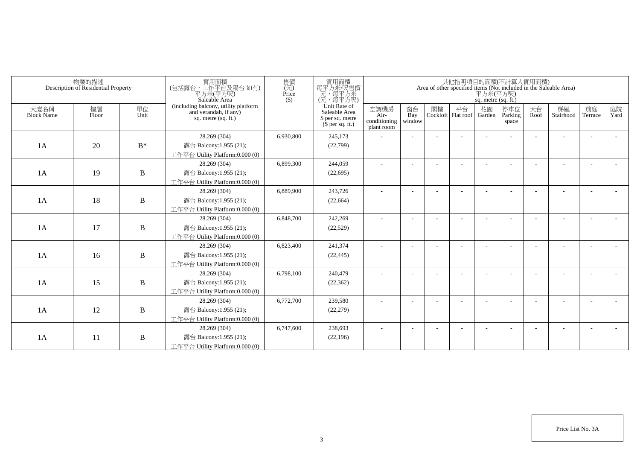|                           | 物業的描述<br>Description of Residential Property |              | 實用面積<br>(包括露台,工作平台及陽台如有)<br>平方米(平方呎)<br>Saleable Area                                  | 售價<br>$(\vec{\pi})$<br>Price<br>$($ \$) | 實用面積<br>每平方米/呎售價<br>一元,每平方米<br>(元,每平方呎)                               |                                            |                          |    |                            | 平方米(平方呎)<br>sq. metre (sq. ft.) | 其他指明項目的面積(不計算入實用面積)     |            | Area of other specified items (Not included in the Saleable Area) |               |            |
|---------------------------|----------------------------------------------|--------------|----------------------------------------------------------------------------------------|-----------------------------------------|-----------------------------------------------------------------------|--------------------------------------------|--------------------------|----|----------------------------|---------------------------------|-------------------------|------------|-------------------------------------------------------------------|---------------|------------|
| 大廈名稱<br><b>Block Name</b> | 樓層<br>Floor                                  | 單位<br>Unit   | (including balcony, utility platform<br>and verandah, if any)<br>sq. metre $(sq, ft.)$ |                                         | Unit Rate of<br>Saleable Area<br>\$ per sq. metre<br>$$$ per sq. ft.) | 空調機房<br>Air-<br>conditioning<br>plant room | 窗台<br>Bay<br>window      | 閣樓 | 平台<br>Cockloft   Flat roof | 花園<br>Garden                    | 停車位<br>Parking<br>space | 天台<br>Roof | 梯屋<br>Stairhood                                                   | 前庭<br>Terrace | 庭院<br>Yard |
|                           |                                              |              | 28.269 (304)                                                                           | 6,930,800                               | 245,173                                                               |                                            |                          |    |                            |                                 |                         |            |                                                                   |               |            |
| 1A                        | 20                                           | $B^*$        | 露台 Balcony:1.955 (21);                                                                 |                                         | (22,799)                                                              |                                            |                          |    |                            |                                 |                         |            |                                                                   |               |            |
|                           |                                              |              | 工作平台 Utility Platform:0.000 (0)                                                        |                                         |                                                                       |                                            |                          |    |                            |                                 |                         |            |                                                                   |               |            |
|                           |                                              |              | 28.269 (304)                                                                           | 6,899,300                               | 244,059                                                               |                                            |                          |    |                            |                                 |                         |            |                                                                   |               |            |
| 1A                        | 19                                           | B            | 露台 Balcony:1.955 (21);                                                                 |                                         | (22,695)                                                              |                                            |                          |    |                            |                                 |                         |            |                                                                   |               |            |
|                           |                                              |              | 工作平台 Utility Platform:0.000 (0)                                                        |                                         |                                                                       |                                            |                          |    |                            |                                 |                         |            |                                                                   |               |            |
|                           |                                              |              | 28.269 (304)                                                                           | 6,889,900                               | 243,726                                                               | ٠                                          | $\overline{\phantom{a}}$ |    |                            |                                 |                         |            |                                                                   | ٠             |            |
| 1A                        | 18                                           | $\, {\bf B}$ | 露台 Balcony:1.955 (21);                                                                 |                                         | (22, 664)                                                             |                                            |                          |    |                            |                                 |                         |            |                                                                   |               |            |
|                           |                                              |              | 工作平台 Utility Platform:0.000 (0)                                                        |                                         |                                                                       |                                            |                          |    |                            |                                 |                         |            |                                                                   |               |            |
|                           |                                              |              | 28.269 (304)                                                                           | 6,848,700                               | 242,269                                                               |                                            |                          |    |                            |                                 |                         |            |                                                                   |               |            |
| 1A                        | 17                                           | $\, {\bf B}$ | 露台 Balcony:1.955 (21);                                                                 |                                         | (22, 529)                                                             |                                            |                          |    |                            |                                 |                         |            |                                                                   |               |            |
|                           |                                              |              | 工作平台 Utility Platform:0.000 (0)                                                        |                                         |                                                                       |                                            |                          |    |                            |                                 |                         |            |                                                                   |               |            |
|                           |                                              |              | 28.269 (304)                                                                           | 6,823,400                               | 241,374                                                               |                                            |                          |    |                            |                                 |                         |            |                                                                   |               |            |
| 1A                        | 16                                           | B            | 露台 Balcony:1.955 (21);                                                                 |                                         | (22, 445)                                                             |                                            |                          |    |                            |                                 |                         |            |                                                                   |               |            |
|                           |                                              |              | 工作平台 Utility Platform:0.000 (0)                                                        |                                         |                                                                       |                                            |                          |    |                            |                                 |                         |            |                                                                   |               |            |
|                           |                                              |              | 28.269 (304)                                                                           | 6,798,100                               | 240,479                                                               |                                            |                          |    |                            |                                 |                         |            |                                                                   |               |            |
| 1A                        | 15                                           | $\, {\bf B}$ | 露台 Balcony:1.955 (21);                                                                 |                                         | (22, 362)                                                             |                                            |                          |    |                            |                                 |                         |            |                                                                   |               |            |
|                           |                                              |              | 工作平台 Utility Platform:0.000 (0)                                                        |                                         |                                                                       |                                            |                          |    |                            |                                 |                         |            |                                                                   |               |            |
|                           |                                              |              | 28.269 (304)                                                                           | 6,772,700                               | 239,580                                                               |                                            |                          |    |                            |                                 |                         |            |                                                                   | ٠             |            |
| 1A                        | 12                                           | $\bf{B}$     | 露台 Balcony:1.955 (21);                                                                 |                                         | (22, 279)                                                             |                                            |                          |    |                            |                                 |                         |            |                                                                   |               |            |
|                           |                                              |              | 工作平台 Utility Platform:0.000 (0)                                                        |                                         |                                                                       |                                            |                          |    |                            |                                 |                         |            |                                                                   |               |            |
|                           |                                              |              | 28.269 (304)                                                                           | 6,747,600                               | 238,693                                                               |                                            |                          |    |                            |                                 |                         |            |                                                                   |               |            |
| 1A                        | 11                                           | $\, {\bf B}$ | 露台 Balcony:1.955 (21);                                                                 |                                         | (22, 196)                                                             |                                            |                          |    |                            |                                 |                         |            |                                                                   |               |            |
|                           |                                              |              | 工作平台 Utility Platform:0.000 (0)                                                        |                                         |                                                                       |                                            |                          |    |                            |                                 |                         |            |                                                                   |               |            |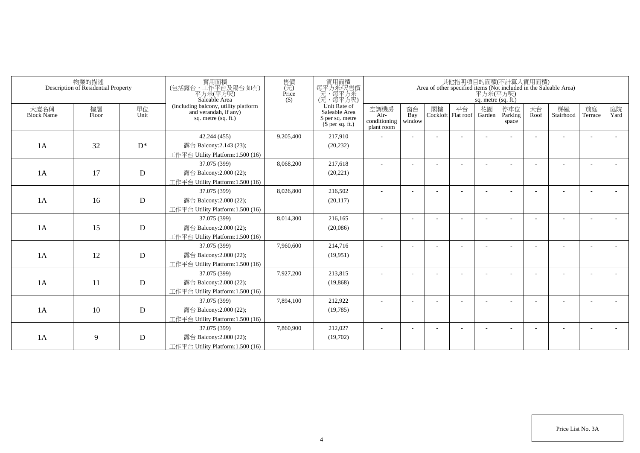|                           | 物業的描述<br>Description of Residential Property |             | 實用面積<br>(包括露台,工作平台及陽台如有)<br>平方米(平方呎)<br>Saleable Area                                  | 售價<br>(元)<br>Price<br>$($ \$) | 實用面積<br>每平方米/呎售價<br>一元,每平方米<br>(元,每平方呎)                               |                                            |                          |    |                            | 平方米(平方呎)<br>sq. metre (sq. ft.) | 其他指明項目的面積(不計算入實用面積)     |            | Area of other specified items (Not included in the Saleable Area) |               |            |
|---------------------------|----------------------------------------------|-------------|----------------------------------------------------------------------------------------|-------------------------------|-----------------------------------------------------------------------|--------------------------------------------|--------------------------|----|----------------------------|---------------------------------|-------------------------|------------|-------------------------------------------------------------------|---------------|------------|
| 大廈名稱<br><b>Block Name</b> | 樓層<br>Floor                                  | 單位<br>Unit  | (including balcony, utility platform<br>and verandah, if any)<br>sq. metre $(sq, ft.)$ |                               | Unit Rate of<br>Saleable Area<br>\$ per sq. metre<br>$$$ per sq. ft.) | 空調機房<br>Air-<br>conditioning<br>plant room | 窗台<br>Bay<br>window      | 閣樓 | 平台<br>Cockloft   Flat roof | 花園<br>Garden                    | 停車位<br>Parking<br>space | 天台<br>Roof | 梯屋<br>Stairhood                                                   | 前庭<br>Terrace | 庭院<br>Yard |
|                           |                                              |             | 42.244 (455)                                                                           | 9,205,400                     | 217,910                                                               |                                            |                          |    |                            |                                 |                         |            |                                                                   |               |            |
| 1A                        | 32                                           | $D^*$       | 露台 Balcony:2.143 (23);                                                                 |                               | (20, 232)                                                             |                                            |                          |    |                            |                                 |                         |            |                                                                   |               |            |
|                           |                                              |             | 工作平台 Utility Platform: 1.500 (16)                                                      |                               |                                                                       |                                            |                          |    |                            |                                 |                         |            |                                                                   |               |            |
|                           |                                              |             | 37.075 (399)                                                                           | 8,068,200                     | 217,618                                                               |                                            |                          |    |                            |                                 |                         |            |                                                                   |               |            |
| 1A                        | 17                                           | D           | 露台 Balcony:2.000 (22);                                                                 |                               | (20, 221)                                                             |                                            |                          |    |                            |                                 |                         |            |                                                                   |               |            |
|                           |                                              |             | 工作平台 Utility Platform:1.500 (16)                                                       |                               |                                                                       |                                            |                          |    |                            |                                 |                         |            |                                                                   |               |            |
|                           |                                              |             | 37.075 (399)                                                                           | 8,026,800                     | 216,502                                                               | ٠                                          | $\overline{\phantom{a}}$ |    |                            |                                 |                         |            |                                                                   |               |            |
| 1A                        | 16                                           | $\mathbf D$ | 露台 Balcony:2.000 (22);                                                                 |                               | (20, 117)                                                             |                                            |                          |    |                            |                                 |                         |            |                                                                   |               |            |
|                           |                                              |             | 工作平台 Utility Platform: 1.500 (16)                                                      |                               |                                                                       |                                            |                          |    |                            |                                 |                         |            |                                                                   |               |            |
|                           |                                              |             | 37.075 (399)                                                                           | 8,014,300                     | 216,165                                                               |                                            |                          |    |                            |                                 |                         |            |                                                                   |               |            |
| 1A                        | 15                                           | D           | 露台 Balcony: 2.000 (22);                                                                |                               | (20,086)                                                              |                                            |                          |    |                            |                                 |                         |            |                                                                   |               |            |
|                           |                                              |             | 工作平台 Utility Platform:1.500 (16)                                                       |                               |                                                                       |                                            |                          |    |                            |                                 |                         |            |                                                                   |               |            |
|                           |                                              |             | 37.075 (399)                                                                           | 7,960,600                     | 214,716                                                               |                                            |                          |    |                            |                                 |                         |            |                                                                   |               |            |
| 1A                        | 12                                           | D           | 露台 Balcony: 2.000 (22);                                                                |                               | (19,951)                                                              |                                            |                          |    |                            |                                 |                         |            |                                                                   |               |            |
|                           |                                              |             | 工作平台 Utility Platform:1.500 (16)                                                       |                               |                                                                       |                                            |                          |    |                            |                                 |                         |            |                                                                   |               |            |
|                           |                                              |             | 37.075 (399)                                                                           | 7,927,200                     | 213,815                                                               |                                            |                          |    |                            |                                 |                         |            |                                                                   |               |            |
| 1A                        | 11                                           | D           | 露台 Balcony: 2.000 (22);                                                                |                               | (19, 868)                                                             |                                            |                          |    |                            |                                 |                         |            |                                                                   |               |            |
|                           |                                              |             | 工作平台 Utility Platform:1.500 (16)                                                       |                               |                                                                       |                                            |                          |    |                            |                                 |                         |            |                                                                   |               |            |
|                           |                                              |             | 37.075 (399)                                                                           | 7,894,100                     | 212,922                                                               |                                            |                          |    |                            |                                 |                         |            |                                                                   | ٠             |            |
| 1A                        | 10                                           | ${\bf D}$   | 露台 Balcony: 2.000 (22);                                                                |                               | (19,785)                                                              |                                            |                          |    |                            |                                 |                         |            |                                                                   |               |            |
|                           |                                              |             | 工作平台 Utility Platform: 1.500 (16)                                                      |                               |                                                                       |                                            |                          |    |                            |                                 |                         |            |                                                                   |               |            |
|                           |                                              |             | 37.075 (399)                                                                           | 7,860,900                     | 212,027                                                               |                                            |                          |    |                            |                                 |                         |            |                                                                   |               |            |
| 1A                        | 9                                            | ${\bf D}$   | 露台 Balcony: 2.000 (22);                                                                |                               | (19,702)                                                              |                                            |                          |    |                            |                                 |                         |            |                                                                   |               |            |
|                           |                                              |             | 工作平台 Utility Platform:1.500 (16)                                                       |                               |                                                                       |                                            |                          |    |                            |                                 |                         |            |                                                                   |               |            |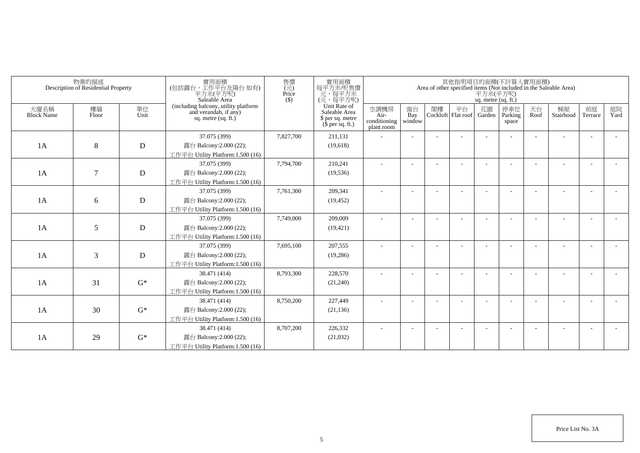|                           | 物業的描述<br>Description of Residential Property |             | 實用面積<br>(包括露台,工作平台及陽台如有)<br>平方米(平方呎)<br>Saleable Area                                  | 售價<br>(元)<br>Price<br>$($ \$) | 實用面積<br>每平方米/呎售價<br>一元,每平方米<br>(元,每平方呎)                               |                                            |                          |    |                            | 平方米(平方呎)<br>sq. metre (sq. ft.) | 其他指明項目的面積(不計算入實用面積)     |            | Area of other specified items (Not included in the Saleable Area) |               |            |
|---------------------------|----------------------------------------------|-------------|----------------------------------------------------------------------------------------|-------------------------------|-----------------------------------------------------------------------|--------------------------------------------|--------------------------|----|----------------------------|---------------------------------|-------------------------|------------|-------------------------------------------------------------------|---------------|------------|
| 大廈名稱<br><b>Block Name</b> | 樓層<br>Floor                                  | 單位<br>Unit  | (including balcony, utility platform<br>and verandah, if any)<br>sq. metre $(sq, ft.)$ |                               | Unit Rate of<br>Saleable Area<br>\$ per sq. metre<br>$$$ per sq. ft.) | 空調機房<br>Air-<br>conditioning<br>plant room | 窗台<br>Bay<br>window      | 閣樓 | 平台<br>Cockloft   Flat roof | 花園<br>Garden                    | 停車位<br>Parking<br>space | 天台<br>Roof | 梯屋<br>Stairhood                                                   | 前庭<br>Terrace | 庭院<br>Yard |
|                           |                                              |             | 37.075 (399)                                                                           | 7,827,700                     | 211,131                                                               |                                            |                          |    |                            |                                 |                         |            |                                                                   |               |            |
| 1A                        | 8                                            | $\mathbf D$ | 露台 Balcony:2.000 (22);                                                                 |                               | (19,618)                                                              |                                            |                          |    |                            |                                 |                         |            |                                                                   |               |            |
|                           |                                              |             | 工作平台 Utility Platform:1.500 (16)                                                       |                               |                                                                       |                                            |                          |    |                            |                                 |                         |            |                                                                   |               |            |
|                           |                                              |             | 37.075 (399)                                                                           | 7,794,700                     | 210,241                                                               |                                            |                          |    |                            |                                 |                         |            |                                                                   |               |            |
| 1A                        | $\tau$                                       | D           | 露台 Balcony:2.000 (22);                                                                 |                               | (19, 536)                                                             |                                            |                          |    |                            |                                 |                         |            |                                                                   |               |            |
|                           |                                              |             | 工作平台 Utility Platform:1.500 (16)                                                       |                               |                                                                       |                                            |                          |    |                            |                                 |                         |            |                                                                   |               |            |
|                           |                                              |             | 37.075 (399)                                                                           | 7,761,300                     | 209,341                                                               | ٠                                          | $\overline{\phantom{a}}$ |    |                            |                                 |                         |            |                                                                   |               |            |
| 1A                        | 6                                            | D           | 露台 Balcony:2.000 (22);                                                                 |                               | (19, 452)                                                             |                                            |                          |    |                            |                                 |                         |            |                                                                   |               |            |
|                           |                                              |             | 工作平台 Utility Platform: 1.500 (16)                                                      |                               |                                                                       |                                            |                          |    |                            |                                 |                         |            |                                                                   |               |            |
|                           |                                              |             | 37.075 (399)                                                                           | 7,749,000                     | 209,009                                                               |                                            |                          |    |                            |                                 |                         |            |                                                                   |               |            |
| 1A                        | 5                                            | D           | 露台 Balcony: 2.000 (22);                                                                |                               | (19, 421)                                                             |                                            |                          |    |                            |                                 |                         |            |                                                                   |               |            |
|                           |                                              |             | 工作平台 Utility Platform:1.500 (16)                                                       |                               |                                                                       |                                            |                          |    |                            |                                 |                         |            |                                                                   |               |            |
|                           |                                              |             | 37.075 (399)                                                                           | 7,695,100                     | 207,555                                                               |                                            |                          |    |                            |                                 |                         |            |                                                                   |               |            |
| 1A                        | 3                                            | D           | 露台 Balcony: 2.000 (22);                                                                |                               | (19,286)                                                              |                                            |                          |    |                            |                                 |                         |            |                                                                   |               |            |
|                           |                                              |             | 工作平台 Utility Platform:1.500 (16)                                                       |                               |                                                                       |                                            |                          |    |                            |                                 |                         |            |                                                                   |               |            |
|                           |                                              |             | 38.471 (414)                                                                           | 8,793,300                     | 228,570                                                               |                                            |                          |    |                            |                                 |                         |            |                                                                   |               |            |
| 1A                        | 31                                           | $G^*$       | 露台 Balcony: 2.000 (22);                                                                |                               | (21,240)                                                              |                                            |                          |    |                            |                                 |                         |            |                                                                   |               |            |
|                           |                                              |             | 工作平台 Utility Platform:1.500 (16)                                                       |                               |                                                                       |                                            |                          |    |                            |                                 |                         |            |                                                                   |               |            |
|                           |                                              |             | 38.471 (414)                                                                           | 8,750,200                     | 227,449                                                               |                                            |                          |    |                            |                                 |                         |            |                                                                   | ٠             |            |
| 1A                        | 30                                           | $G^*$       | 露台 Balcony: 2.000 (22);                                                                |                               | (21, 136)                                                             |                                            |                          |    |                            |                                 |                         |            |                                                                   |               |            |
|                           |                                              |             | 工作平台 Utility Platform: 1.500 (16)                                                      |                               |                                                                       |                                            |                          |    |                            |                                 |                         |            |                                                                   |               |            |
|                           |                                              |             | 38.471 (414)                                                                           | 8,707,200                     | 226,332                                                               |                                            |                          |    |                            |                                 |                         |            |                                                                   |               |            |
| 1A                        | 29                                           | $G^*$       | 露台 Balcony: 2.000 (22);                                                                |                               | (21,032)                                                              |                                            |                          |    |                            |                                 |                         |            |                                                                   |               |            |
|                           |                                              |             | 工作平台 Utility Platform:1.500 (16)                                                       |                               |                                                                       |                                            |                          |    |                            |                                 |                         |            |                                                                   |               |            |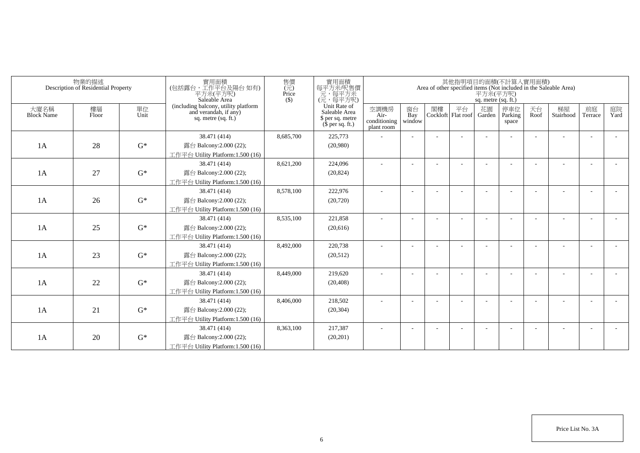|                           | 物業的描述<br>Description of Residential Property |            | 實用面積<br>(包括露台,工作平台及陽台如有)<br>平方米(平方呎)<br>Saleable Area                                  | 售價<br>(元)<br>Price<br>$($ \$) | 實用面積<br>每平方米/呎售價<br>一元,每平方米<br>(元,每平方呎)                               |                                            |                          |    |                            | 平方米(平方呎)<br>sq. metre (sq. ft.) | 其他指明項目的面積(不計算入實用面積)     |            | Area of other specified items (Not included in the Saleable Area) |               |            |
|---------------------------|----------------------------------------------|------------|----------------------------------------------------------------------------------------|-------------------------------|-----------------------------------------------------------------------|--------------------------------------------|--------------------------|----|----------------------------|---------------------------------|-------------------------|------------|-------------------------------------------------------------------|---------------|------------|
| 大廈名稱<br><b>Block Name</b> | 樓層<br>Floor                                  | 單位<br>Unit | (including balcony, utility platform<br>and verandah, if any)<br>sq. metre $(sq, ft.)$ |                               | Unit Rate of<br>Saleable Area<br>\$ per sq. metre<br>$$$ per sq. ft.) | 空調機房<br>Air-<br>conditioning<br>plant room | 窗台<br>Bay<br>window      | 閣樓 | 平台<br>Cockloft   Flat roof | 花園<br>Garden                    | 停車位<br>Parking<br>space | 天台<br>Roof | 梯屋<br>Stairhood                                                   | 前庭<br>Terrace | 庭院<br>Yard |
|                           |                                              |            | 38.471 (414)                                                                           | 8,685,700                     | 225,773                                                               |                                            |                          |    |                            |                                 |                         |            |                                                                   |               |            |
| 1A                        | 28                                           | $G^*$      | 露台 Balcony:2.000 (22);                                                                 |                               | (20,980)                                                              |                                            |                          |    |                            |                                 |                         |            |                                                                   |               |            |
|                           |                                              |            | 工作平台 Utility Platform:1.500 (16)                                                       |                               |                                                                       |                                            |                          |    |                            |                                 |                         |            |                                                                   |               |            |
|                           |                                              |            | 38.471 (414)                                                                           | 8,621,200                     | 224,096                                                               |                                            |                          |    |                            |                                 |                         |            |                                                                   |               |            |
| 1A                        | 27                                           | $G^*$      | 露台 Balcony:2.000 (22);                                                                 |                               | (20, 824)                                                             |                                            |                          |    |                            |                                 |                         |            |                                                                   |               |            |
|                           |                                              |            | 工作平台 Utility Platform:1.500 (16)                                                       |                               |                                                                       |                                            |                          |    |                            |                                 |                         |            |                                                                   |               |            |
|                           |                                              |            | 38.471 (414)                                                                           | 8,578,100                     | 222,976                                                               | ٠                                          | $\overline{\phantom{a}}$ |    |                            |                                 |                         |            |                                                                   | ٠             |            |
| 1A                        | 26                                           | $G^*$      | 露台 Balcony:2.000 (22);                                                                 |                               | (20, 720)                                                             |                                            |                          |    |                            |                                 |                         |            |                                                                   |               |            |
|                           |                                              |            | 工作平台 Utility Platform:1.500 (16)                                                       |                               |                                                                       |                                            |                          |    |                            |                                 |                         |            |                                                                   |               |            |
|                           |                                              |            | 38.471 (414)                                                                           | 8,535,100                     | 221,858                                                               |                                            |                          |    |                            |                                 |                         |            |                                                                   |               |            |
| 1A                        | 25                                           | $G^*$      | 露台 Balcony:2.000 (22);                                                                 |                               | (20,616)                                                              |                                            |                          |    |                            |                                 |                         |            |                                                                   |               |            |
|                           |                                              |            | 工作平台 Utility Platform:1.500 (16)                                                       |                               |                                                                       |                                            |                          |    |                            |                                 |                         |            |                                                                   |               |            |
|                           |                                              |            | 38.471 (414)                                                                           | 8,492,000                     | 220,738                                                               | ä,                                         |                          |    |                            |                                 |                         |            |                                                                   |               |            |
| 1A                        | 23                                           | $G^*$      | 露台 Balcony:2.000 (22);                                                                 |                               | (20,512)                                                              |                                            |                          |    |                            |                                 |                         |            |                                                                   |               |            |
|                           |                                              |            | 工作平台 Utility Platform:1.500 (16)                                                       |                               |                                                                       |                                            |                          |    |                            |                                 |                         |            |                                                                   |               |            |
|                           |                                              |            | 38.471 (414)                                                                           | 8,449,000                     | 219,620                                                               |                                            |                          |    |                            |                                 |                         |            |                                                                   |               |            |
| 1A                        | 22                                           | $G^*$      | 露台 Balcony:2.000 (22);                                                                 |                               | (20, 408)                                                             |                                            |                          |    |                            |                                 |                         |            |                                                                   |               |            |
|                           |                                              |            | 工作平台 Utility Platform:1.500 (16)                                                       |                               |                                                                       |                                            |                          |    |                            |                                 |                         |            |                                                                   |               |            |
|                           |                                              |            | 38.471 (414)                                                                           | 8,406,000                     | 218,502                                                               |                                            |                          |    |                            |                                 |                         |            |                                                                   | ٠             |            |
| 1A                        | 21                                           | $G^*$      | 露台 Balcony:2.000 (22);                                                                 |                               | (20, 304)                                                             |                                            |                          |    |                            |                                 |                         |            |                                                                   |               |            |
|                           |                                              |            | 工作平台 Utility Platform: 1.500 (16)                                                      |                               |                                                                       |                                            |                          |    |                            |                                 |                         |            |                                                                   |               |            |
|                           |                                              |            | 38.471 (414)                                                                           | 8,363,100                     | 217,387                                                               |                                            |                          |    |                            |                                 |                         |            |                                                                   |               |            |
| 1A                        | 20                                           | $G^*$      | 露台 Balcony:2.000 (22);                                                                 |                               | (20, 201)                                                             |                                            |                          |    |                            |                                 |                         |            |                                                                   |               |            |
|                           |                                              |            | 工作平台 Utility Platform:1.500 (16)                                                       |                               |                                                                       |                                            |                          |    |                            |                                 |                         |            |                                                                   |               |            |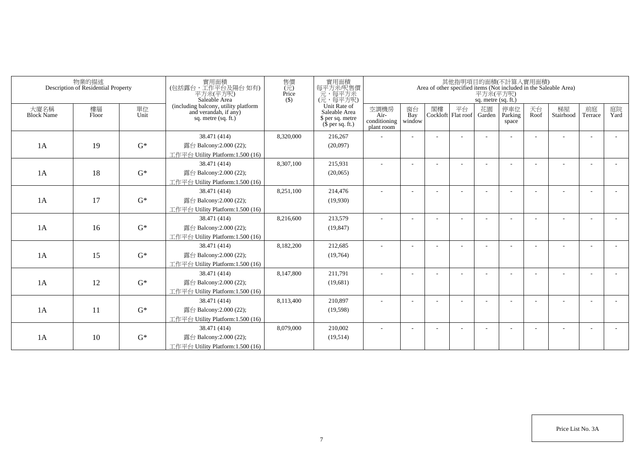|                           | 物業的描述<br>Description of Residential Property |            | 實用面積<br>(包括露台,工作平台及陽台 如有)<br>平方米(平方呎)<br>Saleable Area                                 | 售價<br>(元)<br>Price<br>$($ \$) | 實用面積<br>每平方米/呎售價<br>一元,每平方米<br>(元,每平方呎)                               |                                            |                          |    |                            | 平方米(平方呎)<br>sq. metre (sq. ft.) | 其他指明項目的面積(不計算入實用面積)     |            | Area of other specified items (Not included in the Saleable Area) |                          |            |
|---------------------------|----------------------------------------------|------------|----------------------------------------------------------------------------------------|-------------------------------|-----------------------------------------------------------------------|--------------------------------------------|--------------------------|----|----------------------------|---------------------------------|-------------------------|------------|-------------------------------------------------------------------|--------------------------|------------|
| 大廈名稱<br><b>Block Name</b> | 樓層<br>Floor                                  | 單位<br>Unit | (including balcony, utility platform<br>and verandah, if any)<br>sq. metre $(sq, ft.)$ |                               | Unit Rate of<br>Saleable Area<br>\$ per sq. metre<br>$$$ per sq. ft.) | 空調機房<br>Air-<br>conditioning<br>plant room | 窗台<br>Bay<br>window      | 閣樓 | 平台<br>Cockloft   Flat roof | 花園<br>Garden                    | 停車位<br>Parking<br>space | 天台<br>Roof | 梯屋<br>Stairhood                                                   | 前庭<br>Terrace            | 庭院<br>Yard |
|                           |                                              |            | 38.471 (414)                                                                           | 8,320,000                     | 216,267                                                               |                                            |                          |    |                            |                                 |                         |            |                                                                   |                          |            |
| 1A                        | 19                                           | $G^*$      | 露台 Balcony:2.000 (22);                                                                 |                               | (20,097)                                                              |                                            |                          |    |                            |                                 |                         |            |                                                                   |                          |            |
|                           |                                              |            | 工作平台 Utility Platform:1.500 (16)                                                       |                               |                                                                       |                                            |                          |    |                            |                                 |                         |            |                                                                   |                          |            |
|                           |                                              |            | 38.471 (414)                                                                           | 8,307,100                     | 215,931                                                               |                                            |                          |    |                            |                                 |                         |            |                                                                   |                          |            |
| 1A                        | 18                                           | $G^*$      | 露台 Balcony:2.000 (22);                                                                 |                               | (20,065)                                                              |                                            |                          |    |                            |                                 |                         |            |                                                                   |                          |            |
|                           |                                              |            | 工作平台 Utility Platform:1.500 (16)                                                       |                               |                                                                       |                                            |                          |    |                            |                                 |                         |            |                                                                   |                          |            |
|                           |                                              |            | 38.471 (414)                                                                           | 8,251,100                     | 214,476                                                               | ٠                                          | $\overline{\phantom{a}}$ |    |                            |                                 |                         |            |                                                                   | ٠                        |            |
| 1A                        | 17                                           | $G^*$      | 露台 Balcony:2.000 (22);                                                                 |                               | (19,930)                                                              |                                            |                          |    |                            |                                 |                         |            |                                                                   |                          |            |
|                           |                                              |            | 工作平台 Utility Platform:1.500 (16)                                                       |                               |                                                                       |                                            |                          |    |                            |                                 |                         |            |                                                                   |                          |            |
|                           |                                              |            | 38.471 (414)                                                                           | 8,216,600                     | 213,579                                                               |                                            |                          |    |                            |                                 |                         |            |                                                                   |                          |            |
| 1A                        | 16                                           | $G^*$      | 露台 Balcony:2.000 (22);                                                                 |                               | (19, 847)                                                             |                                            |                          |    |                            |                                 |                         |            |                                                                   |                          |            |
|                           |                                              |            | 工作平台 Utility Platform:1.500 (16)                                                       |                               |                                                                       |                                            |                          |    |                            |                                 |                         |            |                                                                   |                          |            |
|                           |                                              |            | 38.471 (414)                                                                           | 8,182,200                     | 212,685                                                               | ä,                                         |                          |    |                            |                                 |                         |            |                                                                   |                          |            |
| 1A                        | 15                                           | $G^*$      | 露台 Balcony:2.000 (22);                                                                 |                               | (19,764)                                                              |                                            |                          |    |                            |                                 |                         |            |                                                                   |                          |            |
|                           |                                              |            | 工作平台 Utility Platform:1.500 (16)                                                       |                               |                                                                       |                                            |                          |    |                            |                                 |                         |            |                                                                   |                          |            |
|                           |                                              |            | 38.471 (414)                                                                           | 8,147,800                     | 211,791                                                               |                                            |                          |    |                            |                                 |                         |            |                                                                   |                          |            |
| 1A                        | 12                                           | $G^*$      | 露台 Balcony:2.000 (22);                                                                 |                               | (19,681)                                                              |                                            |                          |    |                            |                                 |                         |            |                                                                   |                          |            |
|                           |                                              |            | 工作平台 Utility Platform:1.500 (16)                                                       |                               |                                                                       |                                            |                          |    |                            |                                 |                         |            |                                                                   |                          |            |
|                           |                                              |            | 38.471 (414)                                                                           | 8,113,400                     | 210,897                                                               |                                            |                          |    |                            |                                 |                         |            |                                                                   | $\overline{\phantom{a}}$ |            |
| 1A                        | 11                                           | $G^*$      | 露台 Balcony:2.000 (22);                                                                 |                               | (19, 598)                                                             |                                            |                          |    |                            |                                 |                         |            |                                                                   |                          |            |
|                           |                                              |            | 工作平台 Utility Platform: 1.500 (16)                                                      |                               |                                                                       |                                            |                          |    |                            |                                 |                         |            |                                                                   |                          |            |
|                           |                                              |            | 38.471 (414)                                                                           | 8,079,000                     | 210,002                                                               |                                            |                          |    |                            |                                 |                         |            |                                                                   | <u>. .</u>               |            |
| 1A                        | 10                                           | $G^*$      | 露台 Balcony:2.000 (22);                                                                 |                               | (19,514)                                                              |                                            |                          |    |                            |                                 |                         |            |                                                                   |                          |            |
|                           |                                              |            | 工作平台 Utility Platform:1.500 (16)                                                       |                               |                                                                       |                                            |                          |    |                            |                                 |                         |            |                                                                   |                          |            |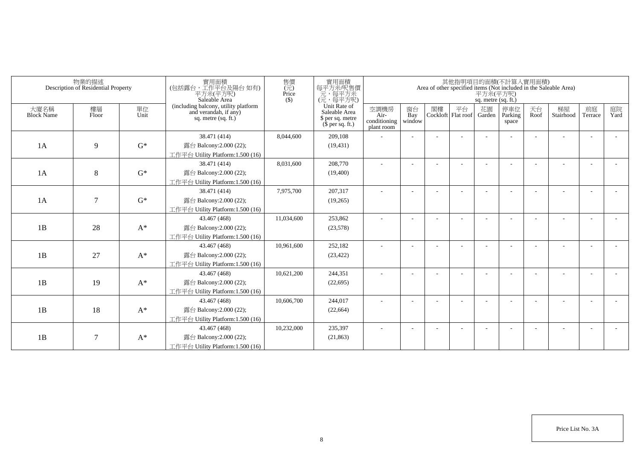|                           | 物業的描述<br>Description of Residential Property |            | 實用面積<br>(包括露台,工作平台及陽台如有)<br>平方米(平方呎)<br>Saleable Area                                  | 售價<br>$(\vec{\pi})$<br>Price<br>$($ \$) | 實用面積<br>每平方米/呎售價<br>元,每平方米<br>(元,每平方呎)                                |                                            |                          |    |                            | 平方米(平方呎)<br>sq. metre (sq. ft.) | 其他指明項目的面積(不計算入實用面積)     |            | Area of other specified items (Not included in the Saleable Area) |                          |            |
|---------------------------|----------------------------------------------|------------|----------------------------------------------------------------------------------------|-----------------------------------------|-----------------------------------------------------------------------|--------------------------------------------|--------------------------|----|----------------------------|---------------------------------|-------------------------|------------|-------------------------------------------------------------------|--------------------------|------------|
| 大廈名稱<br><b>Block Name</b> | 樓層<br>Floor                                  | 單位<br>Unit | (including balcony, utility platform<br>and verandah, if any)<br>sq. metre $(sq, ft.)$ |                                         | Unit Rate of<br>Saleable Area<br>\$ per sq. metre<br>$$$ per sq. ft.) | 空調機房<br>Air-<br>conditioning<br>plant room | 窗台<br>Bay<br>window      | 閣樓 | 平台<br>Cockloft   Flat roof | 花園<br>Garden                    | 停車位<br>Parking<br>space | 天台<br>Roof | 梯屋<br>Stairhood                                                   | 前庭<br>Terrace            | 庭院<br>Yard |
|                           |                                              |            | 38.471 (414)                                                                           | 8,044,600                               | 209,108                                                               |                                            |                          |    |                            |                                 |                         |            |                                                                   |                          |            |
| 1A                        | 9                                            | $G^*$      | 露台 Balcony:2.000 (22);                                                                 |                                         | (19, 431)                                                             |                                            |                          |    |                            |                                 |                         |            |                                                                   |                          |            |
|                           |                                              |            | 工作平台 Utility Platform:1.500 (16)                                                       |                                         |                                                                       |                                            |                          |    |                            |                                 |                         |            |                                                                   |                          |            |
|                           |                                              |            | 38.471 (414)                                                                           | 8,031,600                               | 208,770                                                               |                                            |                          |    |                            |                                 |                         |            |                                                                   |                          |            |
| 1A                        | 8                                            | $G^*$      | 露台 Balcony:2.000 (22);                                                                 |                                         | (19,400)                                                              |                                            |                          |    |                            |                                 |                         |            |                                                                   |                          |            |
|                           |                                              |            | 工作平台 Utility Platform:1.500 (16)                                                       |                                         |                                                                       |                                            |                          |    |                            |                                 |                         |            |                                                                   |                          |            |
|                           |                                              |            | 38.471 (414)                                                                           | 7,975,700                               | 207,317                                                               | $\sim$                                     | $\overline{\phantom{a}}$ |    |                            |                                 |                         |            |                                                                   |                          |            |
| 1A                        | $\tau$                                       | $G^*$      | 露台 Balcony: 2.000 (22);                                                                |                                         | (19,265)                                                              |                                            |                          |    |                            |                                 |                         |            |                                                                   |                          |            |
|                           |                                              |            | 工作平台 Utility Platform: 1.500 (16)                                                      |                                         |                                                                       |                                            |                          |    |                            |                                 |                         |            |                                                                   |                          |            |
|                           |                                              |            | 43.467 (468)                                                                           | 11,034,600                              | 253,862                                                               |                                            |                          |    |                            |                                 |                         |            |                                                                   |                          |            |
| 1B                        | 28                                           | $A^*$      | 露台 Balcony:2.000 (22);                                                                 |                                         | (23,578)                                                              |                                            |                          |    |                            |                                 |                         |            |                                                                   |                          |            |
|                           |                                              |            | 工作平台 Utility Platform: 1.500 (16)                                                      |                                         |                                                                       |                                            |                          |    |                            |                                 |                         |            |                                                                   |                          |            |
|                           |                                              |            | 43.467 (468)                                                                           | 10,961,600                              | 252,182                                                               | ä,                                         |                          |    |                            |                                 |                         |            |                                                                   |                          |            |
| 1B                        | 27                                           | $A^*$      | 露台 Balcony:2.000 (22);                                                                 |                                         | (23, 422)                                                             |                                            |                          |    |                            |                                 |                         |            |                                                                   |                          |            |
|                           |                                              |            | 工作平台 Utility Platform: 1.500 (16)                                                      |                                         |                                                                       |                                            |                          |    |                            |                                 |                         |            |                                                                   |                          |            |
|                           |                                              |            | 43.467 (468)                                                                           | 10,621,200                              | 244,351                                                               |                                            |                          |    |                            |                                 |                         |            |                                                                   |                          |            |
| 1B                        | 19                                           | $A^*$      | 露台 Balcony:2.000 (22);                                                                 |                                         | (22, 695)                                                             |                                            |                          |    |                            |                                 |                         |            |                                                                   |                          |            |
|                           |                                              |            | 工作平台 Utility Platform: 1.500 (16)                                                      |                                         |                                                                       |                                            |                          |    |                            |                                 |                         |            |                                                                   |                          |            |
|                           |                                              |            | 43.467 (468)                                                                           | 10,606,700                              | 244,017                                                               |                                            |                          |    |                            |                                 |                         |            |                                                                   | $\overline{\phantom{a}}$ |            |
| 1B                        | 18                                           | $A^*$      | 露台 Balcony:2.000 (22);                                                                 |                                         | (22, 664)                                                             |                                            |                          |    |                            |                                 |                         |            |                                                                   |                          |            |
|                           |                                              |            | 工作平台 Utility Platform: 1.500 (16)                                                      |                                         |                                                                       |                                            |                          |    |                            |                                 |                         |            |                                                                   |                          |            |
|                           |                                              |            | 43.467 (468)                                                                           | 10,232,000                              | 235,397                                                               |                                            |                          |    |                            |                                 |                         |            |                                                                   |                          |            |
| 1B                        | $\tau$                                       | $A^*$      | 露台 Balcony:2.000 (22);<br>工作平台 Utility Platform:1.500 (16)                             |                                         | (21, 863)                                                             |                                            |                          |    |                            |                                 |                         |            |                                                                   |                          |            |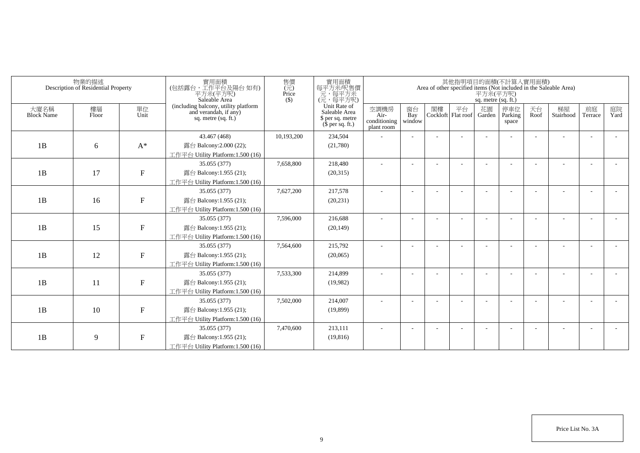|                           | 物業的描述<br>Description of Residential Property |                           | 實用面積<br>(包括露台,工作平台及陽台如有)<br>平方米(平方呎)<br>Saleable Area                                  | 售價<br>(元)<br>Price<br>$($ \$) | 實用面積<br>每平方米/呎售價<br>一元,每平方米<br>(元,每平方呎)                               |                                            |                          |    |                            | 平方米(平方呎)<br>sq. metre (sq. ft.) | 其他指明項目的面積(不計算入實用面積)     |            | Area of other specified items (Not included in the Saleable Area) |               |            |
|---------------------------|----------------------------------------------|---------------------------|----------------------------------------------------------------------------------------|-------------------------------|-----------------------------------------------------------------------|--------------------------------------------|--------------------------|----|----------------------------|---------------------------------|-------------------------|------------|-------------------------------------------------------------------|---------------|------------|
| 大廈名稱<br><b>Block Name</b> | 樓層<br>Floor                                  | 單位<br>Unit                | (including balcony, utility platform<br>and verandah, if any)<br>sq. metre $(sq, ft.)$ |                               | Unit Rate of<br>Saleable Area<br>\$ per sq. metre<br>$$$ per sq. ft.) | 空調機房<br>Air-<br>conditioning<br>plant room | 窗台<br>Bay<br>window      | 閣樓 | 平台<br>Cockloft   Flat roof | 花園<br>Garden                    | 停車位<br>Parking<br>space | 天台<br>Roof | 梯屋<br>Stairhood                                                   | 前庭<br>Terrace | 庭院<br>Yard |
|                           |                                              |                           | 43.467 (468)                                                                           | 10,193,200                    | 234,504                                                               |                                            |                          |    |                            |                                 |                         |            |                                                                   |               |            |
| 1B                        | 6                                            | $A^*$                     | 露台 Balcony:2.000 (22);                                                                 |                               | (21,780)                                                              |                                            |                          |    |                            |                                 |                         |            |                                                                   |               |            |
|                           |                                              |                           | 工作平台 Utility Platform:1.500 (16)                                                       |                               |                                                                       |                                            |                          |    |                            |                                 |                         |            |                                                                   |               |            |
|                           |                                              |                           | 35.055 (377)                                                                           | 7,658,800                     | 218,480                                                               |                                            |                          |    |                            |                                 |                         |            |                                                                   |               |            |
| 1B                        | 17                                           | ${\bf F}$                 | 露台 Balcony:1.955 (21);                                                                 |                               | (20,315)                                                              |                                            |                          |    |                            |                                 |                         |            |                                                                   |               |            |
|                           |                                              |                           | 工作平台 Utility Platform:1.500 (16)                                                       |                               |                                                                       |                                            |                          |    |                            |                                 |                         |            |                                                                   |               |            |
|                           |                                              |                           | 35.055 (377)                                                                           | 7,627,200                     | 217,578                                                               | ٠                                          | $\overline{\phantom{a}}$ |    |                            |                                 |                         |            |                                                                   |               |            |
| 1B                        | 16                                           | ${\bf F}$                 | 露台 Balcony:1.955 (21);                                                                 |                               | (20, 231)                                                             |                                            |                          |    |                            |                                 |                         |            |                                                                   |               |            |
|                           |                                              |                           | 工作平台 Utility Platform: 1.500 (16)                                                      |                               |                                                                       |                                            |                          |    |                            |                                 |                         |            |                                                                   |               |            |
|                           |                                              |                           | 35.055 (377)                                                                           | 7,596,000                     | 216,688                                                               |                                            |                          |    |                            |                                 |                         |            |                                                                   |               |            |
| 1B                        | 15                                           | $\boldsymbol{\mathrm{F}}$ | 露台 Balcony:1.955 (21);                                                                 |                               | (20, 149)                                                             |                                            |                          |    |                            |                                 |                         |            |                                                                   |               |            |
|                           |                                              |                           | 工作平台 Utility Platform:1.500 (16)                                                       |                               |                                                                       |                                            |                          |    |                            |                                 |                         |            |                                                                   |               |            |
|                           |                                              |                           | 35.055 (377)                                                                           | 7,564,600                     | 215,792                                                               |                                            |                          |    |                            |                                 |                         |            |                                                                   |               |            |
| 1B                        | 12                                           | $\boldsymbol{\mathrm{F}}$ | 露台 Balcony:1.955 (21);                                                                 |                               | (20,065)                                                              |                                            |                          |    |                            |                                 |                         |            |                                                                   |               |            |
|                           |                                              |                           | 工作平台 Utility Platform: 1.500 (16)                                                      |                               |                                                                       |                                            |                          |    |                            |                                 |                         |            |                                                                   |               |            |
|                           |                                              |                           | 35.055 (377)                                                                           | 7,533,300                     | 214,899                                                               |                                            |                          |    |                            |                                 |                         |            |                                                                   |               |            |
| 1B                        | 11                                           | $\mathbf F$               | 露台 Balcony:1.955 (21);                                                                 |                               | (19,982)                                                              |                                            |                          |    |                            |                                 |                         |            |                                                                   |               |            |
|                           |                                              |                           | 工作平台 Utility Platform:1.500 (16)                                                       |                               |                                                                       |                                            |                          |    |                            |                                 |                         |            |                                                                   |               |            |
|                           |                                              |                           | 35.055 (377)                                                                           | 7,502,000                     | 214,007                                                               |                                            |                          |    |                            |                                 |                         |            |                                                                   |               |            |
| 1B                        | 10                                           | ${\bf F}$                 | 露台 Balcony:1.955 (21);                                                                 |                               | (19,899)                                                              |                                            |                          |    |                            |                                 |                         |            |                                                                   |               |            |
|                           |                                              |                           | 工作平台 Utility Platform: 1.500 (16)                                                      |                               |                                                                       |                                            |                          |    |                            |                                 |                         |            |                                                                   |               |            |
|                           |                                              |                           | 35.055 (377)                                                                           | 7,470,600                     | 213,111                                                               |                                            |                          |    |                            |                                 |                         |            |                                                                   |               |            |
| 1B                        | 9                                            | ${\bf F}$                 | 露台 Balcony:1.955 (21);<br>工作平台 Utility Platform:1.500 (16)                             |                               | (19, 816)                                                             |                                            |                          |    |                            |                                 |                         |            |                                                                   |               |            |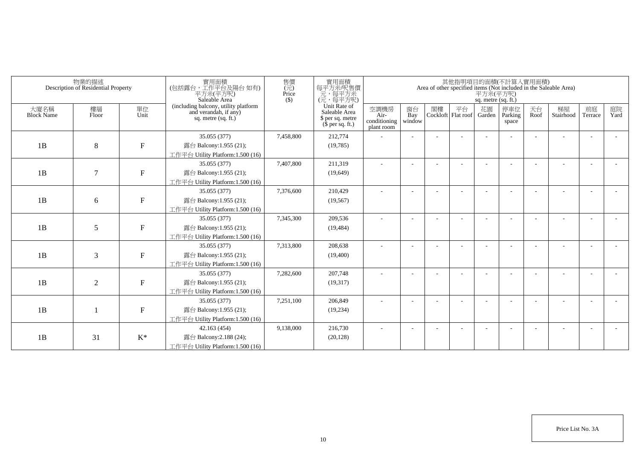|                           | 物業的描述<br>Description of Residential Property |                           | 實用面積<br>(包括露台,工作平台及陽台如有)<br>平方米(平方呎)<br>Saleable Area                                  | 售價<br>(元)<br>Price<br>$($ \$) | 實用面積<br>每平方米/呎售價<br>一元,每平方米<br>(元,每平方呎)                               |                                            |                          |    |                            | 平方米(平方呎)<br>sq. metre (sq. ft.) | 其他指明項目的面積(不計算入實用面積)     |            | Area of other specified items (Not included in the Saleable Area) |               |            |
|---------------------------|----------------------------------------------|---------------------------|----------------------------------------------------------------------------------------|-------------------------------|-----------------------------------------------------------------------|--------------------------------------------|--------------------------|----|----------------------------|---------------------------------|-------------------------|------------|-------------------------------------------------------------------|---------------|------------|
| 大廈名稱<br><b>Block Name</b> | 樓層<br>Floor                                  | 單位<br>Unit                | (including balcony, utility platform<br>and verandah, if any)<br>sq. metre $(sq, ft.)$ |                               | Unit Rate of<br>Saleable Area<br>\$ per sq. metre<br>$$$ per sq. ft.) | 空調機房<br>Air-<br>conditioning<br>plant room | 窗台<br>Bay<br>window      | 閣樓 | 平台<br>Cockloft   Flat roof | 花園<br>Garden                    | 停車位<br>Parking<br>space | 天台<br>Roof | 梯屋<br>Stairhood                                                   | 前庭<br>Terrace | 庭院<br>Yard |
|                           |                                              |                           | 35.055 (377)                                                                           | 7,458,800                     | 212,774                                                               |                                            |                          |    |                            |                                 |                         |            |                                                                   |               |            |
| 1B                        | 8                                            | ${\bf F}$                 | 露台 Balcony:1.955 (21);                                                                 |                               | (19, 785)                                                             |                                            |                          |    |                            |                                 |                         |            |                                                                   |               |            |
|                           |                                              |                           | 工作平台 Utility Platform:1.500 (16)                                                       |                               |                                                                       |                                            |                          |    |                            |                                 |                         |            |                                                                   |               |            |
|                           |                                              |                           | 35.055 (377)                                                                           | 7,407,800                     | 211,319                                                               |                                            |                          |    |                            |                                 |                         |            |                                                                   |               |            |
| 1B                        | $\overline{7}$                               | ${\bf F}$                 | 露台 Balcony:1.955 (21);                                                                 |                               | (19,649)                                                              |                                            |                          |    |                            |                                 |                         |            |                                                                   |               |            |
|                           |                                              |                           | 工作平台 Utility Platform:1.500 (16)                                                       |                               |                                                                       |                                            |                          |    |                            |                                 |                         |            |                                                                   |               |            |
|                           |                                              |                           | 35.055 (377)                                                                           | 7,376,600                     | 210,429                                                               | ٠                                          | $\overline{\phantom{a}}$ |    |                            |                                 |                         |            |                                                                   |               |            |
| 1B                        | 6                                            | ${\bf F}$                 | 露台 Balcony:1.955 (21);                                                                 |                               | (19, 567)                                                             |                                            |                          |    |                            |                                 |                         |            |                                                                   |               |            |
|                           |                                              |                           | 工作平台 Utility Platform: 1.500 (16)                                                      |                               |                                                                       |                                            |                          |    |                            |                                 |                         |            |                                                                   |               |            |
|                           |                                              |                           | 35.055 (377)                                                                           | 7,345,300                     | 209,536                                                               |                                            |                          |    |                            |                                 |                         |            |                                                                   |               |            |
| 1B                        | 5                                            | $\boldsymbol{\mathrm{F}}$ | 露台 Balcony:1.955 (21);                                                                 |                               | (19, 484)                                                             |                                            |                          |    |                            |                                 |                         |            |                                                                   |               |            |
|                           |                                              |                           | 工作平台 Utility Platform:1.500 (16)                                                       |                               |                                                                       |                                            |                          |    |                            |                                 |                         |            |                                                                   |               |            |
|                           |                                              |                           | 35.055 (377)                                                                           | 7,313,800                     | 208,638                                                               |                                            |                          |    |                            |                                 |                         |            |                                                                   |               |            |
| 1B                        | 3                                            | $\boldsymbol{\mathrm{F}}$ | 露台 Balcony:1.955 (21);                                                                 |                               | (19,400)                                                              |                                            |                          |    |                            |                                 |                         |            |                                                                   |               |            |
|                           |                                              |                           | 工作平台 Utility Platform: 1.500 (16)                                                      |                               |                                                                       |                                            |                          |    |                            |                                 |                         |            |                                                                   |               |            |
|                           |                                              |                           | 35.055 (377)                                                                           | 7,282,600                     | 207,748                                                               |                                            |                          |    |                            |                                 |                         |            |                                                                   |               |            |
| 1B                        | 2                                            | $\mathbf F$               | 露台 Balcony:1.955 (21);                                                                 |                               | (19,317)                                                              |                                            |                          |    |                            |                                 |                         |            |                                                                   |               |            |
|                           |                                              |                           | 工作平台 Utility Platform:1.500 (16)                                                       |                               |                                                                       |                                            |                          |    |                            |                                 |                         |            |                                                                   |               |            |
|                           |                                              |                           | 35.055 (377)                                                                           | 7,251,100                     | 206,849                                                               |                                            |                          |    |                            |                                 |                         |            |                                                                   |               |            |
| 1B                        |                                              | ${\bf F}$                 | 露台 Balcony:1.955 (21);                                                                 |                               | (19, 234)                                                             |                                            |                          |    |                            |                                 |                         |            |                                                                   |               |            |
|                           |                                              |                           | 工作平台 Utility Platform: 1.500 (16)                                                      |                               |                                                                       |                                            |                          |    |                            |                                 |                         |            |                                                                   |               |            |
|                           |                                              |                           | 42.163 (454)                                                                           | 9,138,000                     | 216,730                                                               |                                            |                          |    |                            |                                 |                         |            |                                                                   |               |            |
| 1B                        | 31                                           | $K^*$                     | 露台 Balcony: 2.188 (24);                                                                |                               | (20, 128)                                                             |                                            |                          |    |                            |                                 |                         |            |                                                                   |               |            |
|                           |                                              |                           | 工作平台 Utility Platform:1.500 (16)                                                       |                               |                                                                       |                                            |                          |    |                            |                                 |                         |            |                                                                   |               |            |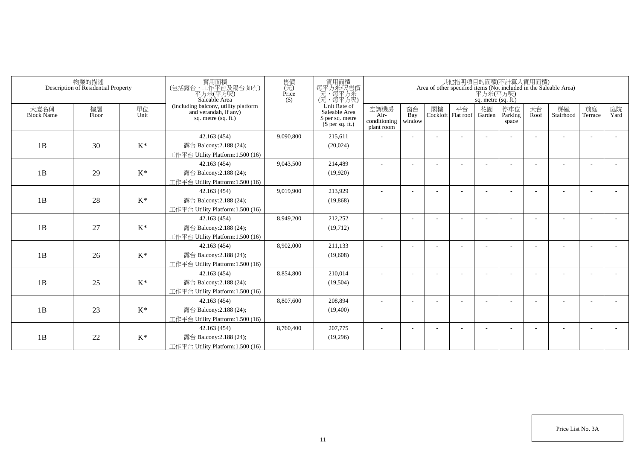| 物業的描述<br>Description of Residential Property |             |                | 實用面積<br>(包括露台,工作平台及陽台如有)<br>平方米(平方呎)<br>Saleable Area<br>$($ \$)                       |           | 售價<br>(元)<br>實用面積<br>每平方米呎售價<br>Price<br>一元<br>(元,每平方米)<br>(元,每平方呎)   |                                            |                     | 其他指明項目的面積(不計算入實用面積)<br>Area of other specified items (Not included in the Saleable Area)<br>平方米(平方呎)<br>sq. metre (sq. ft.) |                          |              |                         |            |                 |                          |            |  |  |  |
|----------------------------------------------|-------------|----------------|----------------------------------------------------------------------------------------|-----------|-----------------------------------------------------------------------|--------------------------------------------|---------------------|-----------------------------------------------------------------------------------------------------------------------------|--------------------------|--------------|-------------------------|------------|-----------------|--------------------------|------------|--|--|--|
| 大廈名稱<br><b>Block Name</b>                    | 樓層<br>Floor | 單位<br>Unit     | (including balcony, utility platform<br>and verandah, if any)<br>sq. metre $(sq, ft.)$ |           | Unit Rate of<br>Saleable Area<br>\$ per sq. metre<br>$$$ per sq. ft.) | 空調機房<br>Air-<br>conditioning<br>plant room | 窗台<br>Bay<br>window | 閣樓                                                                                                                          | 平台<br>Cockloft Flat roof | 花園<br>Garden | 停車位<br>Parking<br>space | 天台<br>Roof | 梯屋<br>Stairhood | 前庭<br>Terrace            | 庭院<br>Yard |  |  |  |
|                                              |             |                | 42.163 (454)                                                                           | 9,090,800 | 215,611                                                               |                                            |                     |                                                                                                                             |                          |              |                         |            |                 |                          |            |  |  |  |
| 1B                                           | 30          | $K^*$          | 露台 Balcony:2.188 (24);                                                                 |           | (20,024)                                                              |                                            |                     |                                                                                                                             |                          |              |                         |            |                 |                          |            |  |  |  |
|                                              |             |                | 工作平台 Utility Platform:1.500 (16)                                                       |           |                                                                       |                                            |                     |                                                                                                                             |                          |              |                         |            |                 |                          |            |  |  |  |
|                                              |             |                | 42.163 (454)                                                                           | 9,043,500 | 214,489                                                               |                                            |                     |                                                                                                                             |                          |              |                         |            |                 |                          |            |  |  |  |
| 1B                                           | 29          | $K^*$          | 露台 Balcony: 2.188 (24);                                                                |           | (19,920)                                                              |                                            |                     |                                                                                                                             |                          |              |                         |            |                 |                          |            |  |  |  |
|                                              |             |                | 工作平台 Utility Platform: 1.500 (16)                                                      |           |                                                                       |                                            |                     |                                                                                                                             |                          |              |                         |            |                 |                          |            |  |  |  |
|                                              |             |                | 42.163 (454)                                                                           | 9,019,900 | 213,929                                                               |                                            |                     |                                                                                                                             |                          |              |                         |            |                 |                          |            |  |  |  |
| 1B                                           | 28          | $K^*$          | 露台 Balcony: 2.188 (24);                                                                |           | (19, 868)                                                             |                                            |                     |                                                                                                                             |                          |              |                         |            |                 |                          |            |  |  |  |
|                                              |             |                | 工作平台 Utility Platform: 1.500 (16)                                                      |           |                                                                       |                                            |                     |                                                                                                                             |                          |              |                         |            |                 |                          |            |  |  |  |
|                                              |             |                | 42.163 (454)                                                                           | 8,949,200 | 212,252                                                               |                                            |                     |                                                                                                                             |                          |              |                         |            |                 |                          |            |  |  |  |
| 1B                                           | 27          | $K^*$          | 露台 Balcony: 2.188 (24);                                                                |           | (19,712)                                                              |                                            |                     |                                                                                                                             |                          |              |                         |            |                 |                          |            |  |  |  |
|                                              |             |                | 工作平台 Utility Platform:1.500 (16)                                                       |           |                                                                       |                                            |                     |                                                                                                                             |                          |              |                         |            |                 |                          |            |  |  |  |
|                                              |             |                | 42.163 (454)                                                                           | 8,902,000 | 211,133                                                               | ٠                                          |                     |                                                                                                                             |                          |              |                         |            |                 | $\overline{\phantom{a}}$ |            |  |  |  |
| 1B                                           | 26          | $\mathrm{K}^*$ | 露台 Balcony: 2.188 (24);                                                                |           | (19,608)                                                              |                                            |                     |                                                                                                                             |                          |              |                         |            |                 |                          |            |  |  |  |
|                                              |             |                | 工作平台 Utility Platform:1.500 (16)                                                       |           |                                                                       |                                            |                     |                                                                                                                             |                          |              |                         |            |                 |                          |            |  |  |  |
|                                              |             |                | 42.163 (454)                                                                           | 8,854,800 | 210,014                                                               |                                            |                     |                                                                                                                             |                          |              |                         |            |                 |                          |            |  |  |  |
| 1B                                           | 25          | $K^*$          | 露台 Balcony: 2.188 (24);                                                                |           | (19,504)                                                              |                                            |                     |                                                                                                                             |                          |              |                         |            |                 |                          |            |  |  |  |
|                                              |             |                | 工作平台 Utility Platform:1.500 (16)                                                       |           |                                                                       |                                            |                     |                                                                                                                             |                          |              |                         |            |                 |                          |            |  |  |  |
|                                              |             |                | 42.163 (454)                                                                           | 8,807,600 | 208,894                                                               |                                            |                     |                                                                                                                             |                          |              |                         |            |                 | ٠                        |            |  |  |  |
| 1B                                           | 23          | $K^*$          | 露台 Balcony: 2.188 (24);                                                                |           | (19,400)                                                              |                                            |                     |                                                                                                                             |                          |              |                         |            |                 |                          |            |  |  |  |
|                                              |             |                | 工作平台 Utility Platform:1.500 (16)                                                       |           |                                                                       |                                            |                     |                                                                                                                             |                          |              |                         |            |                 |                          |            |  |  |  |
|                                              |             |                | 42.163 (454)                                                                           | 8,760,400 | 207,775                                                               |                                            |                     |                                                                                                                             |                          |              |                         |            |                 | ÷                        |            |  |  |  |
| 1B                                           | 22          | $\mathrm{K}^*$ | 露台 Balcony: 2.188 (24);                                                                |           | (19,296)                                                              |                                            |                     |                                                                                                                             |                          |              |                         |            |                 |                          |            |  |  |  |
|                                              |             |                | 工作平台 Utility Platform:1.500 (16)                                                       |           |                                                                       |                                            |                     |                                                                                                                             |                          |              |                         |            |                 |                          |            |  |  |  |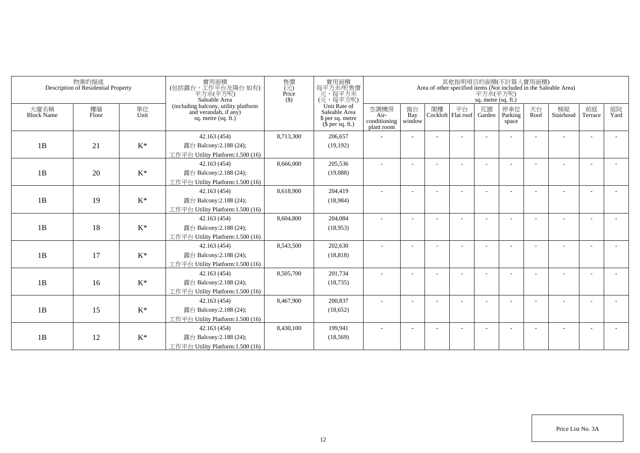| 物業的描述<br>Description of Residential Property |             |                | 實用面積<br>(包括露台,工作平台及陽台 如有)<br>平方米(平方呎)<br>Saleable Area                                 | 售價<br>$(\vec{\pi})$<br>Price<br>$($ \$) | 實用面積<br>每平方米/呎售價<br>一元,每平方米<br>(元,每平方呎)                               | 其他指明項目的面積(不計算入實用面積)<br>Area of other specified items (Not included in the Saleable Area)<br>平方米(平方呎)<br>sq. metre (sq. ft.) |                          |    |                          |              |                         |            |                 |                          |            |  |
|----------------------------------------------|-------------|----------------|----------------------------------------------------------------------------------------|-----------------------------------------|-----------------------------------------------------------------------|-----------------------------------------------------------------------------------------------------------------------------|--------------------------|----|--------------------------|--------------|-------------------------|------------|-----------------|--------------------------|------------|--|
| 大廈名稱<br><b>Block Name</b>                    | 樓層<br>Floor | 單位<br>Unit     | (including balcony, utility platform<br>and verandah, if any)<br>sq. metre $(sq, ft.)$ |                                         | Unit Rate of<br>Saleable Area<br>\$ per sq. metre<br>$$$ per sq. ft.) | 空調機房<br>Air-<br>conditioning<br>plant room                                                                                  | 窗台<br>Bay<br>window      | 閣樓 | 平台<br>Cockloft Flat roof | 花園<br>Garden | 停車位<br>Parking<br>space | 天台<br>Roof | 梯屋<br>Stairhood | 前庭<br>Terrace            | 庭院<br>Yard |  |
|                                              |             |                | 42.163 (454)                                                                           | 8,713,300                               | 206,657                                                               |                                                                                                                             |                          |    |                          |              |                         |            |                 |                          |            |  |
| 1B                                           | 21          | $\mathrm{K}^*$ | 露台 Balcony:2.188 (24);                                                                 |                                         | (19, 192)                                                             |                                                                                                                             |                          |    |                          |              |                         |            |                 |                          |            |  |
|                                              |             |                | 工作平台 Utility Platform:1.500 (16)                                                       |                                         |                                                                       |                                                                                                                             |                          |    |                          |              |                         |            |                 |                          |            |  |
|                                              |             |                | 42.163 (454)                                                                           | 8,666,000                               | 205,536                                                               |                                                                                                                             |                          |    |                          |              |                         |            |                 |                          |            |  |
| 1B                                           | 20          | $\mathrm{K}^*$ | 露台 Balcony: 2.188 (24);                                                                |                                         | (19,088)                                                              |                                                                                                                             |                          |    |                          |              |                         |            |                 |                          |            |  |
|                                              |             |                | 工作平台 Utility Platform:1.500 (16)                                                       |                                         |                                                                       |                                                                                                                             |                          |    |                          |              |                         |            |                 |                          |            |  |
|                                              |             |                | 42.163 (454)                                                                           | 8,618,900                               | 204,419                                                               | ٠                                                                                                                           | $\overline{\phantom{a}}$ |    |                          |              |                         |            |                 | $\overline{\phantom{a}}$ |            |  |
| 1B                                           | 19          | $K^*$          | 露台 Balcony:2.188 (24);                                                                 |                                         | (18,984)                                                              |                                                                                                                             |                          |    |                          |              |                         |            |                 |                          |            |  |
|                                              |             |                | 工作平台 Utility Platform:1.500 (16)                                                       |                                         |                                                                       |                                                                                                                             |                          |    |                          |              |                         |            |                 |                          |            |  |
|                                              |             |                | 42.163 (454)                                                                           | 8,604,800                               | 204,084                                                               |                                                                                                                             |                          |    |                          |              |                         |            |                 |                          |            |  |
| 1B                                           | 18          | $K^*$          | 露台 Balcony: 2.188 (24);                                                                |                                         | (18,953)                                                              |                                                                                                                             |                          |    |                          |              |                         |            |                 |                          |            |  |
|                                              |             |                | 工作平台 Utility Platform:1.500 (16)                                                       |                                         |                                                                       |                                                                                                                             |                          |    |                          |              |                         |            |                 |                          |            |  |
|                                              |             |                | 42.163 (454)                                                                           | 8,543,500                               | 202,630                                                               |                                                                                                                             |                          |    |                          |              |                         |            |                 |                          |            |  |
| 1B                                           | 17          | $K^*$          | 露台 Balcony: 2.188 (24);                                                                |                                         | (18, 818)                                                             |                                                                                                                             |                          |    |                          |              |                         |            |                 |                          |            |  |
|                                              |             |                | 工作平台 Utility Platform:1.500 (16)<br>42.163 (454)                                       | 8,505,700                               | 201,734                                                               |                                                                                                                             |                          |    |                          |              |                         |            |                 |                          |            |  |
| 1B                                           | 16          | $\mathrm{K}^*$ | 露台 Balcony: 2.188 (24);                                                                |                                         | (18, 735)                                                             |                                                                                                                             |                          |    |                          |              |                         |            |                 |                          |            |  |
|                                              |             |                | 工作平台 Utility Platform:1.500 (16)                                                       |                                         |                                                                       |                                                                                                                             |                          |    |                          |              |                         |            |                 |                          |            |  |
|                                              |             |                | 42.163 (454)                                                                           | 8,467,900                               | 200,837                                                               |                                                                                                                             |                          |    |                          |              |                         |            |                 | $\overline{\phantom{a}}$ |            |  |
| 1B                                           | 15          | $\mathrm{K}^*$ | 露台 Balcony: 2.188 (24);                                                                |                                         | (18,652)                                                              |                                                                                                                             |                          |    |                          |              |                         |            |                 |                          |            |  |
|                                              |             |                | 工作平台 Utility Platform: 1.500 (16)                                                      |                                         |                                                                       |                                                                                                                             |                          |    |                          |              |                         |            |                 |                          |            |  |
|                                              |             |                | 42.163 (454)                                                                           | 8,430,100                               | 199,941                                                               |                                                                                                                             |                          |    |                          |              |                         |            |                 | <b>.</b>                 |            |  |
| 1B                                           | 12          | $K^*$          | 露台 Balcony: 2.188 (24);                                                                |                                         | (18, 569)                                                             |                                                                                                                             |                          |    |                          |              |                         |            |                 |                          |            |  |
|                                              |             |                | 工作平台 Utility Platform:1.500 (16)                                                       |                                         |                                                                       |                                                                                                                             |                          |    |                          |              |                         |            |                 |                          |            |  |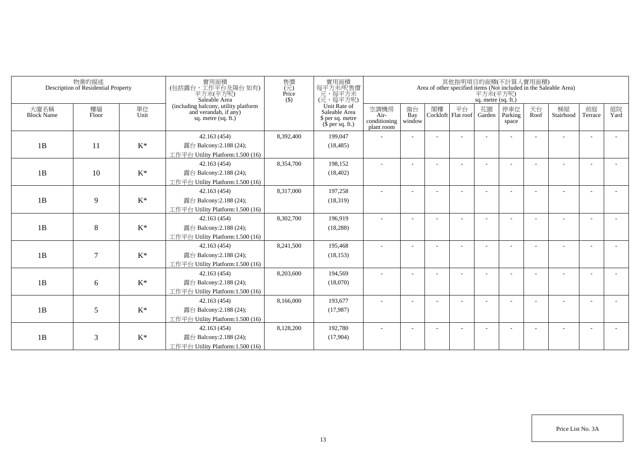| 物業的描述<br>Description of Residential Property |             |                | 實用面積<br>(包括露台,工作平台及陽台 如有)<br>平方米(平方呎)<br>Saleable Area                                 | 售價<br>$(\vec{\pi})$<br>Price<br>$($ \$) | 實用面積<br>每平方米/呎售價<br>一元,每平方米<br>(元,每平方呎)                               | 其他指明項目的面積(不計算入實用面積)<br>Area of other specified items (Not included in the Saleable Area)<br>平方米(平方呎)<br>sq. metre (sq. ft.) |                          |    |                          |              |                         |            |                 |                          |            |  |
|----------------------------------------------|-------------|----------------|----------------------------------------------------------------------------------------|-----------------------------------------|-----------------------------------------------------------------------|-----------------------------------------------------------------------------------------------------------------------------|--------------------------|----|--------------------------|--------------|-------------------------|------------|-----------------|--------------------------|------------|--|
| 大廈名稱<br><b>Block Name</b>                    | 樓層<br>Floor | 單位<br>Unit     | (including balcony, utility platform<br>and verandah, if any)<br>sq. metre $(sq, ft.)$ |                                         | Unit Rate of<br>Saleable Area<br>\$ per sq. metre<br>$$$ per sq. ft.) | 空調機房<br>Air-<br>conditioning<br>plant room                                                                                  | 窗台<br>Bay<br>window      | 閣樓 | 平台<br>Cockloft Flat roof | 花園<br>Garden | 停車位<br>Parking<br>space | 天台<br>Roof | 梯屋<br>Stairhood | 前庭<br>Terrace            | 庭院<br>Yard |  |
|                                              |             |                | 42.163 (454)                                                                           | 8,392,400                               | 199,047                                                               |                                                                                                                             |                          |    |                          |              |                         |            |                 |                          |            |  |
| 1B                                           | 11          | $\mathrm{K}^*$ | 露台 Balcony:2.188 (24);                                                                 |                                         | (18, 485)                                                             |                                                                                                                             |                          |    |                          |              |                         |            |                 |                          |            |  |
|                                              |             |                | 工作平台 Utility Platform:1.500 (16)                                                       |                                         |                                                                       |                                                                                                                             |                          |    |                          |              |                         |            |                 |                          |            |  |
|                                              |             |                | 42.163 (454)                                                                           | 8,354,700                               | 198,152                                                               |                                                                                                                             |                          |    |                          |              |                         |            |                 |                          |            |  |
| 1B                                           | 10          | $\mathrm{K}^*$ | 露台 Balcony: 2.188 (24);                                                                |                                         | (18, 402)                                                             |                                                                                                                             |                          |    |                          |              |                         |            |                 |                          |            |  |
|                                              |             |                | 工作平台 Utility Platform:1.500 (16)                                                       |                                         |                                                                       |                                                                                                                             |                          |    |                          |              |                         |            |                 |                          |            |  |
|                                              |             |                | 42.163 (454)                                                                           | 8,317,000                               | 197,258                                                               | ٠                                                                                                                           | $\overline{\phantom{a}}$ |    |                          |              |                         |            |                 | $\overline{\phantom{a}}$ |            |  |
| 1B                                           | 9           | $K^*$          | 露台 Balcony:2.188 (24);                                                                 |                                         | (18,319)                                                              |                                                                                                                             |                          |    |                          |              |                         |            |                 |                          |            |  |
|                                              |             |                | 工作平台 Utility Platform: 1.500 (16)                                                      |                                         |                                                                       |                                                                                                                             |                          |    |                          |              |                         |            |                 |                          |            |  |
|                                              |             |                | 42.163 (454)                                                                           | 8,302,700                               | 196,919                                                               |                                                                                                                             |                          |    |                          |              |                         |            |                 |                          |            |  |
| 1B                                           | 8           | $\mathrm{K}^*$ | 露台 Balcony: 2.188 (24);                                                                |                                         | (18, 288)                                                             |                                                                                                                             |                          |    |                          |              |                         |            |                 |                          |            |  |
|                                              |             |                | 工作平台 Utility Platform:1.500 (16)                                                       |                                         |                                                                       |                                                                                                                             |                          |    |                          |              |                         |            |                 |                          |            |  |
|                                              |             |                | 42.163 (454)                                                                           | 8,241,500                               | 195,468                                                               |                                                                                                                             |                          |    |                          |              |                         |            |                 |                          |            |  |
| 1B                                           | $\tau$      | $K^*$          | 露台 Balcony: 2.188 (24);                                                                |                                         | (18, 153)                                                             |                                                                                                                             |                          |    |                          |              |                         |            |                 |                          |            |  |
|                                              |             |                | 工作平台 Utility Platform: 1.500 (16)                                                      |                                         |                                                                       |                                                                                                                             |                          |    |                          |              |                         |            |                 |                          |            |  |
|                                              |             |                | 42.163 (454)                                                                           | 8,203,600                               | 194,569                                                               |                                                                                                                             |                          |    |                          |              |                         |            |                 |                          |            |  |
| 1B                                           | 6           | $\mathrm{K}^*$ | 露台 Balcony: 2.188 (24);<br>工作平台 Utility Platform:1.500 (16)                            |                                         | (18,070)                                                              |                                                                                                                             |                          |    |                          |              |                         |            |                 |                          |            |  |
|                                              |             |                | 42.163 (454)                                                                           | 8,166,000                               | 193,677                                                               |                                                                                                                             |                          |    |                          |              |                         |            |                 | $\overline{\phantom{a}}$ |            |  |
| 1B                                           | 5           | $\mathrm{K}^*$ | 露台 Balcony: 2.188 (24);                                                                |                                         | (17,987)                                                              |                                                                                                                             |                          |    |                          |              |                         |            |                 |                          |            |  |
|                                              |             |                | 工作平台 Utility Platform: 1.500 (16)                                                      |                                         |                                                                       |                                                                                                                             |                          |    |                          |              |                         |            |                 |                          |            |  |
|                                              |             |                | 42.163 (454)                                                                           | 8,128,200                               | 192,780                                                               |                                                                                                                             |                          |    |                          |              |                         |            |                 |                          |            |  |
| 1B                                           | 3           | $K^*$          | 露台 Balcony: 2.188 (24);                                                                |                                         | (17,904)                                                              |                                                                                                                             |                          |    |                          |              |                         |            |                 |                          |            |  |
|                                              |             |                | 工作平台 Utility Platform:1.500 (16)                                                       |                                         |                                                                       |                                                                                                                             |                          |    |                          |              |                         |            |                 |                          |            |  |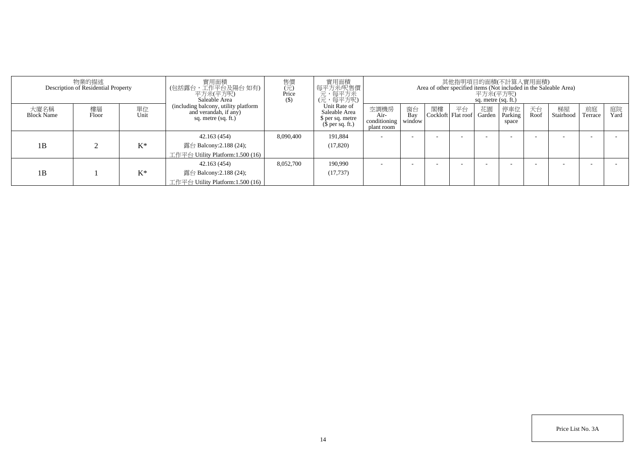| 物業的描述<br>Description of Residential Property |             |            | 寶用面積<br>(包括露台,工作平台及陽台 如有)<br>平方米(平方呎)<br>Saleable Area                               | 售價<br>(元)<br>Price<br>$(\$)$ | 實用面積<br>每平方米呎售價<br>元,每平方呎)<br>(元, 每平方呎)                               | 其他指明項目的面積(不計算入實用面積)<br>Area of other specified items (Not included in the Saleable Area)<br>平方米(平方呎)<br>sq. metre (sq. ft.) |                     |    |                          |              |                         |            |                 |               |            |
|----------------------------------------------|-------------|------------|--------------------------------------------------------------------------------------|------------------------------|-----------------------------------------------------------------------|-----------------------------------------------------------------------------------------------------------------------------|---------------------|----|--------------------------|--------------|-------------------------|------------|-----------------|---------------|------------|
| 大廈名稱<br><b>Block Name</b>                    | 樓層<br>Floor | 單位<br>Unit | (including balcony, utility platform<br>and verandah, if any)<br>sq. metre (sq. ft.) |                              | Unit Rate of<br>Saleable Area<br>\$ per sq. metre<br>$$$ per sq. ft.) | 空調機房<br>Air-<br>conditioning<br>plant room                                                                                  | 窗台<br>Bay<br>window | 閣樓 | 平台<br>Cockloft Flat roof | 花園<br>Garden | 停車位<br>Parking<br>space | 天台<br>Roof | 梯屋<br>Stairhood | 前庭<br>Terrace | 庭院<br>Yard |
|                                              |             |            | 42.163(454)                                                                          | 8,090,400                    | 191,884                                                               |                                                                                                                             |                     |    |                          |              |                         |            |                 |               |            |
| 1B                                           |             | $K^*$      | 露台 Balcony:2.188 (24);                                                               |                              | (17,820)                                                              |                                                                                                                             |                     |    |                          |              |                         |            |                 |               |            |
|                                              |             |            | 工作平台 Utility Platform:1.500 (16)                                                     |                              |                                                                       |                                                                                                                             |                     |    |                          |              |                         |            |                 |               |            |
|                                              |             |            | 42.163(454)                                                                          | 8,052,700                    | 190.990                                                               | -                                                                                                                           |                     |    |                          |              |                         |            |                 |               |            |
| 1B                                           |             | $K^*$      | 露台 Balcony:2.188 (24);                                                               |                              | (17, 737)                                                             |                                                                                                                             |                     |    |                          |              |                         |            |                 |               |            |
|                                              |             |            | 工作平台 Utility Platform:1.500 (16)                                                     |                              |                                                                       |                                                                                                                             |                     |    |                          |              |                         |            |                 |               |            |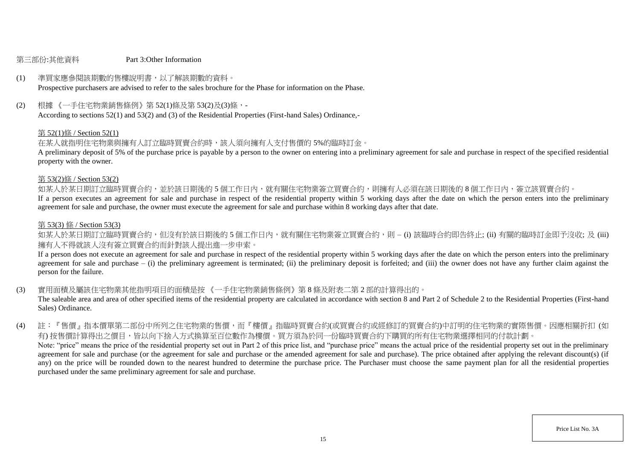### 第三部份:其他資料 Part 3:Other Information

# (1) 準買家應參閱該期數的售樓說明書,以了解該期數的資料。

Prospective purchasers are advised to refer to the sales brochure for the Phase for information on the Phase.

(2) 根據 《一手住宅物業銷售條例》第 52(1)條及第 53(2)及(3)條,-

According to sections 52(1) and 53(2) and (3) of the Residential Properties (First-hand Sales) Ordinance,-

### 第 52(1)條 / Section 52(1)

在某人就指明住宅物業與擁有人訂立臨時買賣合約時,該人須向擁有人支付售價的 5%的臨時訂金。

A preliminary deposit of 5% of the purchase price is payable by a person to the owner on entering into a preliminary agreement for sale and purchase in respect of the specified residential property with the owner.

### 第 53(2)條 / Section 53(2)

如某人於某日期訂立臨時買賣合約,並於該日期後的5個工作日內,就有關住宅物業簽立買賣合約,則擁有人必須在該日期後的8個工作日內,簽立該買賣合約。

If a person executes an agreement for sale and purchase in respect of the residential property within 5 working days after the date on which the person enters into the preliminary agreement for sale and purchase, the owner must execute the agreement for sale and purchase within 8 working days after that date.

### 第 53(3) 條 / Section 53(3)

如某人於某日期訂立臨時買賣合約,但沒有於該日期後的 5 個工作日内,就有關住宅物業簽立買賣合約,則 – (i) 該臨時合約即告終止; (ii) 有關的臨時訂金即予沒收; 及 (iii) 擁有人不得就該人沒有簽立買賣合約而針對該人提出進一步申索。

If a person does not execute an agreement for sale and purchase in respect of the residential property within 5 working days after the date on which the person enters into the preliminary agreement for sale and purchase  $-$  (i) the preliminary agreement is terminated; (ii) the preliminary deposit is forfeited; and (iii) the owner does not have any further claim against the person for the failure.

(3) 實用面積及屬該住宅物業其他指明項目的面積是按 《一手住宅物業銷售條例》第 8 條及附表二第 2 部的計算得出的。

The saleable area and area of other specified items of the residential property are calculated in accordance with section 8 and Part 2 of Schedule 2 to the Residential Properties (First-hand Sales) Ordinance.

(4) 註:『售價』指本價單第二部份中所列之住宅物業的售價,而『樓價』指臨時買賣合約(或買賣合約或經修訂的買賣合約)中訂明的住宅物業的實際售價。因應相關折扣 (如 有) 按售價計算得出之價目,皆以向下捨入方式換算至百位數作為樓價。買方須為於同一份臨時買賣合約下購買的所有住宅物業選擇相同的付款計劃。 Note: "price" means the price of the residential property set out in Part 2 of this price list, and "purchase price" means the actual price of the residential property set out in the preliminary agreement for sale and purchase (or the agreement for sale and purchase or the amended agreement for sale and purchase). The price obtained after applying the relevant discount(s) (if any) on the price will be rounded down to the nearest hundred to determine the purchase price. The Purchaser must choose the same payment plan for all the residential properties purchased under the same preliminary agreement for sale and purchase.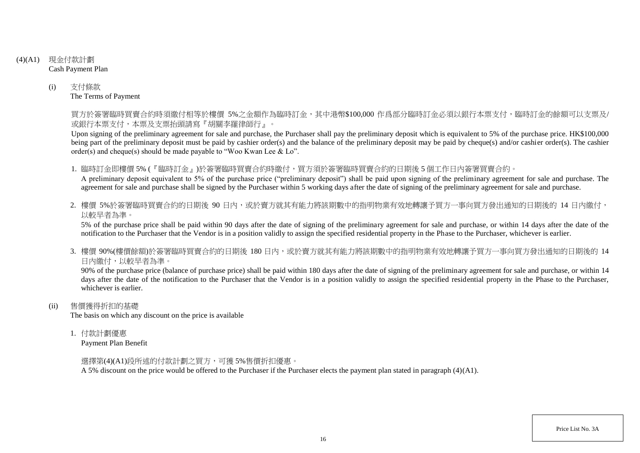- (4)(A1) 現金付款計劃 Cash Payment Plan
	- (i) 支付條款 The Terms of Payment

買方於簽署臨時買賣合約時須繳付相等於樓價 5%之金額作為臨時訂金,其中港幣\$100,000 作爲部分臨時訂金必須以銀行本票支付,臨時訂金的餘額可以支票及/ 或銀行本票支付,本票及支票抬頭請寫『胡關李羅律師行』。

Upon signing of the preliminary agreement for sale and purchase, the Purchaser shall pay the preliminary deposit which is equivalent to 5% of the purchase price. HK\$100,000 being part of the preliminary deposit must be paid by cashier order(s) and the balance of the preliminary deposit may be paid by cheque(s) and/or cashier order(s). The cashier order(s) and cheque(s) should be made payable to "Woo Kwan Lee & Lo".

1. 臨時訂金即樓價 5% (『臨時訂金』)於簽署臨時買賣合約時繳付,買方須於簽署臨時買賣合約的日期後 5 個工作日內簽署買賣合約。

A preliminary deposit equivalent to 5% of the purchase price ("preliminary deposit") shall be paid upon signing of the preliminary agreement for sale and purchase. The agreement for sale and purchase shall be signed by the Purchaser within 5 working days after the date of signing of the preliminary agreement for sale and purchase.

2. 樓價 5%於簽署臨時買賣合約的日期後 90 日内,或於賣方就其有能力將該期數中的指明物業有效地轉讓予買方一事向買方發出通知的日期後的 14 日內繳付, 以較早者為準。

5% of the purchase price shall be paid within 90 days after the date of signing of the preliminary agreement for sale and purchase, or within 14 days after the date of the notification to the Purchaser that the Vendor is in a position validly to assign the specified residential property in the Phase to the Purchaser, whichever is earlier.

3. 樓價 90%(樓價餘額)於簽署臨時買賣合約的日期後 180 日内,或於賣方就其有能力將該期數中的指明物業有效地轉讓予買方一事向買方發出涌知的日期後的 14 日內繳付,以較早者為準。

90% of the purchase price (balance of purchase price) shall be paid within 180 days after the date of signing of the preliminary agreement for sale and purchase, or within 14 days after the date of the notification to the Purchaser that the Vendor is in a position validly to assign the specified residential property in the Phase to the Purchaser. whichever is earlier.

(ii) 售價獲得折扣的基礎

The basis on which any discount on the price is available

1. 付款計劃優惠

Payment Plan Benefit

選擇第(4)(A1)段所述的付款計劃之買方,可獲 5%售價折扣優惠。

A 5% discount on the price would be offered to the Purchaser if the Purchaser elects the payment plan stated in paragraph (4)(A1).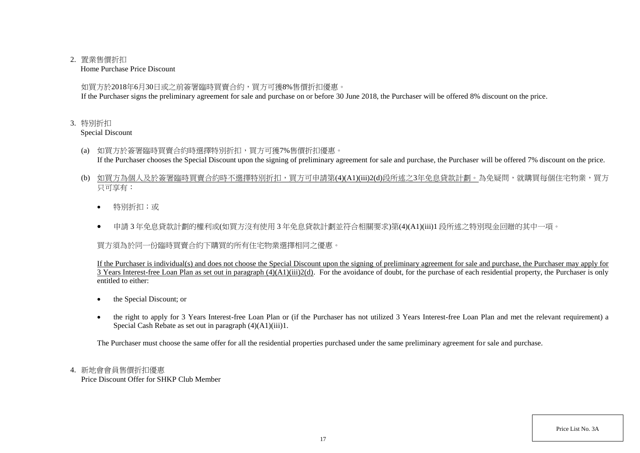## 2. 置業售價折扣

Home Purchase Price Discount

如買方於2018年6月30日或之前簽署臨時買賣合約,買方可獲8%售價折扣優惠。

If the Purchaser signs the preliminary agreement for sale and purchase on or before 30 June 2018, the Purchaser will be offered 8% discount on the price.

## 3. 特別折扣

Special Discount

- (a) 如買方於簽署臨時買賣合約時選擇特別折扣,買方可獲7%售價折扣優惠。 If the Purchaser chooses the Special Discount upon the signing of preliminary agreement for sale and purchase, the Purchaser will be offered 7% discount on the price.
- (b) 如買方為個人及於簽署臨時買賣合約時不選擇特別折扣,買方可申請第(4)(A1)(iii)2(d)段所述之3年免息貸款計劃。為免疑問,就購買每個住宅物業,買方 只可享有:
	- 特別折扣;或
	- 申請 3 年免息貸款計劃的權利或(如買方沒有使用 3 年免息貸款計劃並符合相關要求)第(4)(A1)(iii)1 段所述之特別現金回贈的其中一項。

買方須為於同一份臨時買賣合約下購買的所有住宅物業選擇相同之優惠。

If the Purchaser is individual(s) and does not choose the Special Discount upon the signing of preliminary agreement for sale and purchase, the Purchaser may apply for 3 Years Interest-free Loan Plan as set out in paragraph (4)(A1)(iii)2(d). For the avoidance of doubt, for the purchase of each residential property, the Purchaser is only entitled to either:

- the Special Discount; or
- the right to apply for 3 Years Interest-free Loan Plan or (if the Purchaser has not utilized 3 Years Interest-free Loan Plan and met the relevant requirement) a Special Cash Rebate as set out in paragraph (4)(A1)(iii)1.

The Purchaser must choose the same offer for all the residential properties purchased under the same preliminary agreement for sale and purchase.

# 4. 新地會會員售價折扣優惠

Price Discount Offer for SHKP Club Member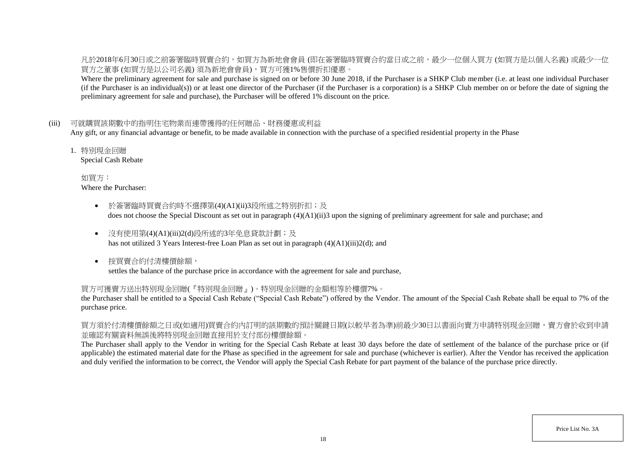凡於2018年6月30日或之前簽署臨時買賣合約,如買方為新地會會員 (即在簽署臨時買賣合約當日或之前,最少一位個人買方 (如買方是以個人名義) 或最少一位 買方之董事 (如買方是以公司名義) 須為新地會會員),買方可獲1%售價折扣優惠。

Where the preliminary agreement for sale and purchase is signed on or before 30 June 2018, if the Purchaser is a SHKP Club member (i.e. at least one individual Purchaser (if the Purchaser is an individual(s)) or at least one director of the Purchaser (if the Purchaser is a corporation) is a SHKP Club member on or before the date of signing the preliminary agreement for sale and purchase), the Purchaser will be offered 1% discount on the price.

## (iii) 可就購買該期數中的指明住宅物業而連帶獲得的任何贈品、財務優惠或利益

Any gift, or any financial advantage or benefit, to be made available in connection with the purchase of a specified residential property in the Phase

1. 特別現金回贈

Special Cash Rebate

如買方: Where the Purchaser:

- 於簽署臨時買賣合約時不選擇第(4)(A1)(ii)3段所述之特別折扣;及 does not choose the Special Discount as set out in paragraph (4)(A1)(ii)3 upon the signing of preliminary agreement for sale and purchase; and
- 沒有使用第(4)(A1)(iii)2(d)段所述的3年免息貸款計劃;及 has not utilized 3 Years Interest-free Loan Plan as set out in paragraph (4)(A1)(iii)2(d); and
- 按買賣合約付清樓價餘額, settles the balance of the purchase price in accordance with the agreement for sale and purchase,

### 買方可獲賣方送出特別現金回贈(『特別現金回贈』)。特別現金回贈的金額相等於樓價7%。

the Purchaser shall be entitled to a Special Cash Rebate ("Special Cash Rebate") offered by the Vendor. The amount of the Special Cash Rebate shall be equal to 7% of the purchase price.

買方須於付清樓價餘額之日或(如適用)買賣合約內訂明的該期數的預計關鍵日期(以較早者為準)前最少30日以書面向賣方申請特別現金回贈,賣方會於收到申請 並確認有關資料無誤後將特別現金回贈直接用於支付部份樓價餘額。

The Purchaser shall apply to the Vendor in writing for the Special Cash Rebate at least 30 days before the date of settlement of the balance of the purchase price or (if applicable) the estimated material date for the Phase as specified in the agreement for sale and purchase (whichever is earlier). After the Vendor has received the application and duly verified the information to be correct, the Vendor will apply the Special Cash Rebate for part payment of the balance of the purchase price directly.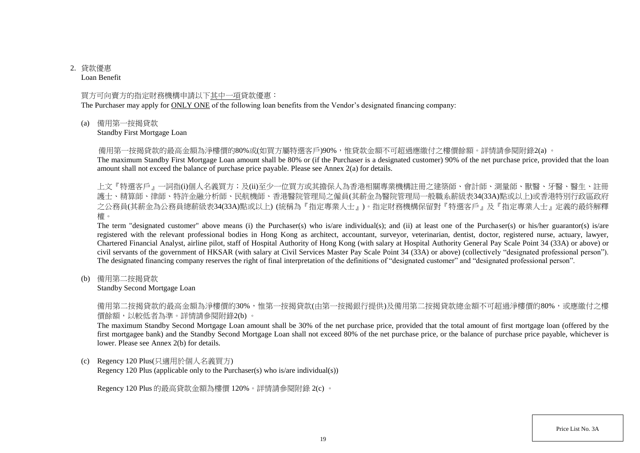# 2. 貸款優惠

Loan Benefit

### 買方可向賣方的指定財務機構申請以下其中一項貸款優惠:

The Purchaser may apply for ONLY ONE of the following loan benefits from the Vendor's designated financing company:

(a) 備用第一按揭貸款

Standby First Mortgage Loan

備用第一按揭貸款的最高金額為淨樓價的80%或(如買方屬特選客戶)90%,惟貸款金額不可超過應繳付之樓價餘額。詳情請參閱附錄2(a) 。

The maximum Standby First Mortgage Loan amount shall be 80% or (if the Purchaser is a designated customer) 90% of the net purchase price, provided that the loan amount shall not exceed the balance of purchase price payable. Please see Annex 2(a) for details.

上文『特選客戶』一詞指(i)個人名義買方;及(ii)至少一位買方或其擔保人為香港相關專業機構註冊之建築師、會計師、測量師、獸醫、牙醫、醫生、註冊 護士、精算師、律師、特許金融分析師、民航機師、香港醫院管理局之僱員(其薪金為醫院管理局一般職系薪級表34(33A)點或以上)或香港特別行政區政府 之公務員(其薪金為公務員總薪級表34(33A)點或以上) (統稱為『指定專業人士』)。指定財務機構保留對『特選客戶』及『指定專業人士』定義的最終解釋 權。

The term "designated customer" above means (i) the Purchaser(s) who is/are individual(s); and (ii) at least one of the Purchaser(s) or his/her guarantor(s) is/are registered with the relevant professional bodies in Hong Kong as architect, accountant, surveyor, veterinarian, dentist, doctor, registered nurse, actuary, lawyer, Chartered Financial Analyst, airline pilot, staff of Hospital Authority of Hong Kong (with salary at Hospital Authority General Pay Scale Point 34 (33A) or above) or civil servants of the government of HKSAR (with salary at Civil Services Master Pay Scale Point 34 (33A) or above) (collectively "designated professional person"). The designated financing company reserves the right of final interpretation of the definitions of "designated customer" and "designated professional person".

(b) 備用第二按揭貸款

Standby Second Mortgage Loan

備用第二按揭貸款的最高金額為淨樓價的30%,惟第一按揭貸款(由第一按揭銀行提供)及備用第二按揭貸款總金額不可超過淨樓價的80%,或應繳付之樓 價餘額,以較低者為準。詳情請參閱附錄2(b) 。

The maximum Standby Second Mortgage Loan amount shall be 30% of the net purchase price, provided that the total amount of first mortgage loan (offered by the first mortgagee bank) and the Standby Second Mortgage Loan shall not exceed 80% of the net purchase price, or the balance of purchase price payable, whichever is lower. Please see Annex 2(b) for details.

(c) Regency 120 Plus(只適用於個人名義買方)

Regency 120 Plus (applicable only to the Purchaser(s) who is/are individual(s))

Regency 120 Plus 的最高貸款金額為樓價 120%。詳情請參閱附錄 2(c) 。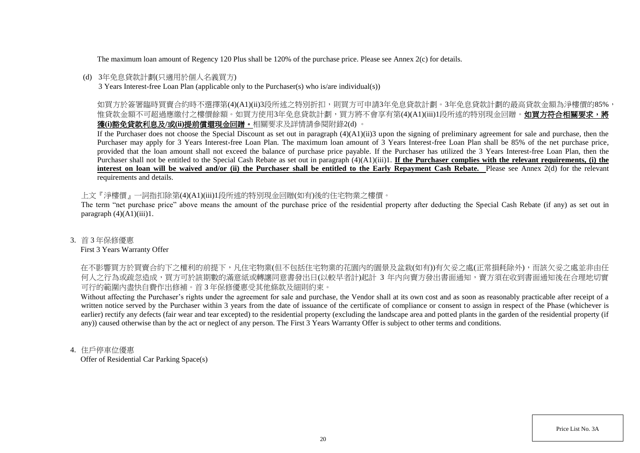The maximum loan amount of Regency 120 Plus shall be 120% of the purchase price. Please see Annex 2(c) for details.

## (d) 3年免息貸款計劃(只適用於個人名義買方)

3 Years Interest-free Loan Plan (applicable only to the Purchaser(s) who is/are individual(s))

如買方於簽署臨時買賣合約時不選擇第(4)(A1)(ii)3段所述之特別折扣,則買方可申請3年免息貸款計劃。3年免息貸款計劃的最高貸款金額為淨樓價的85%, 惟貸款金額不可超過應繳付之樓價餘額。如買方使用3年免息貸款計劃,買方將不會享有第(4)(A1)(iii)1段所述的特別現金回贈。如買方符合相關要求,將 獲**(i)**豁免貸款利息及**/**或**(ii)**提前償還現金回贈。相關要求及詳情請參閱附錄2(d) 。

If the Purchaser does not choose the Special Discount as set out in paragraph (4)(A1)(ii)3 upon the signing of preliminary agreement for sale and purchase, then the Purchaser may apply for 3 Years Interest-free Loan Plan. The maximum loan amount of 3 Years Interest-free Loan Plan shall be 85% of the net purchase price, provided that the loan amount shall not exceed the balance of purchase price payable. If the Purchaser has utilized the 3 Years Interest-free Loan Plan, then the Purchaser shall not be entitled to the Special Cash Rebate as set out in paragraph (4)(A1)(iii)1. **If the Purchaser complies with the relevant requirements, (i) the** interest on loan will be waived and/or (ii) the Purchaser shall be entitled to the Early Repayment Cash Rebate. Please see Annex 2(d) for the relevant requirements and details.

上文『淨樓價』一詞指扣除第(4)(A1)(iii)1段所述的特別現金回贈(如有)後的住宅物業之樓價。

The term "net purchase price" above means the amount of the purchase price of the residential property after deducting the Special Cash Rebate (if any) as set out in paragraph  $(4)(A1)(iii)1$ .

## 3. 首 3 年保修優惠

### First 3 Years Warranty Offer

在不影響買方於買賣合約下之權利的前提下,凡住宅物業(但不包括住宅物業的花園内的園景及盆栽(如有))有欠妥之處(正常損耗除外),而該欠妥之處並非由任 何人之行為或疏忽造成,買方可於該期數的滿意紙或轉讓同意書發出日(以較早者計)起計 3 年内向賣方發出書面通知,賣方須在收到書面通知後在合理地切實 可行的範圍內盡快自費作出修補。首 3 年保修優惠受其他條款及細則約束。

Without affecting the Purchaser's rights under the agreement for sale and purchase, the Vendor shall at its own cost and as soon as reasonably practicable after receipt of a written notice served by the Purchaser within 3 years from the date of issuance of the certificate of compliance or consent to assign in respect of the Phase (whichever is earlier) rectify any defects (fair wear and tear excepted) to the residential property (excluding the landscape area and potted plants in the garden of the residential property (if any)) caused otherwise than by the act or neglect of any person. The First 3 Years Warranty Offer is subject to other terms and conditions.

## 4. 住戶停車位優惠

Offer of Residential Car Parking Space(s)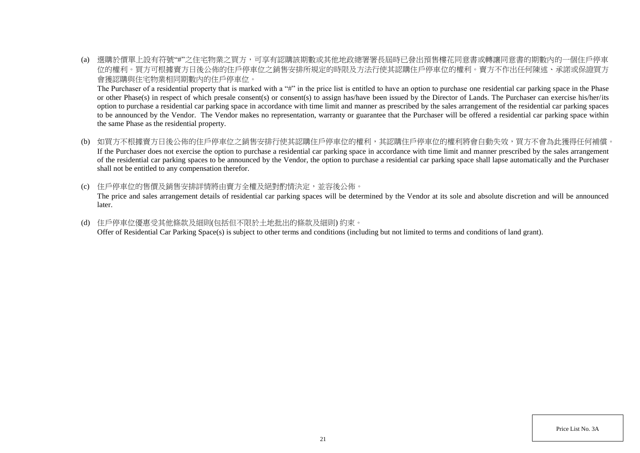(a) 選購於價單上設有符號"#"之住宅物業之買方,可享有認購該期數或其他地政總署署長屆時已發出預售樓花同意書或轉讓同意書的期數內的一個住戶停車 位的權利。買方可根據賣方日後公佈的住戶停車位之銷售安排所規定的時限及方法行使其認購住戶停車位的權利。賣方不作出任何陳述、承諾或保證買方 會獲認購與住宅物業相同期數內的住戶停車位。

The Purchaser of a residential property that is marked with a "#" in the price list is entitled to have an option to purchase one residential car parking space in the Phase or other Phase(s) in respect of which presale consent(s) or consent(s) to assign has/have been issued by the Director of Lands. The Purchaser can exercise his/her/its option to purchase a residential car parking space in accordance with time limit and manner as prescribed by the sales arrangement of the residential car parking spaces to be announced by the Vendor. The Vendor makes no representation, warranty or guarantee that the Purchaser will be offered a residential car parking space within the same Phase as the residential property.

- (b) 如買方不根據賣方日後公佈的住戶停車位之銷售安排行使其認購住戶停車位的權利,其認購住戶停車位的權利將會自動失效,買方不會為此獲得任何補償。 If the Purchaser does not exercise the option to purchase a residential car parking space in accordance with time limit and manner prescribed by the sales arrangement of the residential car parking spaces to be announced by the Vendor, the option to purchase a residential car parking space shall lapse automatically and the Purchaser shall not be entitled to any compensation therefor.
- (c) 住戶停車位的售價及銷售安排詳情將由賣方全權及絕對酌情決定,並容後公佈。 The price and sales arrangement details of residential car parking spaces will be determined by the Vendor at its sole and absolute discretion and will be announced later.
- (d) 住戶停車位優惠受其他條款及細則(包括但不限於土地批出的條款及細則) 約束。 Offer of Residential Car Parking Space(s) is subject to other terms and conditions (including but not limited to terms and conditions of land grant).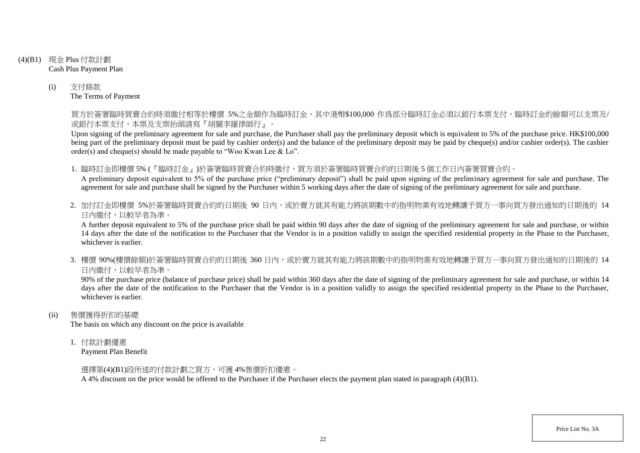- (4)(B1) 現金 Plus 付款計劃 Cash Plus Payment Plan
	- (i) 支付條款 The Terms of Payment

買方於簽署臨時買賣合約時須繳付相等於樓價 5%之金額作為臨時訂金,其中港幣\$100,000 作爲部分臨時訂金必須以銀行本票支付,臨時訂金的餘額可以支票及/ 或銀行本票支付,本票及支票抬頭請寫『胡關李羅律師行』。

Upon signing of the preliminary agreement for sale and purchase, the Purchaser shall pay the preliminary deposit which is equivalent to 5% of the purchase price. HK\$100,000 being part of the preliminary deposit must be paid by cashier order(s) and the balance of the preliminary deposit may be paid by cheque(s) and/or cashier order(s). The cashier order(s) and cheque(s) should be made payable to "Woo Kwan Lee & Lo".

1. 臨時訂金即樓價 5% (『臨時訂金』)於簽署臨時買賣合約時繳付,買方須於簽署臨時買賣合約的日期後 5 個工作日內簽署買賣合約。

A preliminary deposit equivalent to 5% of the purchase price ("preliminary deposit") shall be paid upon signing of the preliminary agreement for sale and purchase. The agreement for sale and purchase shall be signed by the Purchaser within 5 working days after the date of signing of the preliminary agreement for sale and purchase.

2. 加付訂金即樓價 5%於簽署臨時買賣合約的日期後 90 日内,或於賣方就其有能力將該期數中的指明物業有效地轉讓予買方一事向買方發出通知的日期後的 14 日內繳付,以較早者為準。

A further deposit equivalent to 5% of the purchase price shall be paid within 90 days after the date of signing of the preliminary agreement for sale and purchase, or within 14 days after the date of the notification to the Purchaser that the Vendor is in a position validly to assign the specified residential property in the Phase to the Purchaser, whichever is earlier.

3. 樓價 90%(樓價餘額)於簽署臨時買賣合約的日期後 360 日內,或於賣方就其有能力將該期數中的指明物業有效地轉讓予買方一事向買方發出通知的日期後的 14 日內繳付,以較早者為準。

90% of the purchase price (balance of purchase price) shall be paid within 360 days after the date of signing of the preliminary agreement for sale and purchase, or within 14 days after the date of the notification to the Purchaser that the Vendor is in a position validly to assign the specified residential property in the Phase to the Purchaser, whichever is earlier.

(ii) 售價獲得折扣的基礎

The basis on which any discount on the price is available

1. 付款計劃優惠

Payment Plan Benefit

選擇第(4)(B1)段所述的付款計劃之買方,可獲 4%售價折扣優惠。

A 4% discount on the price would be offered to the Purchaser if the Purchaser elects the payment plan stated in paragraph (4)(B1).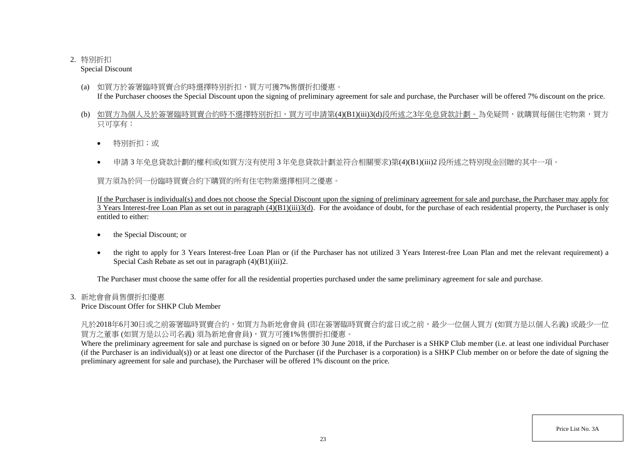# 2. 特別折扣

Special Discount

- (a) 如買方於簽署臨時買賣合約時選擇特別折扣,買方可獲7%售價折扣優惠。 If the Purchaser chooses the Special Discount upon the signing of preliminary agreement for sale and purchase, the Purchaser will be offered 7% discount on the price.
- (b) 如買方為個人及於簽署臨時買賣合約時不選擇特別折扣,買方可申請第(4)(B1)(iii)3(d)段所述之3年免息貸款計劃。為免疑問,就購買每個住宅物業,買方 只可享有:
	- 特別折扣;或
	- 申請 3 年免息貸款計劃的權利或(如買方沒有使用 3 年免息貸款計劃並符合相關要求)第(4)(B1)(iii)2 段所述之特別現金回贈的其中一項。

買方須為於同一份臨時買賣合約下購買的所有住宅物業選擇相同之優惠。

If the Purchaser is individual(s) and does not choose the Special Discount upon the signing of preliminary agreement for sale and purchase, the Purchaser may apply for  $\overline{3}$  Years Interest-free Loan Plan as set out in paragraph  $(4)(B1)(iii)3(d)$ . For the avoidance of doubt, for the purchase of each residential property, the Purchaser is only entitled to either:

- the Special Discount; or
- the right to apply for 3 Years Interest-free Loan Plan or (if the Purchaser has not utilized 3 Years Interest-free Loan Plan and met the relevant requirement) a Special Cash Rebate as set out in paragraph (4)(B1)(iii)2.

The Purchaser must choose the same offer for all the residential properties purchased under the same preliminary agreement for sale and purchase.

# 3. 新地會會員售價折扣優惠

Price Discount Offer for SHKP Club Member

凡於2018年6月30日或之前簽署臨時買賣合約,如買方為新地會會員 (即在簽署臨時買賣合約當日或之前,最少一位個人買方 (如買方是以個人名義) 或最少一位 買方之董事 (如買方是以公司名義) 須為新地會會員),買方可獲1%售價折扣優惠。

Where the preliminary agreement for sale and purchase is signed on or before 30 June 2018, if the Purchaser is a SHKP Club member (i.e. at least one individual Purchaser (if the Purchaser is an individual(s)) or at least one director of the Purchaser (if the Purchaser is a corporation) is a SHKP Club member on or before the date of signing the preliminary agreement for sale and purchase), the Purchaser will be offered 1% discount on the price.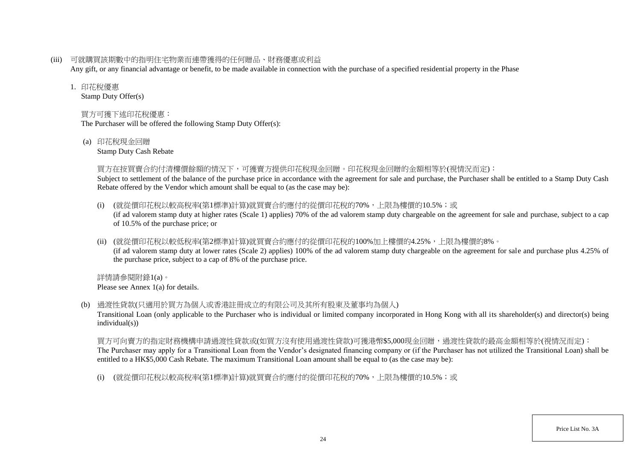(iii) 可就購買該期數中的指明住宅物業而連帶獲得的任何贈品、財務優惠或利益

Any gift, or any financial advantage or benefit, to be made available in connection with the purchase of a specified residential property in the Phase

### 1. 印花稅優惠

Stamp Duty Offer(s)

# 買方可獲下述印花稅優惠:

The Purchaser will be offered the following Stamp Duty Offer(s):

(a) 印花稅現金回贈

Stamp Duty Cash Rebate

## 買方在按買賣合約付清樓價餘額的情況下,可獲賣方提供印花稅現金回贈。印花稅現金回贈的金額相等於(視情況而定):

Subject to settlement of the balance of the purchase price in accordance with the agreement for sale and purchase, the Purchaser shall be entitled to a Stamp Duty Cash Rebate offered by the Vendor which amount shall be equal to (as the case may be):

- (i) (就從價印花稅以較高稅率(第1標準)計算)就買賣合約應付的從價印花稅的70%,上限為樓價的10.5%;或 (if ad valorem stamp duty at higher rates (Scale 1) applies) 70% of the ad valorem stamp duty chargeable on the agreement for sale and purchase, subject to a cap of 10.5% of the purchase price; or
- (ii) (就從價印花稅以較低稅率(第2標準)計算)就買賣合約應付的從價印花稅的100%加上樓價的4.25%,上限為樓價的8%。 (if ad valorem stamp duty at lower rates (Scale 2) applies) 100% of the ad valorem stamp duty chargeable on the agreement for sale and purchase plus 4.25% of the purchase price, subject to a cap of 8% of the purchase price.

詳情請參閱附錄1(a)。 Please see Annex 1(a) for details.

(b) 過渡性貸款(只適用於買方為個人或香港註冊成立的有限公司及其所有股東及董事均為個人)

Transitional Loan (only applicable to the Purchaser who is individual or limited company incorporated in Hong Kong with all its shareholder(s) and director(s) being individual(s))

買方可向賣方的指定財務機構申請過渡性貸款或(如買方沒有使用過渡性貸款)可獲港幣\$5,000現金回贈,過渡性貸款的最高金額相等於(視情況而定): The Purchaser may apply for a Transitional Loan from the Vendor's designated financing company or (if the Purchaser has not utilized the Transitional Loan) shall be entitled to a HK\$5,000 Cash Rebate. The maximum Transitional Loan amount shall be equal to (as the case may be):

(i) (就從價印花稅以較高稅率(第1標準)計算)就買賣合約應付的從價印花稅的70%,上限為樓價的10.5%;或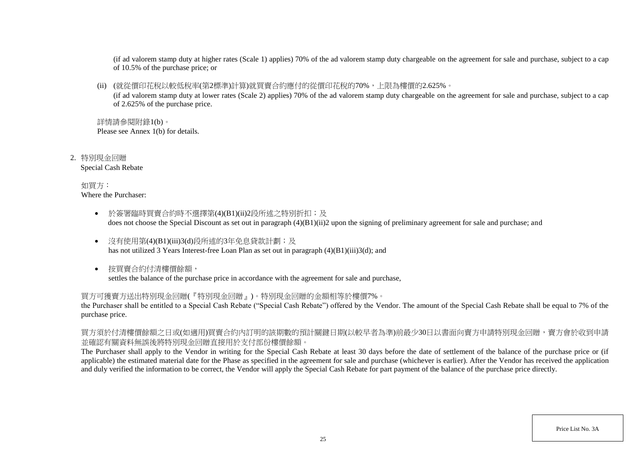(if ad valorem stamp duty at higher rates (Scale 1) applies) 70% of the ad valorem stamp duty chargeable on the agreement for sale and purchase, subject to a cap of 10.5% of the purchase price; or

(ii) (就從價印花稅以較低稅率(第2標準)計算)就買賣合約應付的從價印花稅的70%,上限為樓價的2.625%。

(if ad valorem stamp duty at lower rates (Scale 2) applies) 70% of the ad valorem stamp duty chargeable on the agreement for sale and purchase, subject to a cap of 2.625% of the purchase price.

詳情請參閱附錄1(b)。 Please see Annex 1(b) for details.

2. 特別現金回贈 Special Cash Rebate

> 如買方: Where the Purchaser:

- 於簽署臨時買賣合約時不選擇第(4)(B1)(ii)2段所述之特別折扣;及 does not choose the Special Discount as set out in paragraph (4)(B1)(ii)2 upon the signing of preliminary agreement for sale and purchase; and
- 沒有使用第(4)(B1)(iii)3(d)段所述的3年免息貸款計劃;及 has not utilized 3 Years Interest-free Loan Plan as set out in paragraph (4)(B1)(iii)3(d); and
- 按買賣合約付清樓價餘額, settles the balance of the purchase price in accordance with the agreement for sale and purchase,

買方可獲賣方送出特別現金回贈(『特別現金回贈』)。特別現金回贈的金額相等於樓價7%。

the Purchaser shall be entitled to a Special Cash Rebate ("Special Cash Rebate") offered by the Vendor. The amount of the Special Cash Rebate shall be equal to 7% of the purchase price.

買方須於付清樓價餘額之日或(如適用)買賣合約內訂明的該期數的預計關鍵日期(以較早者為準)前最少30日以書面向賣方申請特別現金回贈,賣方會於收到申請 並確認有關資料無誤後將特別現金回贈直接用於支付部份樓價餘額。

The Purchaser shall apply to the Vendor in writing for the Special Cash Rebate at least 30 days before the date of settlement of the balance of the purchase price or (if applicable) the estimated material date for the Phase as specified in the agreement for sale and purchase (whichever is earlier). After the Vendor has received the application and duly verified the information to be correct, the Vendor will apply the Special Cash Rebate for part payment of the balance of the purchase price directly.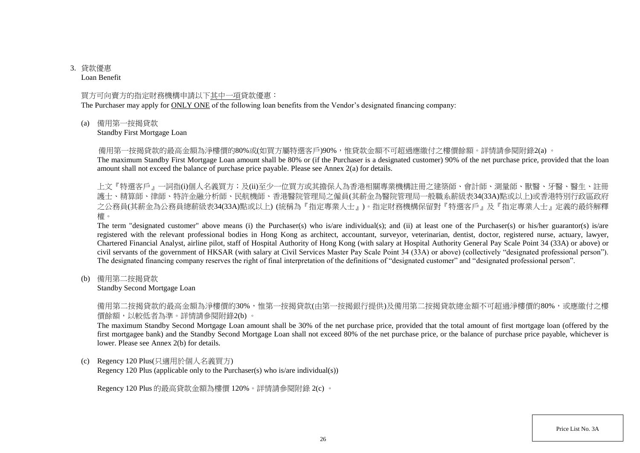# 3. 貸款優惠

Loan Benefit

## 買方可向賣方的指定財務機構申請以下其中一項貸款優惠:

The Purchaser may apply for ONLY ONE of the following loan benefits from the Vendor's designated financing company:

(a) 備用第一按揭貸款

Standby First Mortgage Loan

備用第一按揭貸款的最高金額為淨樓價的80%或(如買方屬特選客戶)90%,惟貸款金額不可超過應繳付之樓價餘額。詳情請參閱附錄2(a) 。

The maximum Standby First Mortgage Loan amount shall be 80% or (if the Purchaser is a designated customer) 90% of the net purchase price, provided that the loan amount shall not exceed the balance of purchase price payable. Please see Annex 2(a) for details.

上文『特選客戶』一詞指(i)個人名義買方;及(ii)至少一位買方或其擔保人為香港相關專業機構註冊之建築師、會計師、測量師、獸醫、牙醫、醫生、註冊 護士、精算師、律師、特許金融分析師、民航機師、香港醫院管理局之僱員(其薪金為醫院管理局一般職系薪級表34(33A)點或以上)或香港特別行政區政府 之公務員(其薪金為公務員總薪級表34(33A)點或以上) (統稱為『指定專業人士』)。指定財務機構保留對『特選客戶』及『指定專業人士』定義的最終解釋 權。

The term "designated customer" above means (i) the Purchaser(s) who is/are individual(s); and (ii) at least one of the Purchaser(s) or his/her guarantor(s) is/are registered with the relevant professional bodies in Hong Kong as architect, accountant, surveyor, veterinarian, dentist, doctor, registered nurse, actuary, lawyer, Chartered Financial Analyst, airline pilot, staff of Hospital Authority of Hong Kong (with salary at Hospital Authority General Pay Scale Point 34 (33A) or above) or civil servants of the government of HKSAR (with salary at Civil Services Master Pay Scale Point 34 (33A) or above) (collectively "designated professional person"). The designated financing company reserves the right of final interpretation of the definitions of "designated customer" and "designated professional person".

(b) 備用第二按揭貸款

Standby Second Mortgage Loan

備用第二按揭貸款的最高金額為淨樓價的30%,惟第一按揭貸款(由第一按揭銀行提供)及備用第二按揭貸款總金額不可超過淨樓價的80%,或應繳付之樓 價餘額,以較低者為準。詳情請參閱附錄2(b) 。

The maximum Standby Second Mortgage Loan amount shall be 30% of the net purchase price, provided that the total amount of first mortgage loan (offered by the first mortgagee bank) and the Standby Second Mortgage Loan shall not exceed 80% of the net purchase price, or the balance of purchase price payable, whichever is lower. Please see Annex 2(b) for details.

(c) Regency 120 Plus(只適用於個人名義買方)

Regency 120 Plus (applicable only to the Purchaser(s) who is/are individual(s))

Regency 120 Plus 的最高貸款金額為樓價 120%。詳情請參閱附錄 2(c) 。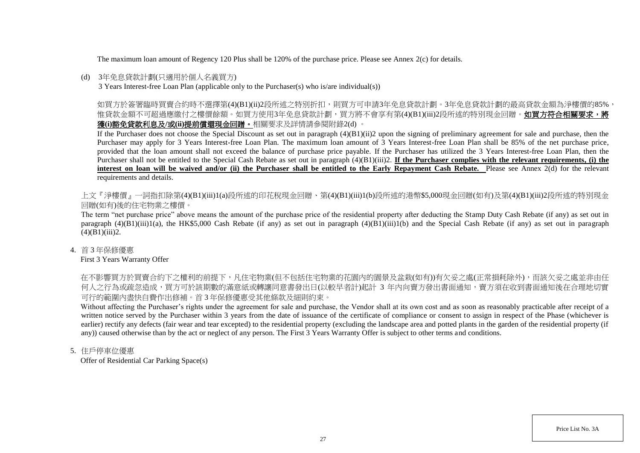The maximum loan amount of Regency 120 Plus shall be 120% of the purchase price. Please see Annex 2(c) for details.

### (d) 3年免息貸款計劃(只適用於個人名義買方)

3 Years Interest-free Loan Plan (applicable only to the Purchaser(s) who is/are individual(s))

如買方於簽署臨時買賣合約時不選擇第(4)(B1)(ii)2段所述之特別折扣,則買方可申請3年免息貸款計劃。3年免息貸款計劃的最高貸款金額為淨樓價的85%, 惟貸款金額不可超過應繳付之樓價餘額。如買方使用3年免息貸款計劃,買方將不會享有第(4)(B1)(iii)2段所述的特別現金回贈。**如買方符合相關要求,將** 獲**(i)**豁免貸款利息及**/**或**(ii)**提前償還現金回贈。相關要求及詳情請參閱附錄2(d) 。

If the Purchaser does not choose the Special Discount as set out in paragraph  $(4)(B1)(ii)2$  upon the signing of preliminary agreement for sale and purchase, then the Purchaser may apply for 3 Years Interest-free Loan Plan. The maximum loan amount of 3 Years Interest-free Loan Plan shall be 85% of the net purchase price, provided that the loan amount shall not exceed the balance of purchase price payable. If the Purchaser has utilized the 3 Years Interest-free Loan Plan, then the Purchaser shall not be entitled to the Special Cash Rebate as set out in paragraph (4)(B1)(iii)2. **If the Purchaser complies with the relevant requirements, (i) the interest on loan will be waived and/or (ii) the Purchaser shall be entitled to the Early Repayment Cash Rebate.** Please see Annex 2(d) for the relevant requirements and details.

上文『淨樓價』一詞指扣除第(4)(B1)(iii)1(a)段所述的印花稅現金回贈、第(4)(B1)(iii)1(b)段所述的港幣\$5,000現金回贈(如有)及第(4)(B1)(iii)2段所述的特別現金 回贈(如有)後的住宅物業之樓價。

The term "net purchase price" above means the amount of the purchase price of the residential property after deducting the Stamp Duty Cash Rebate (if any) as set out in paragraph  $(4)(B1)(iii)1(a)$ , the HK\$5,000 Cash Rebate (if any) as set out in paragraph  $(4)(B1)(iii)1(b)$  and the Special Cash Rebate (if any) as set out in paragraph  $(4)(B1)(iii)2.$ 

4. 首 3 年保修優惠

First 3 Years Warranty Offer

在不影響買方於買賣合約下之權利的前提下,凡住宅物業(但不包括住宅物業的花園內的園景及盆栽(如有))有欠妥之處(正常損耗除外),而該欠妥之處並非由任 何人之行為或疏忽造成,買方可於該期數的滿意紙或轉讓同意書發出日(以較早者計)起計 3 年内向賣方發出書面通知,賣方須在收到書面通知後在合理地切實 可行的範圍內盡快自費作出修補。首 3 年保修優惠受其他條款及細則約束。

Without affecting the Purchaser's rights under the agreement for sale and purchase, the Vendor shall at its own cost and as soon as reasonably practicable after receipt of a written notice served by the Purchaser within 3 years from the date of issuance of the certificate of compliance or consent to assign in respect of the Phase (whichever is earlier) rectify any defects (fair wear and tear excepted) to the residential property (excluding the landscape area and potted plants in the garden of the residential property (if any)) caused otherwise than by the act or neglect of any person. The First 3 Years Warranty Offer is subject to other terms and conditions.

5. 住戶停車位優惠

Offer of Residential Car Parking Space(s)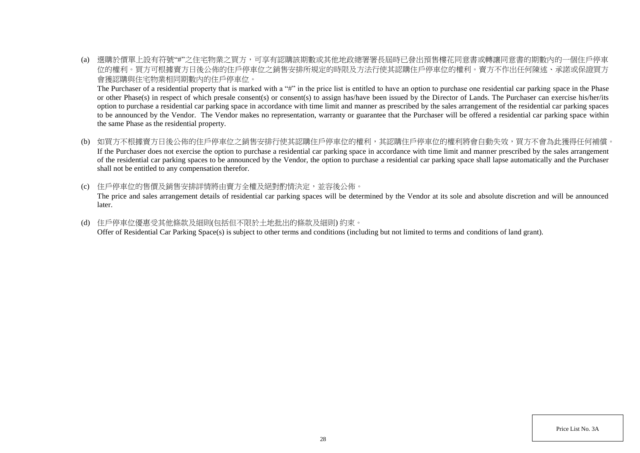(a) 選購於價單上設有符號"#"之住宅物業之買方,可享有認購該期數或其他地政總署署長屆時已發出預售樓花同意書或轉讓同意書的期數內的一個住戶停車 位的權利。買方可根據賣方日後公佈的住戶停車位之銷售安排所規定的時限及方法行使其認購住戶停車位的權利。賣方不作出任何陳述、承諾或保證買方 會獲認購與住宅物業相同期數內的住戶停車位。

The Purchaser of a residential property that is marked with a "#" in the price list is entitled to have an option to purchase one residential car parking space in the Phase or other Phase(s) in respect of which presale consent(s) or consent(s) to assign has/have been issued by the Director of Lands. The Purchaser can exercise his/her/its option to purchase a residential car parking space in accordance with time limit and manner as prescribed by the sales arrangement of the residential car parking spaces to be announced by the Vendor. The Vendor makes no representation, warranty or guarantee that the Purchaser will be offered a residential car parking space within the same Phase as the residential property.

- (b) 如買方不根據賣方日後公佈的住戶停車位之銷售安排行使其認購住戶停車位的權利,其認購住戶停車位的權利將會自動失效,買方不會為此獲得任何補償。 If the Purchaser does not exercise the option to purchase a residential car parking space in accordance with time limit and manner prescribed by the sales arrangement of the residential car parking spaces to be announced by the Vendor, the option to purchase a residential car parking space shall lapse automatically and the Purchaser shall not be entitled to any compensation therefor.
- (c) 住戶停車位的售價及銷售安排詳情將由賣方全權及絕對酌情決定,並容後公佈。 The price and sales arrangement details of residential car parking spaces will be determined by the Vendor at its sole and absolute discretion and will be announced later.
- (d) 住戶停車位優惠受其他條款及細則(包括但不限於土地批出的條款及細則) 約束。 Offer of Residential Car Parking Space(s) is subject to other terms and conditions (including but not limited to terms and conditions of land grant).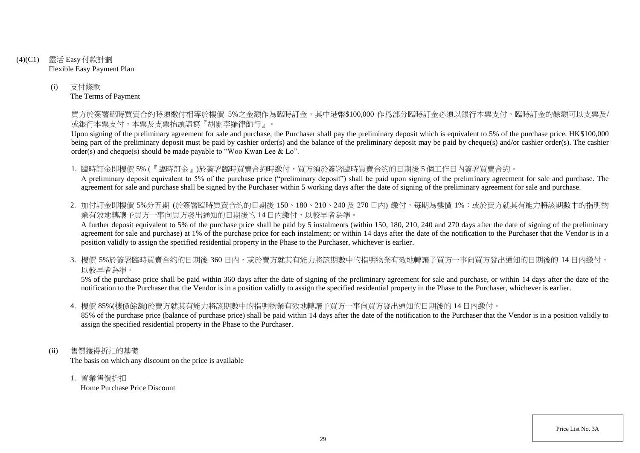- (4)(C1) 靈活 Easy 付款計劃 Flexible Easy Payment Plan
	- (i) 支付條款 The Terms of Payment

買方於簽署臨時買賣合約時須繳付相等於樓價 5%之金額作為臨時訂金,其中港幣\$100,000 作爲部分臨時訂金必須以銀行本票支付,臨時訂金的餘額可以支票及/ 或銀行本票支付,本票及支票抬頭請寫『胡關李羅律師行』。

Upon signing of the preliminary agreement for sale and purchase, the Purchaser shall pay the preliminary deposit which is equivalent to 5% of the purchase price. HK\$100,000 being part of the preliminary deposit must be paid by cashier order(s) and the balance of the preliminary deposit may be paid by cheque(s) and/or cashier order(s). The cashier order(s) and cheque(s) should be made payable to "Woo Kwan Lee & Lo".

1. 臨時訂金即樓價 5% (『臨時訂金』)於簽署臨時買賣合約時繳付,買方須於簽署臨時買賣合約的日期後 5 個工作日內簽署買賣合約。 A preliminary deposit equivalent to 5% of the purchase price ("preliminary deposit") shall be paid upon signing of the preliminary agreement for sale and purchase. The agreement for sale and purchase shall be signed by the Purchaser within 5 working days after the date of signing of the preliminary agreement for sale and purchase.

2. 加付訂金即樓價 5%分五期 (於簽署臨時買賣合約的日期後 150、180、210、240及 270日內) 繳付, 每期為樓價 1%; 或於賣方就其有能力將該期數中的指明物 業有效地轉讓予買方一事向買方發出通知的日期後的14日內繳付,以較早者為準。

A further deposit equivalent to 5% of the purchase price shall be paid by 5 instalments (within 150, 180, 210, 240 and 270 days after the date of signing of the preliminary agreement for sale and purchase) at 1% of the purchase price for each instalment; or within 14 days after the date of the notification to the Purchaser that the Vendor is in a position validly to assign the specified residential property in the Phase to the Purchaser, whichever is earlier.

3. 樓價 5%於簽署臨時買賣合約的日期後 360 日内,或於賣方就其有能力將該期數中的指明物業有效地轉讓予買方一事向買方發出通知的日期後的 14 日內繳付, 以較早者為準。

5% of the purchase price shall be paid within 360 days after the date of signing of the preliminary agreement for sale and purchase, or within 14 days after the date of the notification to the Purchaser that the Vendor is in a position validly to assign the specified residential property in the Phase to the Purchaser, whichever is earlier.

4. 樓價 85%(樓價餘額)於賣方就其有能力將該期數中的指明物業有效地轉讓予買方一事向買方發出通知的日期後的 14 日內繳付。

85% of the purchase price (balance of purchase price) shall be paid within 14 days after the date of the notification to the Purchaser that the Vendor is in a position validly to assign the specified residential property in the Phase to the Purchaser.

- (ii) 售價獲得折扣的基礎 The basis on which any discount on the price is available
	- 1. 置業售價折扣 Home Purchase Price Discount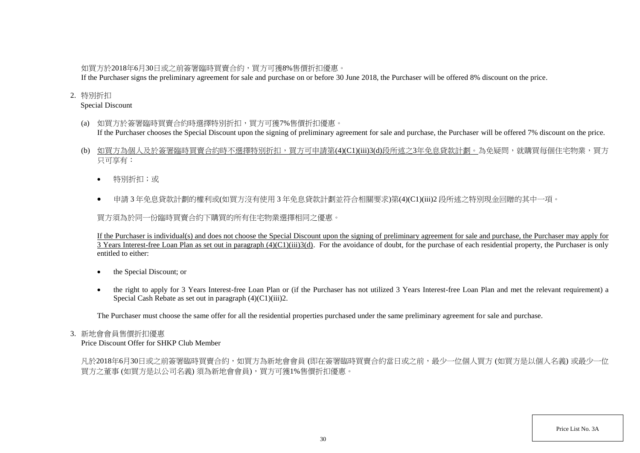# 如買方於2018年6月30日或之前簽署臨時買賣合約,買方可獲8%售價折扣優惠。

If the Purchaser signs the preliminary agreement for sale and purchase on or before 30 June 2018, the Purchaser will be offered 8% discount on the price.

## 2. 特別折扣

Special Discount

- (a) 如買方於簽署臨時買賣合約時選擇特別折扣,買方可獲7%售價折扣優惠。 If the Purchaser chooses the Special Discount upon the signing of preliminary agreement for sale and purchase, the Purchaser will be offered 7% discount on the price.
- (b) 如買方為個人及於簽署臨時買賣合約時不選擇特別折扣,買方可申請第(4)(C1)(iii)3(d)段所述之3年免息貸款計劃。為免疑問,就購買每個住宅物業,買方 只可享有:
	- 特別折扣;或
	- 申請 3 年免息貸款計劃的權利或(如買方沒有使用 3 年免息貸款計劃並符合相關要求)第(4)(C1)(iii)2 段所述之特別現金回贈的其中一項。

買方須為於同一份臨時買賣合約下購買的所有住宅物業選擇相同之優惠。

If the Purchaser is individual(s) and does not choose the Special Discount upon the signing of preliminary agreement for sale and purchase, the Purchaser may apply for 3 Years Interest-free Loan Plan as set out in paragraph  $(4)(C1)(iii)3(d)$ . For the avoidance of doubt, for the purchase of each residential property, the Purchaser is only entitled to either:

- the Special Discount; or
- the right to apply for 3 Years Interest-free Loan Plan or (if the Purchaser has not utilized 3 Years Interest-free Loan Plan and met the relevant requirement) a Special Cash Rebate as set out in paragraph (4)(C1)(iii)2.

The Purchaser must choose the same offer for all the residential properties purchased under the same preliminary agreement for sale and purchase.

## 3. 新地會會員售價折扣優惠

Price Discount Offer for SHKP Club Member

凡於2018年6月30日或之前簽署臨時買賣合約,如買方為新地會會員 (即在簽署臨時買賣合約當日或之前,最少一位個人買方 (如買方是以個人名義) 或最少一位 買方之董事 (如買方是以公司名義) 須為新地會會員),買方可獲1%售價折扣優惠。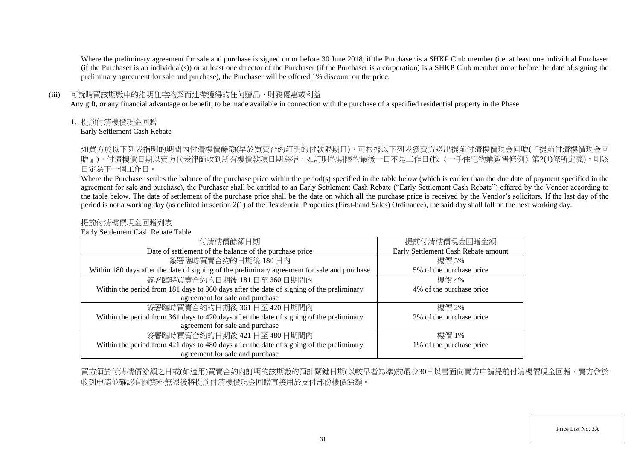Where the preliminary agreement for sale and purchase is signed on or before 30 June 2018, if the Purchaser is a SHKP Club member (i.e. at least one individual Purchaser (if the Purchaser is an individual(s)) or at least one director of the Purchaser (if the Purchaser is a corporation) is a SHKP Club member on or before the date of signing the preliminary agreement for sale and purchase), the Purchaser will be offered 1% discount on the price.

### (iii) 可就購買該期數中的指明住宅物業而連帶獲得的任何贈品、財務優惠或利益

Any gift, or any financial advantage or benefit, to be made available in connection with the purchase of a specified residential property in the Phase

1. 提前付清樓價現金回贈

Early Settlement Cash Rebate

如買方於以下列表指明的期間内付清樓價餘額(早於買賣合約訂明的付款限期日),可根據以下列表獲賣方送出提前付清樓價現金回贈(『提前付清樓價現金回 贈」)。付清樓價日期以賣方代表律師收到所有樓價款項日期為準。如訂明的期限的最後一日不是工作日(按《一手住宅物業銷售條例》第2(1)條所定義),則該 日定為下一個工作日。

Where the Purchaser settles the balance of the purchase price within the period(s) specified in the table below (which is earlier than the due date of payment specified in the agreement for sale and purchase), the Purchaser shall be entitled to an Early Settlement Cash Rebate ("Early Settlement Cash Rebate") offered by the Vendor according to the table below. The date of settlement of the purchase price shall be the date on which all the purchase price is received by the Vendor's solicitors. If the last day of the period is not a working day (as defined in section 2(1) of the Residential Properties (First-hand Sales) Ordinance), the said day shall fall on the next working day.

## 提前付清樓價現金回贈列表

Early Settlement Cash Rebate Table

| 付清樓價餘額日期                                                                                     | 提前付清樓價現金回贈金額                        |
|----------------------------------------------------------------------------------------------|-------------------------------------|
| Date of settlement of the balance of the purchase price                                      | Early Settlement Cash Rebate amount |
| 簽署臨時買賣合約的日期後180日內                                                                            | 樓價 5%                               |
| Within 180 days after the date of signing of the preliminary agreement for sale and purchase | 5% of the purchase price            |
| 簽署臨時買賣合約的日期後 181日至 360日期間內                                                                   | 樓價 4%                               |
| Within the period from 181 days to 360 days after the date of signing of the preliminary     | 4% of the purchase price            |
| agreement for sale and purchase                                                              |                                     |
| 簽署臨時買賣合約的日期後 361日至 420日期間內                                                                   | 樓價 2%                               |
| Within the period from 361 days to 420 days after the date of signing of the preliminary     | 2% of the purchase price            |
| agreement for sale and purchase                                                              |                                     |
| 簽署臨時買賣合約的日期後 421日至 480日期間內                                                                   | 樓價 1%                               |
| Within the period from 421 days to 480 days after the date of signing of the preliminary     | 1% of the purchase price            |
| agreement for sale and purchase                                                              |                                     |

買方須於付清樓價餘額之日或(如適用)買賣合約內訂明的該期數的預計關鍵日期(以較早者為準)前最少30日以書面向賣方申請提前付清樓價現金回贈,賣方會於 收到申請並確認有關資料無誤後將提前付清樓價現金回贈直接用於支付部份樓價餘額。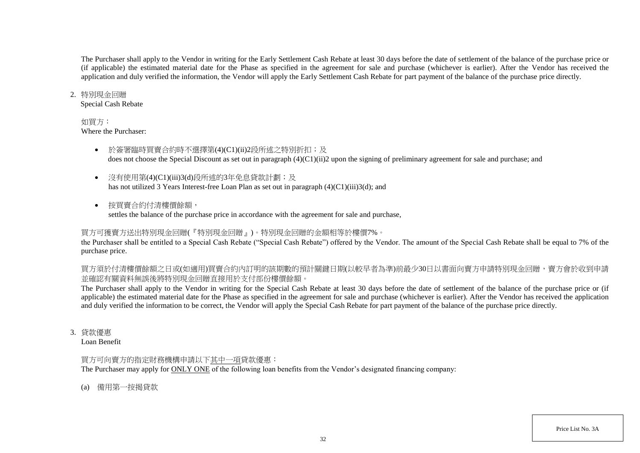The Purchaser shall apply to the Vendor in writing for the Early Settlement Cash Rebate at least 30 days before the date of settlement of the balance of the purchase price or (if applicable) the estimated material date for the Phase as specified in the agreement for sale and purchase (whichever is earlier). After the Vendor has received the application and duly verified the information, the Vendor will apply the Early Settlement Cash Rebate for part payment of the balance of the purchase price directly.

### 2. 特別現金回贈

Special Cash Rebate

## 如買方:

Where the Purchaser:

- 於簽署臨時買賣合約時不選擇第(4)(C1)(ii)2段所述之特別折扣;及 does not choose the Special Discount as set out in paragraph (4)(C1)(ii)2 upon the signing of preliminary agreement for sale and purchase; and
- 沒有使用第(4)(C1)(iii)3(d)段所述的3年免息貸款計劃;及 has not utilized 3 Years Interest-free Loan Plan as set out in paragraph (4)(C1)(iii)3(d); and
- 按買賣合約付清樓價餘額, settles the balance of the purchase price in accordance with the agreement for sale and purchase,

# 買方可獲賣方送出特別現金回贈(『特別現金回贈』)。特別現金回贈的金額相等於樓價7%。

the Purchaser shall be entitled to a Special Cash Rebate ("Special Cash Rebate") offered by the Vendor. The amount of the Special Cash Rebate shall be equal to 7% of the purchase price.

買方須於付清樓價餘額之日或(如適用)買賣合約內訂明的該期數的預計關鍵日期(以較早者為準)前最少30日以書面向賣方申請特別現金回贈,賣方會於收到申請 並確認有關資料無誤後將特別現金回贈直接用於支付部份樓價餘額。

The Purchaser shall apply to the Vendor in writing for the Special Cash Rebate at least 30 days before the date of settlement of the balance of the purchase price or (if applicable) the estimated material date for the Phase as specified in the agreement for sale and purchase (whichever is earlier). After the Vendor has received the application and duly verified the information to be correct, the Vendor will apply the Special Cash Rebate for part payment of the balance of the purchase price directly.

3. 貸款優惠

Loan Benefit

# 買方可向賣方的指定財務機構申請以下其中一項貸款優惠:

The Purchaser may apply for ONLY ONE of the following loan benefits from the Vendor's designated financing company:

(a) 備用第一按揭貸款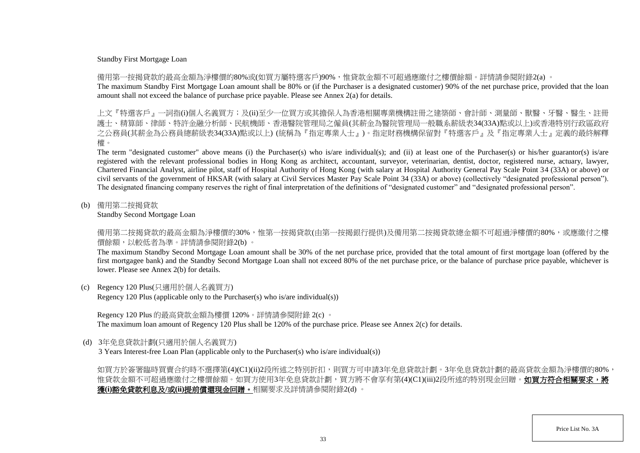### Standby First Mortgage Loan

備用第一按揭貸款的最高金額為淨樓價的80%或(如買方屬特選客戶)90%,惟貸款金額不可超過應繳付之樓價餘額。詳情請參閱附錄2(a) 。

The maximum Standby First Mortgage Loan amount shall be 80% or (if the Purchaser is a designated customer) 90% of the net purchase price, provided that the loan amount shall not exceed the balance of purchase price payable. Please see Annex 2(a) for details.

上文『特選客戶』一詞指(i)個人名義買方;及(ii)至少一位買方或其擔保人為香港相關專業機構註冊之建築師、會計師、測量師、獸醫、牙醫、醫生、 護士、精算師、律師、特許金融分析師、民航機師、香港醫院管理局之僱員(其薪金為醫院管理局一般職系薪級表34(33A)點或以上)或香港特別行政區政府 之公務員(其薪金為公務員總薪級表34(33A)點或以上) (統稱為『指定專業人士』)。指定財務機構保留對『特選客戶』及『指定專業人士』定義的最終解釋 權。

The term "designated customer" above means (i) the Purchaser(s) who is/are individual(s); and (ii) at least one of the Purchaser(s) or his/her guarantor(s) is/are registered with the relevant professional bodies in Hong Kong as architect, accountant, surveyor, veterinarian, dentist, doctor, registered nurse, actuary, lawyer, Chartered Financial Analyst, airline pilot, staff of Hospital Authority of Hong Kong (with salary at Hospital Authority General Pay Scale Point 34 (33A) or above) or civil servants of the government of HKSAR (with salary at Civil Services Master Pay Scale Point 34 (33A) or above) (collectively "designated professional person"). The designated financing company reserves the right of final interpretation of the definitions of "designated customer" and "designated professional person".

(b) 備用第二按揭貸款

Standby Second Mortgage Loan

備用第二按揭貸款的最高金額為淨樓價的30%,惟第一按揭貸款(由第一按揭銀行提供)及備用第二按揭貸款總金額不可超過淨樓價的80%,或應繳付之樓 價餘額,以較低者為準。詳情請參閱附錄2(b) 。

The maximum Standby Second Mortgage Loan amount shall be 30% of the net purchase price, provided that the total amount of first mortgage loan (offered by the first mortgagee bank) and the Standby Second Mortgage Loan shall not exceed 80% of the net purchase price, or the balance of purchase price payable, whichever is lower. Please see Annex 2(b) for details.

(c) Regency 120 Plus(只適用於個人名義買方)

Regency 120 Plus (applicable only to the Purchaser(s) who is/are individual(s))

Regency 120 Plus 的最高貸款金額為樓價 120%。詳情請參閱附錄 2(c) 。 The maximum loan amount of Regency 120 Plus shall be 120% of the purchase price. Please see Annex 2(c) for details.

(d) 3年免息貸款計劃(只適用於個人名義買方)

3 Years Interest-free Loan Plan (applicable only to the Purchaser(s) who is/are individual(s))

如買方於簽署臨時買賣合約時不選擇第(4)(C1)(ii)2段所述之特別折扣,則買方可申請3年免息貸款計劃。3年免息貸款計劃的最高貸款金額為淨樓價的80%, 惟貸款金額不可超過應繳付之樓價餘額。如買方使用3年免息貸款計劃,買方將不會享有第(4)(C1)(iii)2段所述的特別現金回贈。**如買方符合相關要求,將** 獲**(i)**豁免貸款利息及**/**或**(ii)**提前償還現金回贈。相關要求及詳情請參閱附錄2(d) 。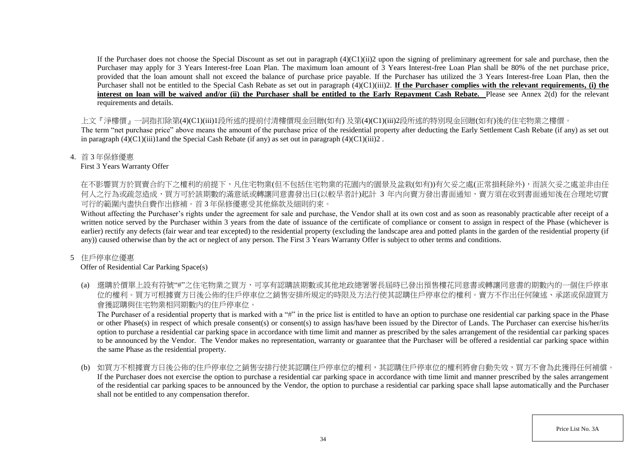If the Purchaser does not choose the Special Discount as set out in paragraph  $(4)(C1)(ii)$  upon the signing of preliminary agreement for sale and purchase, then the Purchaser may apply for 3 Years Interest-free Loan Plan. The maximum loan amount of 3 Years Interest-free Loan Plan shall be 80% of the net purchase price, provided that the loan amount shall not exceed the balance of purchase price payable. If the Purchaser has utilized the 3 Years Interest-free Loan Plan, then the Purchaser shall not be entitled to the Special Cash Rebate as set out in paragraph (4)(C1)(iii)2. **If the Purchaser complies with the relevant requirements, (i) the** interest on loan will be waived and/or (ii) the Purchaser shall be entitled to the Early Repayment Cash Rebate. Please see Annex 2(d) for the relevant requirements and details.

上文『淨樓價』一詞指扣除第(4)(C1)(iii)1段所述的提前付清樓價現金回贈(如有) 及第(4)(C1)(iii)2段所述的特別現金回贈(如有)後的住宅物業之樓價。

The term "net purchase price" above means the amount of the purchase price of the residential property after deducting the Early Settlement Cash Rebate (if any) as set out in paragraph  $(4)(C1)(iii)1$  and the Special Cash Rebate (if any) as set out in paragraph  $(4)(C1)(iii)2$ .

4. 首 3 年保修優惠

First 3 Years Warranty Offer

在不影響買方於買賣合約下之權利的前提下,凡住宅物業(但不包括住宅物業的花園内的園景及盆栽(如有))有欠妥之處(正常損耗除外),而該欠妥之處並非由任 何人之行為或疏忽造成,買方可於該期數的滿意紙或轉讓同意書發出日(以較早者計)起計 3 年内向賣方發出書面通知,賣方須在收到書面通知後在合理地切實 可行的範圍內盡快自費作出修補。首 3 年保修優惠受其他條款及細則約束。

Without affecting the Purchaser's rights under the agreement for sale and purchase, the Vendor shall at its own cost and as soon as reasonably practicable after receipt of a written notice served by the Purchaser within 3 years from the date of issuance of the certificate of compliance or consent to assign in respect of the Phase (whichever is earlier) rectify any defects (fair wear and tear excepted) to the residential property (excluding the landscape area and potted plants in the garden of the residential property (if any)) caused otherwise than by the act or neglect of any person. The First 3 Years Warranty Offer is subject to other terms and conditions.

# 5 住戶停車位優惠

# Offer of Residential Car Parking Space(s)

(a) 選購於價單上設有符號"#"之住宅物業之買方,可享有認購該期數或其他地政總署署長屆時已發出預售樓花同意書或轉讓同意書的期數內的一個住戶停車 位的權利。買方可根據賣方日後公佈的住戶停車位之銷售安排所規定的時限及方法行使其認購住戶停車位的權利。賣方不作出任何陳述、承諾或保證買方 會獲認購與住宅物業相同期數內的住戶停車位。

The Purchaser of a residential property that is marked with a "#" in the price list is entitled to have an option to purchase one residential car parking space in the Phase or other Phase(s) in respect of which presale consent(s) or consent(s) to assign has/have been issued by the Director of Lands. The Purchaser can exercise his/her/its option to purchase a residential car parking space in accordance with time limit and manner as prescribed by the sales arrangement of the residential car parking spaces to be announced by the Vendor. The Vendor makes no representation, warranty or guarantee that the Purchaser will be offered a residential car parking space within the same Phase as the residential property.

(b) 如買方不根據賣方日後公佈的住戶停車位之銷售安排行使其認購住戶停車位的權利,其認購住戶停車位的權利將會自動失效,買方不會為此獲得任何補償。 If the Purchaser does not exercise the option to purchase a residential car parking space in accordance with time limit and manner prescribed by the sales arrangement of the residential car parking spaces to be announced by the Vendor, the option to purchase a residential car parking space shall lapse automatically and the Purchaser shall not be entitled to any compensation therefor.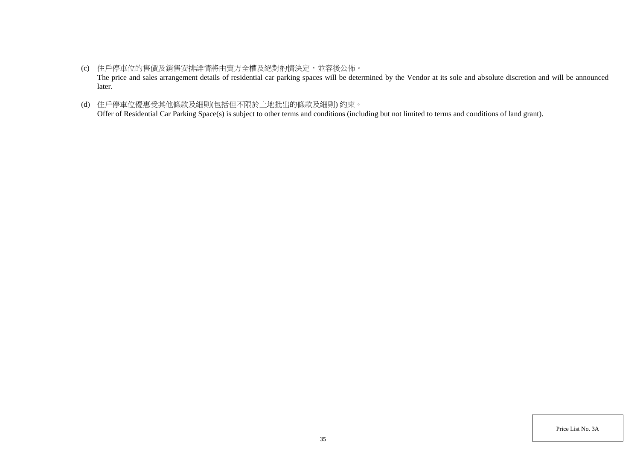- (c) 住戶停車位的售價及銷售安排詳情將由賣方全權及絕對酌情決定,並容後公佈。 The price and sales arrangement details of residential car parking spaces will be determined by the Vendor at its sole and absolute discretion and will be announced later.
- (d) 住戶停車位優惠受其他條款及細則(包括但不限於土地批出的條款及細則) 約束。 Offer of Residential Car Parking Space(s) is subject to other terms and conditions (including but not limited to terms and conditions of land grant).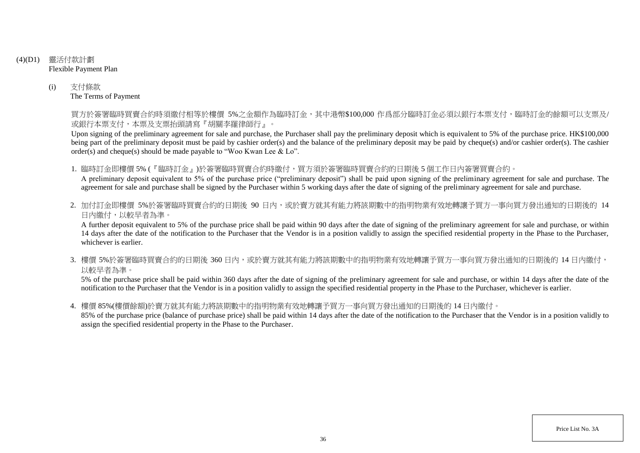- (4)(D1) 靈活付款計劃 Flexible Payment Plan
	- (i) 支付條款 The Terms of Payment

買方於簽署臨時買賣合約時須繳付相等於樓價 5%之金額作為臨時訂金,其中港幣\$100,000 作爲部分臨時訂金必須以銀行本票支付,臨時訂金的餘額可以支票及/ 或銀行本票支付,本票及支票抬頭請寫『胡關李羅律師行』。

Upon signing of the preliminary agreement for sale and purchase, the Purchaser shall pay the preliminary deposit which is equivalent to 5% of the purchase price. HK\$100,000 being part of the preliminary deposit must be paid by cashier order(s) and the balance of the preliminary deposit may be paid by cheque(s) and/or cashier order(s). The cashier order(s) and cheque(s) should be made payable to "Woo Kwan Lee & Lo".

1. 臨時訂金即樓價 5% (『臨時訂金』)於簽署臨時買賣合約時繳付,買方須於簽署臨時買賣合約的日期後 5 個工作日內簽署買賣合約。

A preliminary deposit equivalent to 5% of the purchase price ("preliminary deposit") shall be paid upon signing of the preliminary agreement for sale and purchase. The agreement for sale and purchase shall be signed by the Purchaser within 5 working days after the date of signing of the preliminary agreement for sale and purchase.

2. 加付訂金即樓價 5%於簽署臨時買賣合約的日期後 90 日内,或於賣方就其有能力將該期數中的指明物業有效地轉讓予買方一事向買方發出通知的日期後的 14 日內繳付,以較早者為準。

A further deposit equivalent to 5% of the purchase price shall be paid within 90 days after the date of signing of the preliminary agreement for sale and purchase, or within 14 days after the date of the notification to the Purchaser that the Vendor is in a position validly to assign the specified residential property in the Phase to the Purchaser, whichever is earlier.

3. 樓價 5%於簽署臨時買賣合約的日期後 360 日内,或於賣方就其有能力將該期數中的指明物業有效地轉讓予買方一事向買方發出通知的日期後的 14 日內繳付, 以較早者為準。

5% of the purchase price shall be paid within 360 days after the date of signing of the preliminary agreement for sale and purchase, or within 14 days after the date of the notification to the Purchaser that the Vendor is in a position validly to assign the specified residential property in the Phase to the Purchaser, whichever is earlier.

4. 樓價 85%(樓價餘額)於賣方就其有能力將該期數中的指明物業有效地轉讓予買方一事向買方發出通知的日期後的 14 日內繳付。

85% of the purchase price (balance of purchase price) shall be paid within 14 days after the date of the notification to the Purchaser that the Vendor is in a position validly to assign the specified residential property in the Phase to the Purchaser.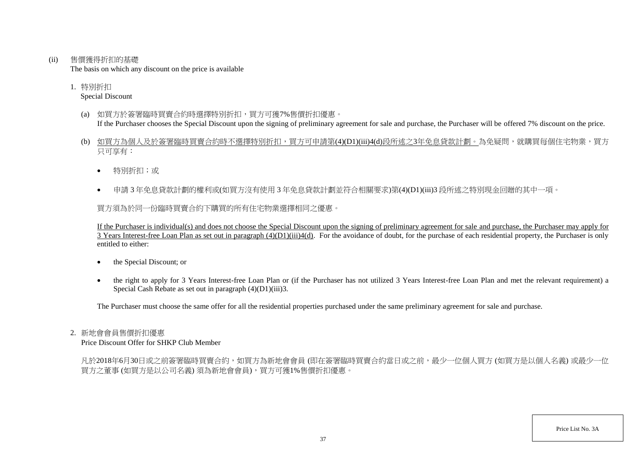(ii) 售價獲得折扣的基礎

The basis on which any discount on the price is available

1. 特別折扣 Special Discount

- (a) 如買方於簽署臨時買賣合約時選擇特別折扣,買方可獲7%售價折扣優惠。 If the Purchaser chooses the Special Discount upon the signing of preliminary agreement for sale and purchase, the Purchaser will be offered 7% discount on the price.
- (b) 如買方為個人及於簽署臨時買賣合約時不選擇特別折扣,買方可申請第(4)(D1)(iii)4(d)段所述之3年免息貸款計劃。為免疑問,就購買每個住宅物業,買方 只可享有:
	- 特別折扣;或
	- 申請 3 年免息貸款計劃的權利或(如買方沒有使用 3 年免息貸款計劃並符合相關要求)第(4)(D1)(iii)3 段所述之特別現金回贈的其中一項。

買方須為於同一份臨時買賣合約下購買的所有住宅物業選擇相同之優惠。

If the Purchaser is individual(s) and does not choose the Special Discount upon the signing of preliminary agreement for sale and purchase, the Purchaser may apply for  $\overline{3}$  Years Interest-free Loan Plan as set out in paragraph  $(4)(D1)(iii)4(d)$ . For the avoidance of doubt, for the purchase of each residential property, the Purchaser is only entitled to either:

- the Special Discount; or
- the right to apply for 3 Years Interest-free Loan Plan or (if the Purchaser has not utilized 3 Years Interest-free Loan Plan and met the relevant requirement) a Special Cash Rebate as set out in paragraph  $(4)(D1)(iii)3$ .

The Purchaser must choose the same offer for all the residential properties purchased under the same preliminary agreement for sale and purchase.

#### 2. 新地會會員售價折扣優惠

Price Discount Offer for SHKP Club Member

凡於2018年6月30日或之前簽署臨時買賣合約,如買方為新地會會員 (即在簽署臨時買賣合約當日或之前,最少一位個人買方 (如買方是以個人名義) 或最少一位 買方之董事 (如買方是以公司名義) 須為新地會會員),買方可獲1%售價折扣優惠。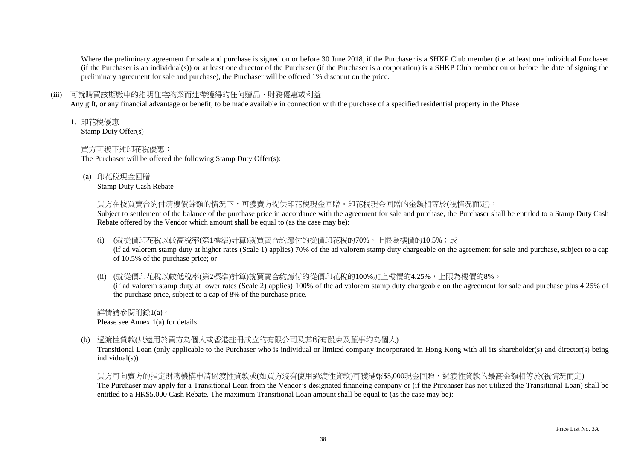Where the preliminary agreement for sale and purchase is signed on or before 30 June 2018, if the Purchaser is a SHKP Club member (i.e. at least one individual Purchaser (if the Purchaser is an individual(s)) or at least one director of the Purchaser (if the Purchaser is a corporation) is a SHKP Club member on or before the date of signing the preliminary agreement for sale and purchase), the Purchaser will be offered 1% discount on the price.

## (iii) 可就購買該期數中的指明住宅物業而連帶獲得的任何贈品、財務優惠或利益

Any gift, or any financial advantage or benefit, to be made available in connection with the purchase of a specified residential property in the Phase

1. 印花稅優惠

Stamp Duty Offer(s)

## 買方可獲下述印花稅優惠:

The Purchaser will be offered the following Stamp Duty Offer(s):

(a) 印花稅現金回贈

Stamp Duty Cash Rebate

買方在按買賣合約付清樓價餘額的情況下,可獲賣方提供印花稅現金回贈。印花稅現金回贈的金額相等於(視情況而定):

Subject to settlement of the balance of the purchase price in accordance with the agreement for sale and purchase, the Purchaser shall be entitled to a Stamp Duty Cash Rebate offered by the Vendor which amount shall be equal to (as the case may be):

(i) (就從價印花稅以較高稅率(第1標準)計算)就買賣合約應付的從價印花稅的70%,上限為樓價的10.5%;或

(if ad valorem stamp duty at higher rates (Scale 1) applies) 70% of the ad valorem stamp duty chargeable on the agreement for sale and purchase, subject to a cap of 10.5% of the purchase price; or

(ii) (就從價印花稅以較低稅率(第2標準)計算)就買賣合約應付的從價印花稅的100%加上樓價的4.25%,上限為樓價的8%。

(if ad valorem stamp duty at lower rates (Scale 2) applies) 100% of the ad valorem stamp duty chargeable on the agreement for sale and purchase plus 4.25% of the purchase price, subject to a cap of 8% of the purchase price.

詳情請參閱附錄1(a)。 Please see Annex 1(a) for details.

(b) 過渡性貸款(只適用於買方為個人或香港註冊成立的有限公司及其所有股東及董事均為個人)

Transitional Loan (only applicable to the Purchaser who is individual or limited company incorporated in Hong Kong with all its shareholder(s) and director(s) being individual(s))

買方可向賣方的指定財務機構申請過渡性貸款或(如買方沒有使用過渡性貸款)可獲港幣\$5,000現金回贈,過渡性貸款的最高金額相等於(視情況而定): The Purchaser may apply for a Transitional Loan from the Vendor's designated financing company or (if the Purchaser has not utilized the Transitional Loan) shall be entitled to a HK\$5,000 Cash Rebate. The maximum Transitional Loan amount shall be equal to (as the case may be):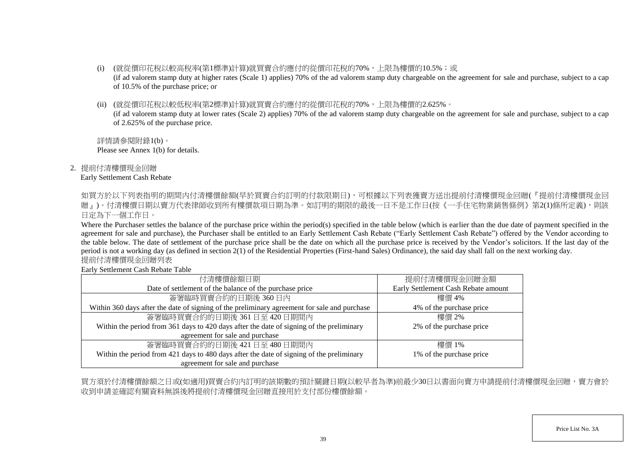- (i) (就從價印花稅以較高稅率(第1標準)計算)就買賣合約應付的從價印花稅的70%,上限為樓價的10.5%;或 (if ad valorem stamp duty at higher rates (Scale 1) applies) 70% of the ad valorem stamp duty chargeable on the agreement for sale and purchase, subject to a cap of 10.5% of the purchase price; or
- (ii) (就從價印花稅以較低稅率(第2標準)計算)就買賣合約應付的從價印花稅的70%,上限為樓價的2.625%。

(if ad valorem stamp duty at lower rates (Scale 2) applies) 70% of the ad valorem stamp duty chargeable on the agreement for sale and purchase, subject to a cap of 2.625% of the purchase price.

詳情請參閱附錄1(b)。 Please see Annex 1(b) for details.

2. 提前付清樓價現金回贈

## Early Settlement Cash Rebate

如買方於以下列表指明的期間内付清樓價餘額(早於買賣合約訂明的付款限期日),可根據以下列表獲賣方送出提前付清樓價現金回贈(『提前付清樓價現金回 贈」)。付清樓價日期以賣方代表律師收到所有樓價款項日期為準。如訂明的期限的最後一日不是工作日(按《一手住宅物業銷售條例》第2(1)條所定義),則該 日定為下一個工作日。

Where the Purchaser settles the balance of the purchase price within the period(s) specified in the table below (which is earlier than the due date of payment specified in the agreement for sale and purchase), the Purchaser shall be entitled to an Early Settlement Cash Rebate ("Early Settlement Cash Rebate") offered by the Vendor according to the table below. The date of settlement of the purchase price shall be the date on which all the purchase price is received by the Vendor's solicitors. If the last day of the period is not a working day (as defined in section 2(1) of the Residential Properties (First-hand Sales) Ordinance), the said day shall fall on the next working day. 提前付清樓價現金回贈列表

Early Settlement Cash Rebate Table

| 付清樓價餘額日期                                                                                     | 提前付清樓價現金回贈金額                        |
|----------------------------------------------------------------------------------------------|-------------------------------------|
| Date of settlement of the balance of the purchase price                                      | Early Settlement Cash Rebate amount |
| 簽署臨時買賣合約的日期後360日內                                                                            | 樓價 4%                               |
| Within 360 days after the date of signing of the preliminary agreement for sale and purchase | 4% of the purchase price            |
| 簽署臨時買賣合約的日期後 361日至 420日期間內                                                                   | 樓價 2%                               |
| Within the period from 361 days to 420 days after the date of signing of the preliminary     | 2% of the purchase price            |
| agreement for sale and purchase                                                              |                                     |
| 簽署臨時買賣合約的日期後 421日至 480日期間内                                                                   | 樓價 1%                               |
| Within the period from 421 days to 480 days after the date of signing of the preliminary     | 1% of the purchase price            |
| agreement for sale and purchase                                                              |                                     |

買方須於付清樓價餘額之日或(如適用)買賣合約內訂明的該期數的預計關鍵日期(以較早者為準)前最少30日以書面向賣方申請提前付清樓價現金回贈,賣方會於 收到申請並確認有關資料無誤後將提前付清樓價現金回贈直接用於支付部份樓價餘額。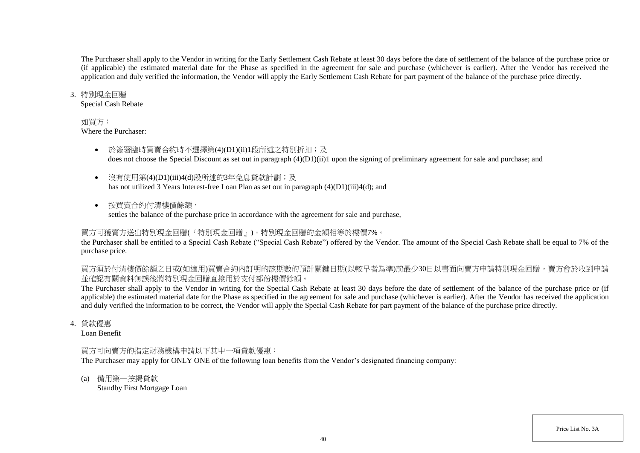The Purchaser shall apply to the Vendor in writing for the Early Settlement Cash Rebate at least 30 days before the date of settlement of the balance of the purchase price or (if applicable) the estimated material date for the Phase as specified in the agreement for sale and purchase (whichever is earlier). After the Vendor has received the application and duly verified the information, the Vendor will apply the Early Settlement Cash Rebate for part payment of the balance of the purchase price directly.

#### 3. 特別現金回贈

Special Cash Rebate

### 如買方:

Where the Purchaser:

- 於簽署臨時買賣合約時不選擇第(4)(D1)(ii)1段所述之特別折扣;及 does not choose the Special Discount as set out in paragraph (4)(D1)(ii)1 upon the signing of preliminary agreement for sale and purchase; and
- 沒有使用第(4)(D1)(iii)4(d)段所述的3年免息貸款計劃;及 has not utilized 3 Years Interest-free Loan Plan as set out in paragraph (4)(D1)(iii)4(d); and
- 按買賣合約付清樓價餘額, settles the balance of the purchase price in accordance with the agreement for sale and purchase,

# 買方可獲賣方送出特別現金回贈(『特別現金回贈』)。特別現金回贈的金額相等於樓價7%。

the Purchaser shall be entitled to a Special Cash Rebate ("Special Cash Rebate") offered by the Vendor. The amount of the Special Cash Rebate shall be equal to 7% of the purchase price.

買方須於付清樓價餘額之日或(如適用)買賣合約內訂明的該期數的預計關鍵日期(以較早者為準)前最少30日以書面向賣方申請特別現金回贈,賣方會於收到申請 並確認有關資料無誤後將特別現金回贈直接用於支付部份樓價餘額。

The Purchaser shall apply to the Vendor in writing for the Special Cash Rebate at least 30 days before the date of settlement of the balance of the purchase price or (if applicable) the estimated material date for the Phase as specified in the agreement for sale and purchase (whichever is earlier). After the Vendor has received the application and duly verified the information to be correct, the Vendor will apply the Special Cash Rebate for part payment of the balance of the purchase price directly.

4. 貸款優惠

Loan Benefit

## 買方可向賣方的指定財務機構申請以下其中一項貸款優惠:

The Purchaser may apply for ONLY ONE of the following loan benefits from the Vendor's designated financing company:

(a) 備用第一按揭貸款

Standby First Mortgage Loan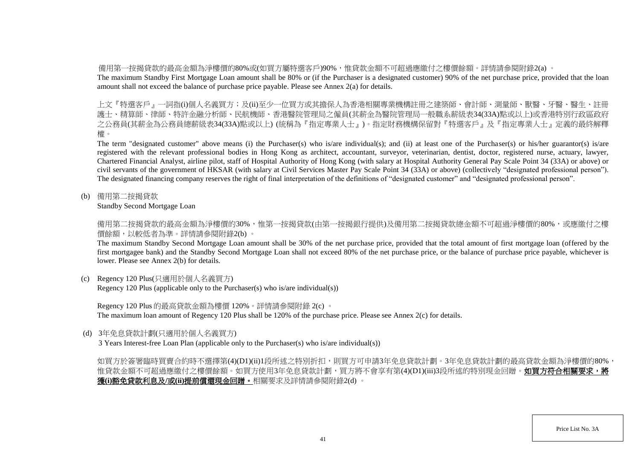備用第一按揭貸款的最高金額為淨樓價的80%或(如買方屬特選客戶)90%,惟貸款金額不可超過應繳付之樓價餘額。詳情請參閱附錄2(a) 。

The maximum Standby First Mortgage Loan amount shall be 80% or (if the Purchaser is a designated customer) 90% of the net purchase price, provided that the loan amount shall not exceed the balance of purchase price payable. Please see Annex 2(a) for details.

上文『特選客戶』一詞指(i)個人名義買方;及(ii)至少一位買方或其擔保人為香港相關專業機構註冊之建築師、會計師、測量師、獸醫、牙醫、醫生、註冊 護士、精算師、律師、特許金融分析師、民航機師、香港醫院管理局之僱員(其薪金為醫院管理局一般職系薪級表34(33A)點或以上)或香港特別行政區政府 之公務員(其薪金為公務員總薪級表34(33A)點或以上) (統稱為『指定專業人士』)。指定財務機構保留對『特選客戶』及『指定專業人士』定義的最終解釋 權。

The term "designated customer" above means (i) the Purchaser(s) who is/are individual(s); and (ii) at least one of the Purchaser(s) or his/her guarantor(s) is/are registered with the relevant professional bodies in Hong Kong as architect, accountant, surveyor, veterinarian, dentist, doctor, registered nurse, actuary, lawyer, Chartered Financial Analyst, airline pilot, staff of Hospital Authority of Hong Kong (with salary at Hospital Authority General Pay Scale Point 34 (33A) or above) or civil servants of the government of HKSAR (with salary at Civil Services Master Pay Scale Point 34 (33A) or above) (collectively "designated professional person"). The designated financing company reserves the right of final interpretation of the definitions of "designated customer" and "designated professional person".

(b) 備用第二按揭貸款

Standby Second Mortgage Loan

備用第二按揭貸款的最高金額為淨樓價的30%,惟第一按揭貸款(由第一按揭銀行提供)及備用第二按揭貸款總金額不可超過淨樓價的80%,或應繳付之樓 價餘額,以較低者為準。詳情請參閱附錄2(b) 。

The maximum Standby Second Mortgage Loan amount shall be 30% of the net purchase price, provided that the total amount of first mortgage loan (offered by the first mortgagee bank) and the Standby Second Mortgage Loan shall not exceed 80% of the net purchase price, or the balance of purchase price payable, whichever is lower. Please see Annex 2(b) for details.

(c) Regency 120 Plus(只適用於個人名義買方)

Regency 120 Plus (applicable only to the Purchaser(s) who is/are individual(s))

Regency 120 Plus 的最高貸款金額為樓價 120%。詳情請參閱附錄 2(c) 。

The maximum loan amount of Regency 120 Plus shall be 120% of the purchase price. Please see Annex 2(c) for details.

(d) 3年免息貸款計劃(只適用於個人名義買方)

3 Years Interest-free Loan Plan (applicable only to the Purchaser(s) who is/are individual(s))

如買方於簽署臨時買賣合約時不選擇第(4)(D1)(ii)1段所述之特別折扣,則買方可申請3年免息貸款計劃。3年免息貸款計劃的最高貸款金額為淨樓價的80%, 惟貸款金額不可超過應繳付之樓價餘額。如買方使用3年免息貸款計劃,買方將不會享有第(4)(D1)(iii)3段所述的特別現金回贈。**如買方符合相關要求,將** 獲**(i)**豁免貸款利息及**/**或**(ii)**提前償還現金回贈。相關要求及詳情請參閱附錄2(d) 。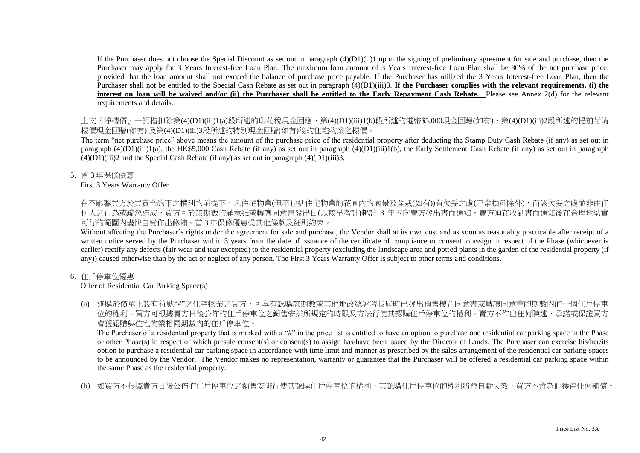If the Purchaser does not choose the Special Discount as set out in paragraph  $(4)(D1)(ii)1$  upon the signing of preliminary agreement for sale and purchase, then the Purchaser may apply for 3 Years Interest-free Loan Plan. The maximum loan amount of 3 Years Interest-free Loan Plan shall be 80% of the net purchase price, provided that the loan amount shall not exceed the balance of purchase price payable. If the Purchaser has utilized the 3 Years Interest-free Loan Plan, then the Purchaser shall not be entitled to the Special Cash Rebate as set out in paragraph (4)(D1)(iii)3. **If the Purchaser complies with the relevant requirements, (i) the** interest on loan will be waived and/or (ii) the Purchaser shall be entitled to the Early Repayment Cash Rebate. Please see Annex 2(d) for the relevant requirements and details.

上文『淨樓價』一詞指扣除第(4)(D1)(iii)1(a)段所述的印花稅現金回贈、第(4)(D1)(iii)1(b)段所述的港幣\$5,000現金回贈(如有)、第(4)(D1)(iii)2段所述的提前付清 樓價現金回贈(如有) 及第(4)(D1)(iii)3段所述的特別現金回贈(如有)後的住宅物業之樓價。

The term "net purchase price" above means the amount of the purchase price of the residential property after deducting the Stamp Duty Cash Rebate (if any) as set out in paragraph  $(4)(D1)(iii)1(a)$ , the HK\$5,000 Cash Rebate (if any) as set out in paragraph  $(4)(D1)(iii)1(b)$ , the Early Settlement Cash Rebate (if any) as set out in paragraph  $(4)(D1)(iii)2$  and the Special Cash Rebate (if any) as set out in paragraph  $(4)(D1)(iii)3$ .

5. 首 3 年保修優惠

## First 3 Years Warranty Offer

在不影響買方於買賣合約下之權利的前提下,凡住宅物業(但不包括住宅物業的花園内的園景及盆栽(如有))有欠妥之處(正常損耗除外),而該欠妥之處並非由任 何人之行為或疏忽造成,買方可於該期數的滿意紙或轉讓同意書發出日(以較早者計)起計 3 年内向賣方發出書面通知,賣方須在收到書面通知後在合理地切實 可行的範圍內盡快自費作出修補。首 3 年保修優惠受其他條款及細則約束。

Without affecting the Purchaser's rights under the agreement for sale and purchase, the Vendor shall at its own cost and as soon as reasonably practicable after receipt of a written notice served by the Purchaser within 3 years from the date of issuance of the certificate of compliance or consent to assign in respect of the Phase (whichever is earlier) rectify any defects (fair wear and tear excepted) to the residential property (excluding the landscape area and potted plants in the garden of the residential property (if any)) caused otherwise than by the act or neglect of any person. The First 3 Years Warranty Offer is subject to other terms and conditions.

# 6. 住戶停車位優惠

# Offer of Residential Car Parking Space(s)

(a) 選購於價單上設有符號"#"之住宅物業之買方,可享有認購該期數或其他地政總署署長屆時已發出預售樓花同意書或轉讓同意書的期數內的一個住戶停車 位的權利。買方可根據賣方日後公佈的住戶停車位之銷售安排所規定的時限及方法行使其認購住戶停車位的權利。賣方不作出任何陳述、承諾或保證買方 會獲認購與住宅物業相同期數內的住戶停車位。

The Purchaser of a residential property that is marked with a "#" in the price list is entitled to have an option to purchase one residential car parking space in the Phase or other Phase(s) in respect of which presale consent(s) or consent(s) to assign has/have been issued by the Director of Lands. The Purchaser can exercise his/her/its option to purchase a residential car parking space in accordance with time limit and manner as prescribed by the sales arrangement of the residential car parking spaces to be announced by the Vendor. The Vendor makes no representation, warranty or guarantee that the Purchaser will be offered a residential car parking space within the same Phase as the residential property.

(b) 如買方不根據賣方日後公佈的住戶停車位之銷售安排行使其認購住戶停車位的權利,其認購住戶停車位的權利將會自動失效,買方不會為此獲得任何補償。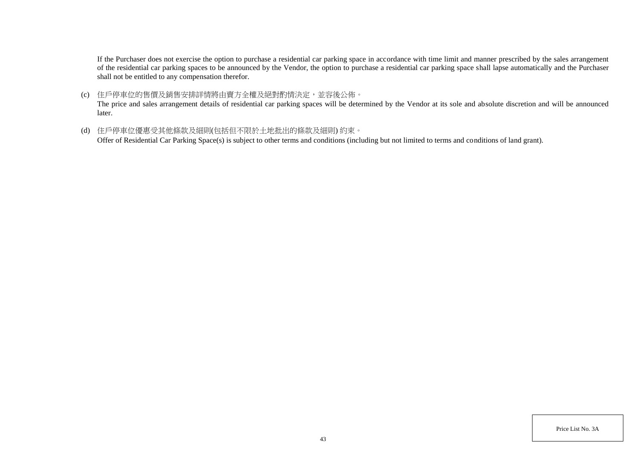If the Purchaser does not exercise the option to purchase a residential car parking space in accordance with time limit and manner prescribed by the sales arrangement of the residential car parking spaces to be announced by the Vendor, the option to purchase a residential car parking space shall lapse automatically and the Purchaser shall not be entitled to any compensation therefor.

(c) 住戶停車位的售價及銷售安排詳情將由賣方全權及絕對酌情決定,並容後公佈。

The price and sales arrangement details of residential car parking spaces will be determined by the Vendor at its sole and absolute discretion and will be announced later.

(d) 住戶停車位優惠受其他條款及細則(包括但不限於土地批出的條款及細則) 約束。

Offer of Residential Car Parking Space(s) is subject to other terms and conditions (including but not limited to terms and conditions of land grant).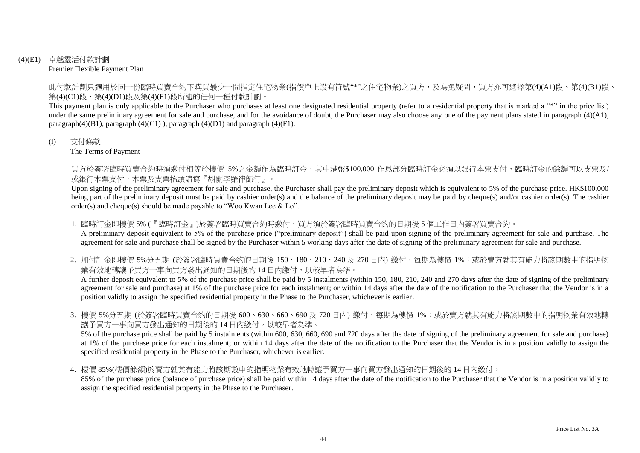## (4)(E1) 卓越靈活付款計劃 Premier Flexible Payment Plan

此付款計劃只適用於同一份臨時買賣合約下購買最少一間指定住宅物業(指價單上設有符號"\*"之住宅物業)之買方,及為免疑問,買方亦可選擇第(4)(A1)段、第(4)(B1)段、 第(4)(C1)段、第(4)(D1)段及第(4)(F1)段所述的任何一種付款計劃。

This payment plan is only applicable to the Purchaser who purchases at least one designated residential property (refer to a residential property that is marked a "\*" in the price list) under the same preliminary agreement for sale and purchase, and for the avoidance of doubt, the Purchaser may also choose any one of the payment plans stated in paragraph (4)(A1), paragraph $(4)(B1)$ , paragraph  $(4)(C1)$ ), paragraph  $(4)(D1)$  and paragraph  $(4)(F1)$ .

### (i) 支付條款

The Terms of Payment

買方於簽署臨時買賣合約時須繳付相等於樓價 5%之金額作為臨時訂金,其中港幣\$100,000 作爲部分臨時訂金必須以銀行本票支付,臨時訂金的餘額可以支票及/ 或銀行本票支付,本票及支票抬頭請寫『胡關李羅律師行』。

Upon signing of the preliminary agreement for sale and purchase, the Purchaser shall pay the preliminary deposit which is equivalent to 5% of the purchase price. HK\$100,000 being part of the preliminary deposit must be paid by cashier order(s) and the balance of the preliminary deposit may be paid by cheque(s) and/or cashier order(s). The cashier order(s) and cheque(s) should be made payable to "Woo Kwan Lee & Lo".

1. 臨時訂金即樓價 5% (『臨時訂金』)於簽署臨時買賣合約時繳付,買方須於簽署臨時買賣合約的日期後 5 個工作日内簽署買賣合約。

A preliminary deposit equivalent to 5% of the purchase price ("preliminary deposit") shall be paid upon signing of the preliminary agreement for sale and purchase. The agreement for sale and purchase shall be signed by the Purchaser within 5 working days after the date of signing of the preliminary agreement for sale and purchase.

2. 加付訂金即樓價 5%分五期 (於簽署臨時買賣合約的日期後 150、180、210、240 及 270 日内) 繳付,每期為樓價 1%;或於賣方就其有能力將該期數中的指明物 業有效地轉讓予買方一事向買方發出通知的日期後的 14 日内繳付,以較早者為準。

A further deposit equivalent to 5% of the purchase price shall be paid by 5 instalments (within 150, 180, 210, 240 and 270 days after the date of signing of the preliminary agreement for sale and purchase) at 1% of the purchase price for each instalment; or within 14 days after the date of the notification to the Purchaser that the Vendor is in a position validly to assign the specified residential property in the Phase to the Purchaser, whichever is earlier.

3. 樓價 5%分五期 (於簽署臨時買賣合約的日期後 600、630、660、690 及 720 日內) 繳付,每期為樓價 1%;或於賣方就其有能力將該期數中的指明物業有效地轉 讓予買方一事向買方發出通知的日期後的 14 日內繳付,以較早者為準。

5% of the purchase price shall be paid by 5 instalments (within 600, 630, 660, 690 and 720 days after the date of signing of the preliminary agreement for sale and purchase) at 1% of the purchase price for each instalment; or within 14 days after the date of the notification to the Purchaser that the Vendor is in a position validly to assign the specified residential property in the Phase to the Purchaser, whichever is earlier.

4. 樓價 85%(樓價餘額)於賣方就其有能力將該期數中的指明物業有效地轉讓予買方一事向買方發出通知的日期後的 14 日內繳付。

85% of the purchase price (balance of purchase price) shall be paid within 14 days after the date of the notification to the Purchaser that the Vendor is in a position validly to assign the specified residential property in the Phase to the Purchaser.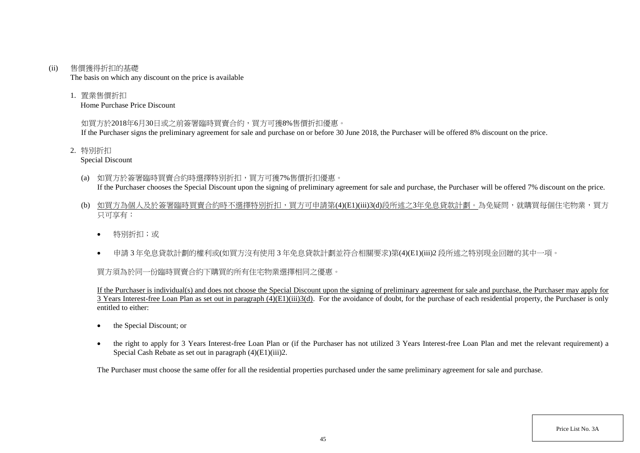#### (ii) 售價獲得折扣的基礎

The basis on which any discount on the price is available

1. 置業售價折扣

Home Purchase Price Discount

# 如買方於2018年6月30日或之前簽署臨時買賣合約,買方可獲8%售價折扣優惠。

If the Purchaser signs the preliminary agreement for sale and purchase on or before 30 June 2018, the Purchaser will be offered 8% discount on the price.

2. 特別折扣

Special Discount

- (a) 如買方於簽署臨時買賣合約時選擇特別折扣,買方可獲7%售價折扣優惠。 If the Purchaser chooses the Special Discount upon the signing of preliminary agreement for sale and purchase, the Purchaser will be offered 7% discount on the price.
- (b) 如買方為個人及於簽署臨時買賣合約時不選擇特別折扣,買方可申請第(4)(E1)(iii)3(d)段所述之3年免息貸款計劃。為免疑問,就購買每個住宅物業,買方 只可享有:
	- 特別折扣;或
	- 申請 3 年免息貸款計劃的權利或(如買方沒有使用 3 年免息貸款計劃並符合相關要求)第(4)(E1)(iii)2 段所述之特別現金回贈的其中一項。

# 買方須為於同一份臨時買賣合約下購買的所有住宅物業選擇相同之優惠。

If the Purchaser is individual(s) and does not choose the Special Discount upon the signing of preliminary agreement for sale and purchase, the Purchaser may apply for  $\overline{3}$  Years Interest-free Loan Plan as set out in paragraph (4)(E1)(iii)3(d). For the avoidance of doubt, for the purchase of each residential property, the Purchaser is only entitled to either:

- the Special Discount: or
- the right to apply for 3 Years Interest-free Loan Plan or (if the Purchaser has not utilized 3 Years Interest-free Loan Plan and met the relevant requirement) a Special Cash Rebate as set out in paragraph (4)(E1)(iii)2.

The Purchaser must choose the same offer for all the residential properties purchased under the same preliminary agreement for sale and purchase.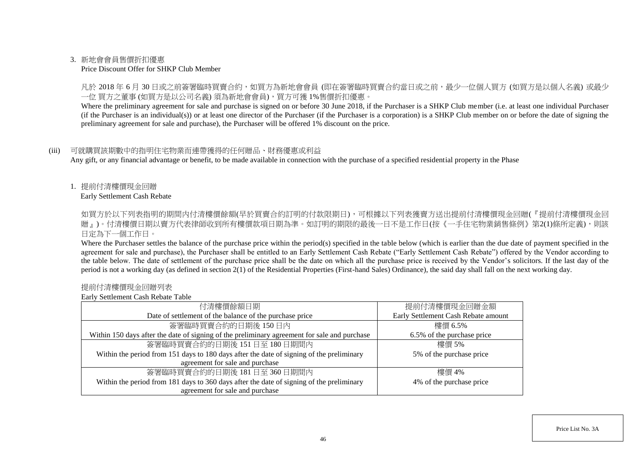### 3. 新地會會員售價折扣優惠

#### Price Discount Offer for SHKP Club Member

凡於 2018 年 6 月 30 日或之前簽署臨時買賣合約,如買方為新地會會員 (即在簽署臨時買賣合約當日或之前,最少一位個人買方 (如買方是以個人名義) 或最少 一位 買方之董事 (如買方是以公司名義) 須為新地會會員),買方可獲 1%售價折扣優惠。

Where the preliminary agreement for sale and purchase is signed on or before 30 June 2018, if the Purchaser is a SHKP Club member (i.e. at least one individual Purchaser (if the Purchaser is an individual(s)) or at least one director of the Purchaser (if the Purchaser is a corporation) is a SHKP Club member on or before the date of signing the preliminary agreement for sale and purchase), the Purchaser will be offered 1% discount on the price.

### (iii) 可就購買該期數中的指明住宅物業而連帶獲得的任何贈品、財務優惠或利益

Any gift, or any financial advantage or benefit, to be made available in connection with the purchase of a specified residential property in the Phase

1. 提前付清樓價現金回贈

Early Settlement Cash Rebate

如買方於以下列表指明的期間内付清樓價餘額(早於買賣合約訂明的付款限期日),可根據以下列表獲賣方送出提前付清樓價現金回贈(『提前付清樓價現金回 贈』)。付清樓價日期以賣方代表律師收到所有樓價款項日期為準。如訂明的期限的最後一日不是工作日(按《一手住宅物業銷售條例》第2(1)條所定義),則該 日定為下一個工作日。

Where the Purchaser settles the balance of the purchase price within the period(s) specified in the table below (which is earlier than the due date of payment specified in the agreement for sale and purchase), the Purchaser shall be entitled to an Early Settlement Cash Rebate ("Early Settlement Cash Rebate") offered by the Vendor according to the table below. The date of settlement of the purchase price shall be the date on which all the purchase price is received by the Vendor's solicitors. If the last day of the period is not a working day (as defined in section 2(1) of the Residential Properties (First-hand Sales) Ordinance), the said day shall fall on the next working day.

#### 提前付清樓價現金回贈列表

Early Settlement Cash Rebate Table

| 付清樓價餘額日期                                                                                     | 提前付清樓價現金回贈金額                        |
|----------------------------------------------------------------------------------------------|-------------------------------------|
| Date of settlement of the balance of the purchase price                                      | Early Settlement Cash Rebate amount |
| 簽署臨時買賣合約的日期後150日內                                                                            | 樓價 6.5%                             |
| Within 150 days after the date of signing of the preliminary agreement for sale and purchase | 6.5% of the purchase price          |
| 簽署臨時買賣合約的日期後 151日至 180日期間內                                                                   | 樓價 5%                               |
| Within the period from 151 days to 180 days after the date of signing of the preliminary     | 5% of the purchase price            |
| agreement for sale and purchase                                                              |                                     |
| 簽署臨時買賣合約的日期後 181日至 360日期間內                                                                   | 樓價 4%                               |
| Within the period from 181 days to 360 days after the date of signing of the preliminary     | 4% of the purchase price            |
| agreement for sale and purchase                                                              |                                     |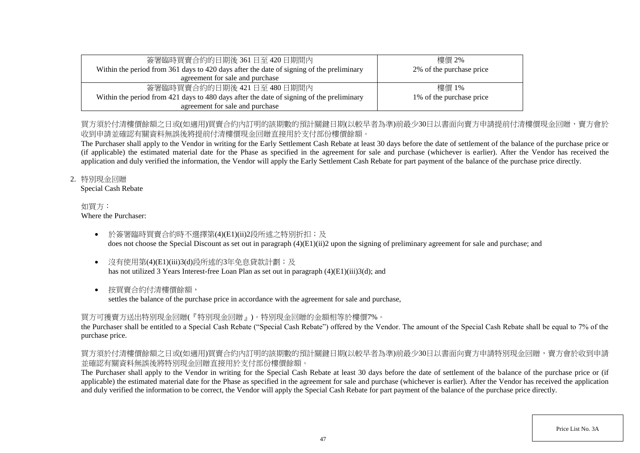| 簽署臨時買賣合約的日期後 361 日至 420 日期間內                                                             | 樓價 2%                    |
|------------------------------------------------------------------------------------------|--------------------------|
| Within the period from 361 days to 420 days after the date of signing of the preliminary | 2% of the purchase price |
| agreement for sale and purchase                                                          |                          |
| 簽署臨時買賣合約的日期後 421日至 480日期間内                                                               | 樓價 1%                    |
| Within the period from 421 days to 480 days after the date of signing of the preliminary | 1% of the purchase price |
| agreement for sale and purchase                                                          |                          |

# 買方須於付清樓價餘額之日或(如適用)買賣合約內訂明的該期數的預計關鍵日期(以較早者為進)前最少30日以書面向賣方申請提前付清樓價現金回贈,賣方會於 收到申請並確認有關資料無誤後將提前付清樓價現金回贈直接用於支付部份樓價餘額。

The Purchaser shall apply to the Vendor in writing for the Early Settlement Cash Rebate at least 30 days before the date of settlement of the balance of the purchase price or (if applicable) the estimated material date for the Phase as specified in the agreement for sale and purchase (whichever is earlier). After the Vendor has received the application and duly verified the information, the Vendor will apply the Early Settlement Cash Rebate for part payment of the balance of the purchase price directly.

## 2. 特別現金回贈

Special Cash Rebate

#### 如買方: Where the Purchaser:

- 於簽署臨時買賣合約時不選擇第(4)(E1)(ii)2段所述之特別折扣;及 does not choose the Special Discount as set out in paragraph (4)(E1)(ii)2 upon the signing of preliminary agreement for sale and purchase; and
- 沒有使用第(4)(E1)(iii)3(d)段所述的3年免息貸款計劃;及 has not utilized 3 Years Interest-free Loan Plan as set out in paragraph (4)(E1)(iii)3(d); and
- 按買賣合約付清樓價餘額,

settles the balance of the purchase price in accordance with the agreement for sale and purchase,

# 買方可獲賣方送出特別現金回贈(『特別現金回贈』)。特別現金回贈的金額相等於樓價7%。

the Purchaser shall be entitled to a Special Cash Rebate ("Special Cash Rebate") offered by the Vendor. The amount of the Special Cash Rebate shall be equal to 7% of the purchase price.

# 買方須於付清樓價餘額之日或(如適用)買賣合約內訂明的該期數的預計關鍵日期(以較早者為準)前最少30日以書面向賣方申請特別現金回贈,賣方會於收到申請 並確認有關資料無誤後將特別現金回贈直接用於支付部份樓價餘額。

The Purchaser shall apply to the Vendor in writing for the Special Cash Rebate at least 30 days before the date of settlement of the balance of the purchase price or (if applicable) the estimated material date for the Phase as specified in the agreement for sale and purchase (whichever is earlier). After the Vendor has received the application and duly verified the information to be correct, the Vendor will apply the Special Cash Rebate for part payment of the balance of the purchase price directly.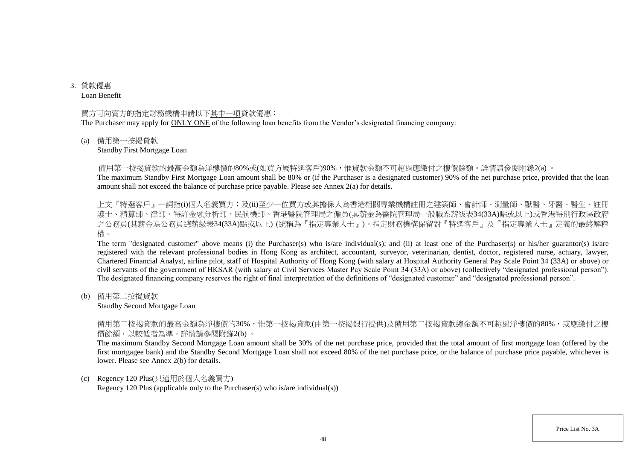3. 貸款優惠 Loan Benefit

#### 買方可向賣方的指定財務機構申請以下其中一項貸款優惠:

The Purchaser may apply for ONLY ONE of the following loan benefits from the Vendor's designated financing company:

#### (a) 備用第一按揭貸款

Standby First Mortgage Loan

備用第一按揭貸款的最高金額為淨樓價的80%或(如買方屬特選客戶)90%,惟貸款金額不可超過應繳付之樓價餘額。詳情請參閱附錄2(a) 。

The maximum Standby First Mortgage Loan amount shall be 80% or (if the Purchaser is a designated customer) 90% of the net purchase price, provided that the loan amount shall not exceed the balance of purchase price payable. Please see Annex 2(a) for details.

上文『特選客戶』一詞指(i)個人名義買方;及(ii)至少一位買方或其擔保人為香港相關專業機構註冊之建築師、會計師、測量師、獸醫、牙醫、醫生、註冊 護士、精算師、律師、特許金融分析師、民航機師、香港醫院管理局之僱員(其薪金為醫院管理局一般職系薪級表34(33A)點或以上)或香港特別行政區政府 之公務員(其薪金為公務員總薪級表34(33A)點或以上) (統稱為『指定專業人士』)。指定財務機構保留對『特選客戶』及『指定專業人士』定義的最終解釋 權。

The term "designated customer" above means (i) the Purchaser(s) who is/are individual(s); and (ii) at least one of the Purchaser(s) or his/her guarantor(s) is/are registered with the relevant professional bodies in Hong Kong as architect, accountant, surveyor, veterinarian, dentist, doctor, registered nurse, actuary, lawyer, Chartered Financial Analyst, airline pilot, staff of Hospital Authority of Hong Kong (with salary at Hospital Authority General Pay Scale Point 34 (33A) or above) or civil servants of the government of HKSAR (with salary at Civil Services Master Pay Scale Point 34 (33A) or above) (collectively "designated professional person"). The designated financing company reserves the right of final interpretation of the definitions of "designated customer" and "designated professional person".

(b) 備用第二按揭貸款

Standby Second Mortgage Loan

備用第二按揭貸款的最高金額為淨樓價的30%,惟第一按揭貸款(由第一按揭銀行提供)及備用第二按揭貸款總金額不可超過淨樓價的80%,或應繳付之樓 價餘額,以較低者為準。詳情請參閱附錄2(b) 。

The maximum Standby Second Mortgage Loan amount shall be 30% of the net purchase price, provided that the total amount of first mortgage loan (offered by the first mortgagee bank) and the Standby Second Mortgage Loan shall not exceed 80% of the net purchase price, or the balance of purchase price payable, whichever is lower. Please see Annex 2(b) for details.

#### (c) Regency 120 Plus(只適用於個人名義買方)

Regency 120 Plus (applicable only to the Purchaser(s) who is/are individual(s))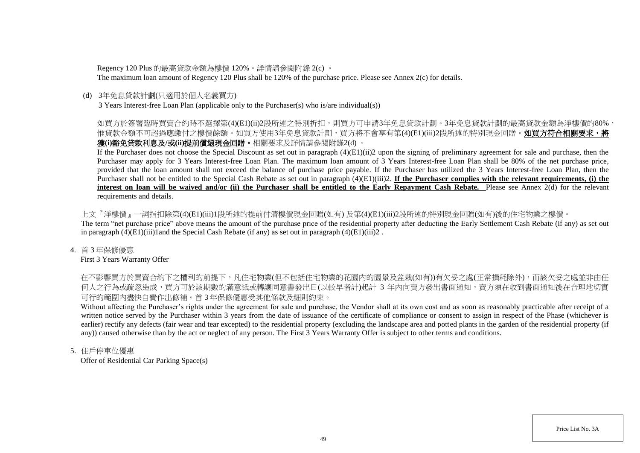Regency 120 Plus 的最高貸款金額為樓價 120%。詳情請參閱附錄 2(c) 。

The maximum loan amount of Regency 120 Plus shall be 120% of the purchase price. Please see Annex 2(c) for details.

## (d) 3年免息貸款計劃(只適用於個人名義買方)

3 Years Interest-free Loan Plan (applicable only to the Purchaser(s) who is/are individual(s))

# 如買方於簽署臨時買賣合約時不選擇第(4)(E1)(ii)2段所述之特別折扣,則買方可申請3年免息貸款計劃。3年免息貸款計劃的最高貸款金額為淨樓價的80%, 惟貸款金額不可超過應繳付之樓價餘額。如買方使用3年免息貸款計劃,買方將不會享有第(4)(E1)(iii)2段所述的特別現金回贈。**如買方符合相關要求,將** 獲**(i)**豁免貸款利息及**/**或**(ii)**提前償還現金回贈。相關要求及詳情請參閱附錄2(d) 。

If the Purchaser does not choose the Special Discount as set out in paragraph (4)(E1)(ii)2 upon the signing of preliminary agreement for sale and purchase, then the Purchaser may apply for 3 Years Interest-free Loan Plan. The maximum loan amount of 3 Years Interest-free Loan Plan shall be 80% of the net purchase price, provided that the loan amount shall not exceed the balance of purchase price payable. If the Purchaser has utilized the 3 Years Interest-free Loan Plan, then the Purchaser shall not be entitled to the Special Cash Rebate as set out in paragraph  $(4)(E1)(iii)2$ . **If the Purchaser complies with the relevant requirements, (i) the interest on loan will be waived and/or (ii) the Purchaser shall be entitled to the Early Repayment Cash Rebate.** Please see Annex 2(d) for the relevant requirements and details.

上文『淨樓價』一詞指扣除第(4)(E1)(iii)1段所述的提前付清樓價現金回贈(如有) 及第(4)(E1)(iii)2段所述的特別現金回贈(如有)後的住宅物業之樓價。 The term "net purchase price" above means the amount of the purchase price of the residential property after deducting the Early Settlement Cash Rebate (if any) as set out in paragraph  $(4)(E1)(iii)1$  and the Special Cash Rebate (if any) as set out in paragraph  $(4)(E1)(iii)2$ .

## 4. 首 3 年保修優惠

First 3 Years Warranty Offer

在不影響買方於買賣合約下之權利的前提下,凡住宅物業(但不包括住宅物業的花園內的園景及盆栽(如有))有欠妥之處(正常損耗除外),而該欠妥之處並非由任 何人之行為或疏忽造成,買方可於該期數的滿意紙或轉讓同意書發出日(以較早者計)起計 3 年内向賣方發出書面通知,賣方須在收到書面通知後在合理地切實 可行的範圍內盡快自費作出修補。首 3 年保修優惠受其他條款及細則約束。

Without affecting the Purchaser's rights under the agreement for sale and purchase, the Vendor shall at its own cost and as soon as reasonably practicable after receipt of a written notice served by the Purchaser within 3 years from the date of issuance of the certificate of compliance or consent to assign in respect of the Phase (whichever is earlier) rectify any defects (fair wear and tear excepted) to the residential property (excluding the landscape area and potted plants in the garden of the residential property (if any)) caused otherwise than by the act or neglect of any person. The First 3 Years Warranty Offer is subject to other terms and conditions.

## 5. 住戶停車位優惠

Offer of Residential Car Parking Space(s)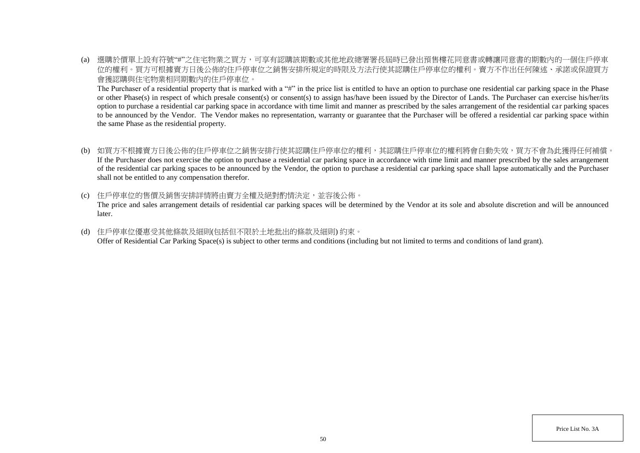(a) 選購於價單上設有符號"#"之住宅物業之買方,可享有認購該期數或其他地政總署署長屆時已發出預售樓花同意書或轉讓同意書的期數內的一個住戶停車 位的權利。買方可根據賣方日後公佈的住戶停車位之銷售安排所規定的時限及方法行使其認購住戶停車位的權利。賣方不作出任何陳述、承諾或保證買方 會獲認購與住宅物業相同期數內的住戶停車位。

The Purchaser of a residential property that is marked with a "#" in the price list is entitled to have an option to purchase one residential car parking space in the Phase or other Phase(s) in respect of which presale consent(s) or consent(s) to assign has/have been issued by the Director of Lands. The Purchaser can exercise his/her/its option to purchase a residential car parking space in accordance with time limit and manner as prescribed by the sales arrangement of the residential car parking spaces to be announced by the Vendor. The Vendor makes no representation, warranty or guarantee that the Purchaser will be offered a residential car parking space within the same Phase as the residential property.

- (b) 如買方不根據賣方日後公佈的住戶停車位之銷售安排行使其認購住戶停車位的權利,其認購住戶停車位的權利將會自動失效,買方不會為此獲得任何補償。 If the Purchaser does not exercise the option to purchase a residential car parking space in accordance with time limit and manner prescribed by the sales arrangement of the residential car parking spaces to be announced by the Vendor, the option to purchase a residential car parking space shall lapse automatically and the Purchaser shall not be entitled to any compensation therefor.
- (c) 住戶停車位的售價及銷售安排詳情將由賣方全權及絕對酌情決定,並容後公佈。

The price and sales arrangement details of residential car parking spaces will be determined by the Vendor at its sole and absolute discretion and will be announced later.

(d) 住戶停車位優惠受其他條款及細則(包括但不限於土地批出的條款及細則) 約束。 Offer of Residential Car Parking Space(s) is subject to other terms and conditions (including but not limited to terms and conditions of land grant).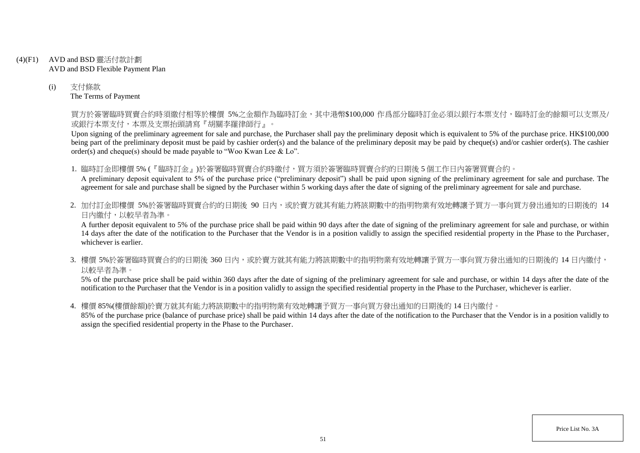- (4)(F1) AVD and BSD 靈活付款計劃 AVD and BSD Flexible Payment Plan
	- (i) 支付條款 The Terms of Payment

買方於簽署臨時買賣合約時須繳付相等於樓價 5%之金額作為臨時訂金,其中港幣\$100,000 作爲部分臨時訂金必須以銀行本票支付,臨時訂金的餘額可以支票及/ 或銀行本票支付,本票及支票抬頭請寫『胡關李羅律師行』。

Upon signing of the preliminary agreement for sale and purchase, the Purchaser shall pay the preliminary deposit which is equivalent to 5% of the purchase price. HK\$100,000 being part of the preliminary deposit must be paid by cashier order(s) and the balance of the preliminary deposit may be paid by cheque(s) and/or cashier order(s). The cashier order(s) and cheque(s) should be made payable to "Woo Kwan Lee & Lo".

1. 臨時訂金即樓價 5% (『臨時訂金』)於簽署臨時買賣合約時繳付,買方須於簽署臨時買賣合約的日期後 5 個工作日內簽署買賣合約。

A preliminary deposit equivalent to 5% of the purchase price ("preliminary deposit") shall be paid upon signing of the preliminary agreement for sale and purchase. The agreement for sale and purchase shall be signed by the Purchaser within 5 working days after the date of signing of the preliminary agreement for sale and purchase.

2. 加付訂金即樓價 5%於簽署臨時買賣合約的日期後 90 日内,或於賣方就其有能力將該期數中的指明物業有效地轉讓予買方一事向買方發出通知的日期後的 14 日內繳付,以較早者為準。

A further deposit equivalent to 5% of the purchase price shall be paid within 90 days after the date of signing of the preliminary agreement for sale and purchase, or within 14 days after the date of the notification to the Purchaser that the Vendor is in a position validly to assign the specified residential property in the Phase to the Purchaser, whichever is earlier.

3. 樓價 5%於簽署臨時買賣合約的日期後 360 日内,或於賣方就其有能力將該期數中的指明物業有效地轉讓予買方一事向買方發出通知的日期後的 14 日內繳付, 以較早者為準。

5% of the purchase price shall be paid within 360 days after the date of signing of the preliminary agreement for sale and purchase, or within 14 days after the date of the notification to the Purchaser that the Vendor is in a position validly to assign the specified residential property in the Phase to the Purchaser, whichever is earlier.

4. 樓價 85%(樓價餘額)於賣方就其有能力將該期數中的指明物業有效地轉讓予買方一事向買方發出通知的日期後的 14 日內繳付。

85% of the purchase price (balance of purchase price) shall be paid within 14 days after the date of the notification to the Purchaser that the Vendor is in a position validly to assign the specified residential property in the Phase to the Purchaser.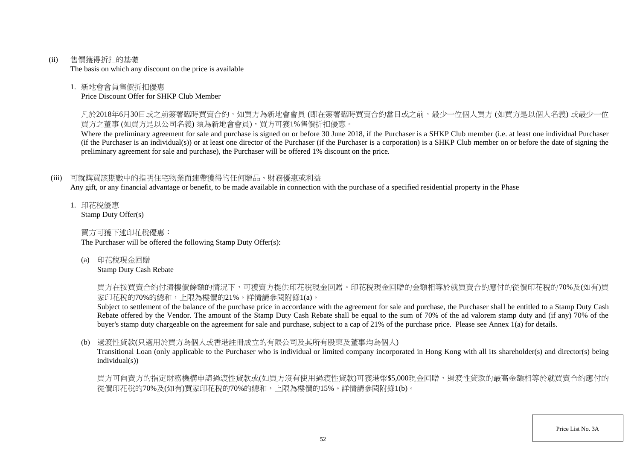(ii) 售價獲得折扣的基礎

The basis on which any discount on the price is available

## 1. 新地會會員售價折扣優惠

Price Discount Offer for SHKP Club Member

凡於2018年6月30日或之前簽署臨時買賣合約,如買方為新地會會員 (即在簽署臨時買賣合約當日或之前,最少一位個人買方 (如買方是以個人名義) 或最少一位 買方之董事 (如買方是以公司名義) 須為新地會會員),買方可獲1%售價折扣優惠。

Where the preliminary agreement for sale and purchase is signed on or before 30 June 2018, if the Purchaser is a SHKP Club member (i.e. at least one individual Purchaser (if the Purchaser is an individual(s)) or at least one director of the Purchaser (if the Purchaser is a corporation) is a SHKP Club member on or before the date of signing the preliminary agreement for sale and purchase), the Purchaser will be offered 1% discount on the price.

# (iii) 可就購買該期數中的指明住宅物業而連帶獲得的任何贈品、財務優惠或利益

Any gift, or any financial advantage or benefit, to be made available in connection with the purchase of a specified residential property in the Phase

1. 印花稅優惠 Stamp Duty Offer(s)

買方可獲下述印花稅優惠:

The Purchaser will be offered the following Stamp Duty Offer(s):

(a) 印花稅現金回贈

Stamp Duty Cash Rebate

買方在按買賣合約付清樓價餘額的情況下,可獲賣方提供印花稅現金回贈。印花稅現金回贈的金額相等於就買賣合約應付的從價印花稅的70%及(如有)買 家印花稅的70%的總和,上限為樓價的21%。詳情請參閱附錄1(a)。

Subject to settlement of the balance of the purchase price in accordance with the agreement for sale and purchase, the Purchaser shall be entitled to a Stamp Duty Cash Rebate offered by the Vendor. The amount of the Stamp Duty Cash Rebate shall be equal to the sum of 70% of the ad valorem stamp duty and (if any) 70% of the buyer's stamp duty chargeable on the agreement for sale and purchase, subject to a cap of 21% of the purchase price. Please see Annex 1(a) for details.

# (b) 過渡性貸款(只適用於買方為個人或香港註冊成立的有限公司及其所有股東及董事均為個人)

Transitional Loan (only applicable to the Purchaser who is individual or limited company incorporated in Hong Kong with all its shareholder(s) and director(s) being individual(s))

買方可向賣方的指定財務機構申請過渡性貸款或(如買方沒有使用過渡性貸款)可獲港幣\$5,000現金回贈,過渡性貸款的最高金額相等於就買賣合約應付的 從價印花稅的70%及(如有)買家印花稅的70%的總和,上限為樓價的15%。詳情請參閱附錄1(b)。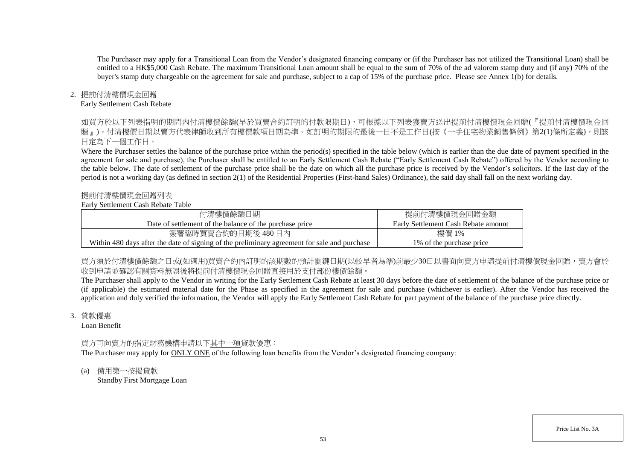The Purchaser may apply for a Transitional Loan from the Vendor's designated financing company or (if the Purchaser has not utilized the Transitional Loan) shall be entitled to a HK\$5,000 Cash Rebate. The maximum Transitional Loan amount shall be equal to the sum of 70% of the ad valorem stamp duty and (if any) 70% of the buyer's stamp duty chargeable on the agreement for sale and purchase, subject to a cap of 15% of the purchase price. Please see Annex 1(b) for details.

## 2. 提前付清樓價現金回贈

### Early Settlement Cash Rebate

如買方於以下列表指明的期間内付清樓價餘額(早於買賣合約訂明的付款限期日),可根據以下列表獲賣方送出提前付清樓價現金回贈(『提前付清樓價現金回 贈』)。付清樓價日期以賣方代表律師收到所有樓價款項日期為進。如訂明的期限的最後一日不是工作日(按《一手住宅物業銷售條例》第2(1)條所定義),則該 日定為下一個工作日。

Where the Purchaser settles the balance of the purchase price within the period(s) specified in the table below (which is earlier than the due date of payment specified in the agreement for sale and purchase), the Purchaser shall be entitled to an Early Settlement Cash Rebate ("Early Settlement Cash Rebate") offered by the Vendor according to the table below. The date of settlement of the purchase price shall be the date on which all the purchase price is received by the Vendor's solicitors. If the last day of the period is not a working day (as defined in section 2(1) of the Residential Properties (First-hand Sales) Ordinance), the said day shall fall on the next working day.

### 提前付清樓價現金回贈列表

### Early Settlement Cash Rebate Table

| 付清樓價餘額日期                                                                                     | 提前付清樓價現金回贈金額                        |
|----------------------------------------------------------------------------------------------|-------------------------------------|
| Date of settlement of the balance of the purchase price                                      | Early Settlement Cash Rebate amount |
| 簽署臨時買賣合約的日期後 480日內                                                                           | 樓價 1%                               |
| Within 480 days after the date of signing of the preliminary agreement for sale and purchase | 1\% of the purchase price           |

買方須於付清樓價餘額之日或(如適用)買賣合約内訂明的該期數的預計關鍵日期(以較早者為準)前最少30日以書面向賣方申請提前付清樓價現金回贈,賣方會於 收到申請並確認有關資料無誤後將提前付清樓價現金回贈直接用於支付部份樓價餘額。

The Purchaser shall apply to the Vendor in writing for the Early Settlement Cash Rebate at least 30 days before the date of settlement of the balance of the purchase price or (if applicable) the estimated material date for the Phase as specified in the agreement for sale and purchase (whichever is earlier). After the Vendor has received the application and duly verified the information, the Vendor will apply the Early Settlement Cash Rebate for part payment of the balance of the purchase price directly.

#### 3. 貸款優惠

Loan Benefit

# 買方可向賣方的指定財務機構申請以下其中一項貸款優惠:

The Purchaser may apply for ONLY ONE of the following loan benefits from the Vendor's designated financing company:

(a) 備用第一按揭貸款 Standby First Mortgage Loan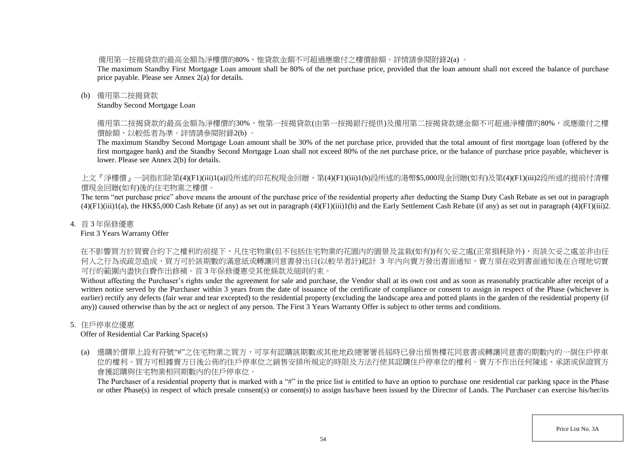備用第一按揭貸款的最高金額為淨樓價的80%,惟貸款金額不可超過應繳付之樓價餘額。詳情請參閱附錄2(a) 。

The maximum Standby First Mortgage Loan amount shall be 80% of the net purchase price, provided that the loan amount shall not exceed the balance of purchase price payable. Please see Annex 2(a) for details.

## (b) 備用第二按揭貸款

Standby Second Mortgage Loan

備用第二按揭貸款的最高金額為淨樓價的30%,惟第一按揭貸款(由第一按揭銀行提供)及備用第二按揭貸款總金額不可超過淨樓價的80%,或應繳付之樓 價餘額,以較低者為準。詳情請參閱附錄2(b) 。

The maximum Standby Second Mortgage Loan amount shall be 30% of the net purchase price, provided that the total amount of first mortgage loan (offered by the first mortgagee bank) and the Standby Second Mortgage Loan shall not exceed 80% of the net purchase price, or the balance of purchase price payable, whichever is lower. Please see Annex 2(b) for details.

上文『淨樓價』一詞指扣除第(4)(F1)(iii)1(a)段所述的印花稅現金回贈、第(4)(F1)(iii)1(b)段所述的港幣\$5,000現金回贈(如有)及第(4)(F1)(iii)2段所述的提前付清樓 價現金回贈(如有)後的住宅物業之樓價。

The term "net purchase price" above means the amount of the purchase price of the residential property after deducting the Stamp Duty Cash Rebate as set out in paragraph  $(4)(F1)(iii)1(a)$ , the HK\$5,000 Cash Rebate (if any) as set out in paragraph  $(4)(F1)(iii)1(b)$  and the Early Settlement Cash Rebate (if any) as set out in paragraph  $(4)(F1)(iii)2$ .

## 4. 首 3 年保修優惠

First 3 Years Warranty Offer

在不影響買方於買賣合約下之權利的前提下,凡住宅物業(但不包括住宅物業的花園內的園景及盆栽(如有))有欠妥之處(正常損耗除外),而該欠妥之處並非由任 何人之行為或疏忽造成,買方可於該期數的滿意紙或轉讓同意書發出日(以較早者計)起計 3 年内向賣方發出書面通知,賣方須在收到書面通知後在合理地切實 可行的範圍內盡快自費作出修補。首 3 年保修優惠受其他條款及細則約束。

Without affecting the Purchaser's rights under the agreement for sale and purchase, the Vendor shall at its own cost and as soon as reasonably practicable after receipt of a written notice served by the Purchaser within 3 years from the date of issuance of the certificate of compliance or consent to assign in respect of the Phase (whichever is earlier) rectify any defects (fair wear and tear excepted) to the residential property (excluding the landscape area and potted plants in the garden of the residential property (if any)) caused otherwise than by the act or neglect of any person. The First 3 Years Warranty Offer is subject to other terms and conditions.

# 5. 住戶停車位優惠

Offer of Residential Car Parking Space(s)

(a) 選購於價單上設有符號"#"之住宅物業之買方,可享有認購該期數或其他地政總署署長屆時已發出預售樓花同意書或轉讓同意書的期數內的一個住戶停車 位的權利。買方可根據賣方日後公佈的住戶停車位之銷售安排所規定的時限及方法行使其認購住戶停車位的權利。賣方不作出任何陳述、承諾或保證買方 會獲認購與住宅物業相同期數內的住戶停車位。

The Purchaser of a residential property that is marked with a "#" in the price list is entitled to have an option to purchase one residential car parking space in the Phase or other Phase(s) in respect of which presale consent(s) or consent(s) to assign has/have been issued by the Director of Lands. The Purchaser can exercise his/her/its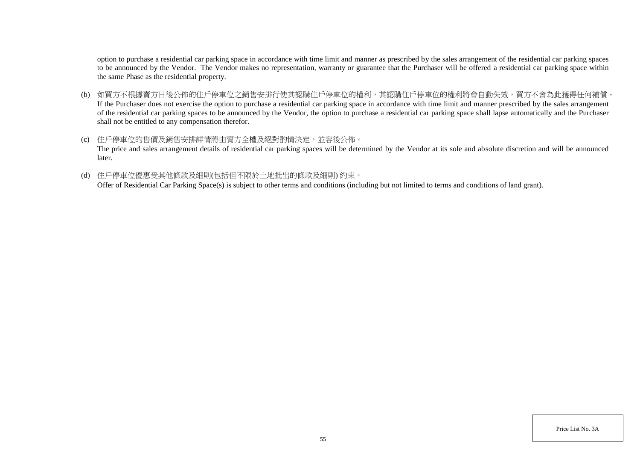option to purchase a residential car parking space in accordance with time limit and manner as prescribed by the sales arrangement of the residential car parking spaces to be announced by the Vendor. The Vendor makes no representation, warranty or guarantee that the Purchaser will be offered a residential car parking space within the same Phase as the residential property.

- (b) 如買方不根據賣方日後公佈的住戶停車位之銷售安排行使其認購住戶停車位的權利,其認購住戶停車位的權利將會自動失效,買方不會為此獲得任何補償。 If the Purchaser does not exercise the option to purchase a residential car parking space in accordance with time limit and manner prescribed by the sales arrangement of the residential car parking spaces to be announced by the Vendor, the option to purchase a residential car parking space shall lapse automatically and the Purchaser shall not be entitled to any compensation therefor.
- (c) 住戶停車位的售價及銷售安排詳情將由賣方全權及絕對酌情決定,並容後公佈。 The price and sales arrangement details of residential car parking spaces will be determined by the Vendor at its sole and absolute discretion and will be announced later.
- (d) 住戶停車位優惠受其他條款及細則(包括但不限於土地批出的條款及細則) 約束。

Offer of Residential Car Parking Space(s) is subject to other terms and conditions (including but not limited to terms and conditions of land grant).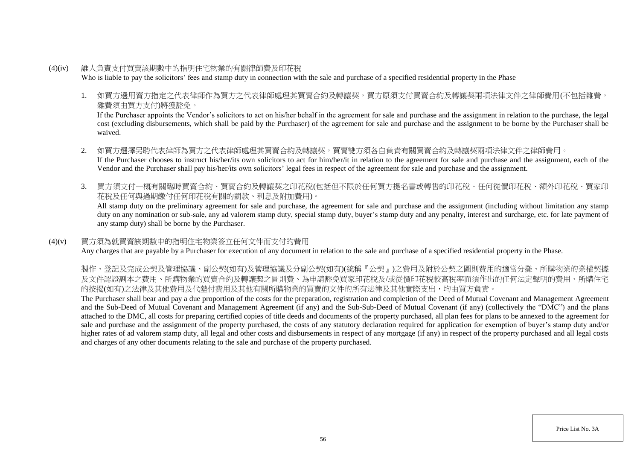- (4)(iv) 誰人負責支付買賣該期數中的指明住宅物業的有關律師費及印花稅 Who is liable to pay the solicitors' fees and stamp duty in connection with the sale and purchase of a specified residential property in the Phase
	- 1. 如買方選用賣方指定之代表律師作為買方之代表律師處理其買賣合約及轉讓契,買方原須支付買賣合約及轉讓契兩項法律文件之律師費用(不包括雜費, 雜費須由買方支付)將獲豁免。

If the Purchaser appoints the Vendor's solicitors to act on his/her behalf in the agreement for sale and purchase and the assignment in relation to the purchase, the legal cost (excluding disbursements, which shall be paid by the Purchaser) of the agreement for sale and purchase and the assignment to be borne by the Purchaser shall be waived.

- 2. 如買方選擇另聘代表律師為買方之代表律師處理其買賣合約及轉讓契,買賣雙方須各自負責有關買賣合約及轉讓契兩項法律文件之律師費用。 If the Purchaser chooses to instruct his/her/its own solicitors to act for him/her/it in relation to the agreement for sale and purchase and the assignment, each of the Vendor and the Purchaser shall pay his/her/its own solicitors' legal fees in respect of the agreement for sale and purchase and the assignment.
- 3. 買方須支付一概有關臨時買賣合約、買賣合約及轉讓契之印花稅(包括但不限於任何買方提名書或轉售的印花稅、任何從價印花稅、額外印花稅、買家印 花稅及任何與過期繳付任何印花稅有關的罰款、利息及附加費用)。

All stamp duty on the preliminary agreement for sale and purchase, the agreement for sale and purchase and the assignment (including without limitation any stamp duty on any nomination or sub-sale, any ad valorem stamp duty, special stamp duty, buyer's stamp duty and any penalty, interest and surcharge, etc. for late payment of any stamp duty) shall be borne by the Purchaser.

## (4)(v) 買方須為就買賣該期數中的指明住宅物業簽立任何文件而支付的費用

Any charges that are payable by a Purchaser for execution of any document in relation to the sale and purchase of a specified residential property in the Phase.

製作、登記及完成公契及管理協議、副公契(如有)及管理協議及分副公契(如有)(統稱『公契』)之費用及附於公契之圖則費用的適當分攤、所購物業的業權契據 及文件認證副本之費用、所購物業的買賣合約及轉讓契之圖則費、為申請豁免買家印花稅及/或從價印花稅較高稅率而須作出的任何法定聲明的費用、所購住宅 的按揭(如有)之法律及其他費用及代墊付費用及其他有關所購物業的買賣的文件的所有法律及其他實際支出,均由買方負責。

The Purchaser shall bear and pay a due proportion of the costs for the preparation, registration and completion of the Deed of Mutual Covenant and Management Agreement and the Sub-Deed of Mutual Covenant and Management Agreement (if any) and the Sub-Sub-Deed of Mutual Covenant (if any) (collectively the "DMC") and the plans attached to the DMC, all costs for preparing certified copies of title deeds and documents of the property purchased, all plan fees for plans to be annexed to the agreement for sale and purchase and the assignment of the property purchased, the costs of any statutory declaration required for application for exemption of buyer's stamp duty and/or higher rates of ad valorem stamp duty, all legal and other costs and disbursements in respect of any mortgage (if any) in respect of the property purchased and all legal costs and charges of any other documents relating to the sale and purchase of the property purchased.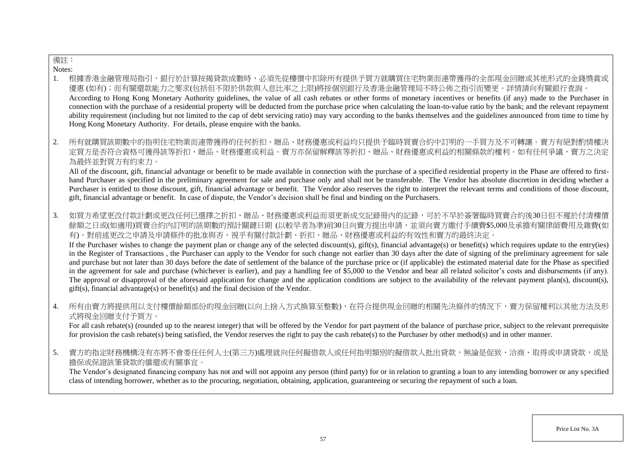# 備註:

Notes:

- 1. 根據香港金融管理局指引,銀行於計算按揭貸款成數時,必須先從樓價中扣除所有提供予買方就購買住宅物業而連帶獲得的全部現金回贈或其他形式的金錢獎賞或 優惠 (如有);而有關還款能力之要求(包括但不限於供款與入息比率之上限)將按個別銀行及香港金融管理局不時公佈之指引而變更。詳情請向有關銀行查詢。 According to Hong Kong Monetary Authority guidelines, the value of all cash rebates or other forms of monetary incentives or benefits (if any) made to the Purchaser in connection with the purchase of a residential property will be deducted from the purchase price when calculating the loan-to-value ratio by the bank; and the relevant repayment ability requirement (including but not limited to the cap of debt servicing ratio) may vary according to the banks themselves and the guidelines announced from time to time by Hong Kong Monetary Authority. For details, please enquire with the banks.
- 2. 所有就購買該期數中的指明住宅物業而連帶獲得的任何折扣、贈品、財務優惠或利益均只提供予臨時買賣合約中訂明的一手買方及不可轉讓。賣方有絕對酌情權決 定買方是否符合資格可獲得該等折扣、贈品、財務優惠或利益。賣方亦保留解釋該等折扣、贈品、財務優惠或利益的相關條款的權利。如有任何爭議,賣方之決定 為最終並對買方有約束力。

All of the discount, gift, financial advantage or benefit to be made available in connection with the purchase of a specified residential property in the Phase are offered to firsthand Purchaser as specified in the preliminary agreement for sale and purchase only and shall not be transferable. The Vendor has absolute discretion in deciding whether a Purchaser is entitled to those discount, gift, financial advantage or benefit. The Vendor also reserves the right to interpret the relevant terms and conditions of those discount, gift, financial advantage or benefit. In case of dispute, the Vendor's decision shall be final and binding on the Purchasers.

3. 如買方希望更改付款計劃或更改任何已選擇之折扣、贈品、財務優惠或利益而須更新成交記錄冊內的記錄,可於不早於簽署臨時買賣合約後30日但不遲於付清樓價 餘額之日或(如適用)買賣合約內訂明的該期數的預計關鍵日期 (以較早者為準)前30日向賣方提出申請,並須向賣方繳付手續費\$5,000及承擔有關律師費用及雜費(如 有)。對前述更改之申請及申請條件的批准與否,視乎有關付款計劃、折扣、贈品、財務優惠或利益的有效性和賣方的最終決定。

If the Purchaser wishes to change the payment plan or change any of the selected discount(s), gift(s), financial advantage(s) or benefit(s) which requires update to the entry(ies) in the Register of Transactions , the Purchaser can apply to the Vendor for such change not earlier than 30 days after the date of signing of the preliminary agreement for sale and purchase but not later than 30 days before the date of settlement of the balance of the purchase price or (if applicable) the estimated material date for the Phase as specified in the agreement for sale and purchase (whichever is earlier), and pay a handling fee of \$5,000 to the Vendor and bear all related solicitor's costs and disbursements (if any). The approval or disapproval of the aforesaid application for change and the application conditions are subject to the availability of the relevant payment plan(s), discount(s), gift(s), financial advantage(s) or benefit(s) and the final decision of the Vendor.

4. 所有由賣方將提供用以支付樓價餘額部份的現金回贈(以向上捨入方式換算至整數),在符合提供現金回贈的相關先決條件的情況下,賣方保留權利以其他方法及形 式將現金回贈支付予買方。

For all cash rebate(s) (rounded up to the nearest integer) that will be offered by the Vendor for part payment of the balance of purchase price, subject to the relevant prerequisite for provision the cash rebate(s) being satisfied, the Vendor reserves the right to pay the cash rebate(s) to the Purchaser by other method(s) and in other manner.

5. 賣方的指定財務機構沒有亦將不會委任任何人士(第三方)處理就向任何擬借款人或任何指明類別的擬借款人批出貸款,無論是促致、洽商、取得或申請貸款,或是 擔保或保證該筆貸款的償還或有關事宜。

The Vendor's designated financing company has not and will not appoint any person (third party) for or in relation to granting a loan to any intending borrower or any specified class of intending borrower, whether as to the procuring, negotiation, obtaining, application, guaranteeing or securing the repayment of such a loan.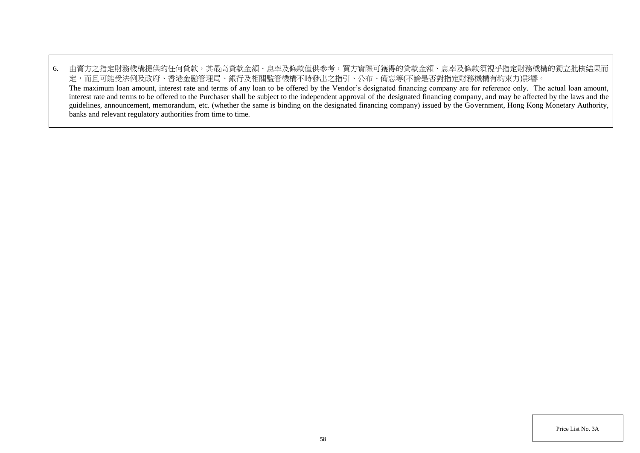6. 由賣方之指定財務機構提供的任何貸款,其最高貸款金額、息率及條款僅供參考,買方實際可獲得的貸款金額、息率及條款須視乎指定財務機構的獨立批核結果而 定,而且可能受法例及政府、香港金融管理局、銀行及相關監管機構不時發出之指引、公布、備忘等(不論是否對指定財務機構有約束力)影響。 The maximum loan amount, interest rate and terms of any loan to be offered by the Vendor's designated financing company are for reference only. The actual loan amount, interest rate and terms to be offered to the Purchaser shall be subject to the independent approval of the designated financing company, and may be affected by the laws and the guidelines, announcement, memorandum, etc. (whether the same is binding on the designated financing company) issued by the Government, Hong Kong Monetary Authority, banks and relevant regulatory authorities from time to time.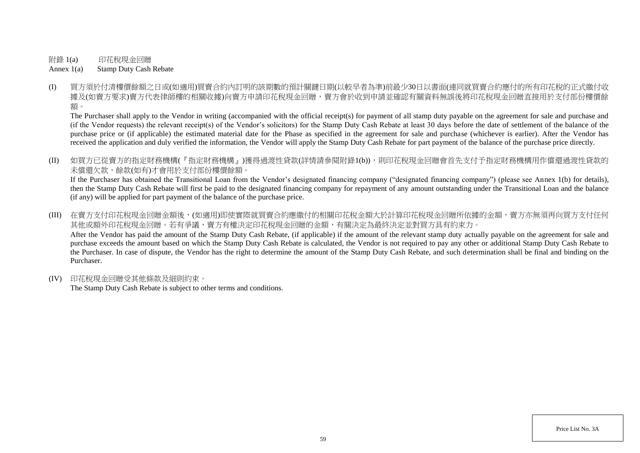附錄 1(a) 印花稅現金回贈

Annex 1(a) Stamp Duty Cash Rebate

(I) 買方須於付清樓價餘額之日或(如適用)買賣合約內訂明的該期數的預計關鍵日期(以較早者為準)前最少30日以書面(連同就買賣合約應付的所有印花稅的正式繳付收 據及(如賣方要求)賣方代表律師樓的相關收據)向賣方申請印花稅現金回贈,賣方會於收到申請並確認有關資料無誤後將印花稅現金回贈直接用於支付部份樓價餘 額。

The Purchaser shall apply to the Vendor in writing (accompanied with the official receipt(s) for payment of all stamp duty payable on the agreement for sale and purchase and (if the Vendor requests) the relevant receipt(s) of the Vendor's solicitors) for the Stamp Duty Cash Rebate at least 30 days before the date of settlement of the balance of the purchase price or (if applicable) the estimated material date for the Phase as specified in the agreement for sale and purchase (whichever is earlier). After the Vendor has received the application and duly verified the information, the Vendor will apply the Stamp Duty Cash Rebate for part payment of the balance of the purchase price directly.

(II) 如買方已從賣方的指定財務機構(『指定財務機構』)獲得過渡性貸款(詳情請參閱附錄1(b)),則印花稅現金回贈會首先支付予指定財務機構用作償還過渡性貸款的 未償還欠款,餘款(如有)才會用於支付部份樓價餘額。

If the Purchaser has obtained the Transitional Loan from the Vendor's designated financing company ("designated financing company") (please see Annex 1(b) for details), then the Stamp Duty Cash Rebate will first be paid to the designated financing company for repayment of any amount outstanding under the Transitional Loan and the balance (if any) will be applied for part payment of the balance of the purchase price.

(III) 在賣方支付印花稅現金回贈金額後,(如適用)即使實際就買賣合約應繳付的相關印花稅金額大於計算印花稅現金回贈所依據的金額,賣方亦無須再向買方支付任何 其他或額外印花稅現金回贈。若有爭議,賣方有權決定印花稅現金回贈的金額,有關決定為最終決定並對買方具有約束力。 After the Vendor has paid the amount of the Stamp Duty Cash Rebate, (if applicable) if the amount of the relevant stamp duty actually payable on the agreement for sale and purchase exceeds the amount based on which the Stamp Duty Cash Rebate is calculated, the Vendor is not required to pay any other or additional Stamp Duty Cash Rebate to the Purchaser. In case of dispute, the Vendor has the right to determine the amount of the Stamp Duty Cash Rebate, and such determination shall be final and binding on the Purchaser.

(IV) 印花稅現金回贈受其他條款及細則約束。

The Stamp Duty Cash Rebate is subject to other terms and conditions.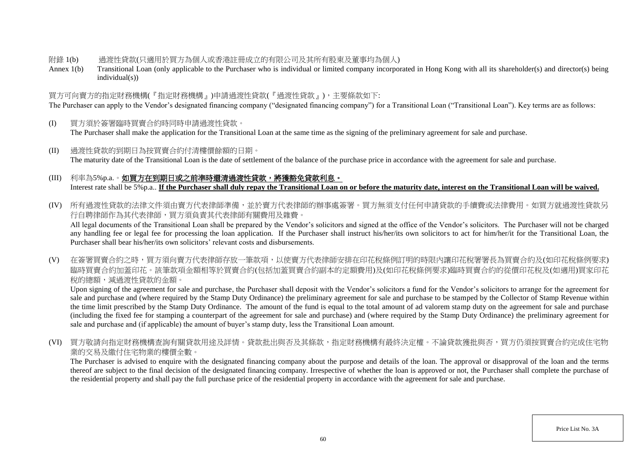### 附錄 1(b) 過渡性貸款(只適用於買方為個人或香港註冊成立的有限公司及其所有股東及董事均為個人)

Annex 1(b) Transitional Loan (only applicable to the Purchaser who is individual or limited company incorporated in Hong Kong with all its shareholder(s) and director(s) being individual(s))

# 買方可向賣方的指定財務機構(『指定財務機構』)申請過渡性貸款(『過渡性貸款』),主要條款如下:

The Purchaser can apply to the Vendor's designated financing company ("designated financing company") for a Transitional Loan ("Transitional Loan"). Key terms are as follows:

- (I) 買方須於簽署臨時買賣合約時同時申請過渡性貸款。 The Purchaser shall make the application for the Transitional Loan at the same time as the signing of the preliminary agreement for sale and purchase.
- (II) 過渡性貸款的到期日為按買賣合約付清樓價餘額的日期。 The maturity date of the Transitional Loan is the date of settlement of the balance of the purchase price in accordance with the agreement for sale and purchase.

# (III) 利率為5%p.a.。如買方在到期日或之前準時還清過渡性貸款,將獲豁免貸款利息。 Interest rate shall be 5%p.a.. **If the Purchaser shall duly repay the Transitional Loan on or before the maturity date, interest on the Transitional Loan will be waived.**

(IV) 所有過渡性貸款的法律文件須由賣方代表律師準備,並於賣方代表律師的辦事處簽署。買方無須支付任何申請貸款的手續費或法律費用。如買方就過渡性貸款另 行自聘律師作為其代表律師,買方須負責其代表律師有關費用及雜費。

All legal documents of the Transitional Loan shall be prepared by the Vendor's solicitors and signed at the office of the Vendor's solicitors. The Purchaser will not be charged any handling fee or legal fee for processing the loan application. If the Purchaser shall instruct his/her/its own solicitors to act for him/her/it for the Transitional Loan, the Purchaser shall bear his/her/its own solicitors' relevant costs and disbursements.

(V) 在簽署買賣合約之時,買方須向賣方代表律師存放一筆款項,以使賣方代表律師安排在印花稅條例訂明的時限內讓印花稅署署長為買賣合約及(如印花稅條例要求) 臨時買賣合約加蓋印花。該筆款項金額相等於買賣合約(包括加蓋買賣合約副本的定額費用)及(如印花稅條例要求)臨時買賣合約的從價印花稅及(如適用)買家印花 稅的總額,減過渡性貸款的金額。

Upon signing of the agreement for sale and purchase, the Purchaser shall deposit with the Vendor's solicitors a fund for the Vendor's solicitors to arrange for the agreement for sale and purchase and (where required by the Stamp Duty Ordinance) the preliminary agreement for sale and purchase to be stamped by the Collector of Stamp Revenue within the time limit prescribed by the Stamp Duty Ordinance. The amount of the fund is equal to the total amount of ad valorem stamp duty on the agreement for sale and purchase (including the fixed fee for stamping a counterpart of the agreement for sale and purchase) and (where required by the Stamp Duty Ordinance) the preliminary agreement for sale and purchase and (if applicable) the amount of buyer's stamp duty, less the Transitional Loan amount.

(VI) 買方敬請向指定財務機構查詢有關貸款用途及詳情。貸款批出與否及其條款,指定財務機構有最終決定權。不論貸款獲批與否,買方仍須按買賣合約完成住宅物 業的交易及繳付住宅物業的樓價全數。

The Purchaser is advised to enquire with the designated financing company about the purpose and details of the loan. The approval or disapproval of the loan and the terms thereof are subject to the final decision of the designated financing company. Irrespective of whether the loan is approved or not, the Purchaser shall complete the purchase of the residential property and shall pay the full purchase price of the residential property in accordance with the agreement for sale and purchase.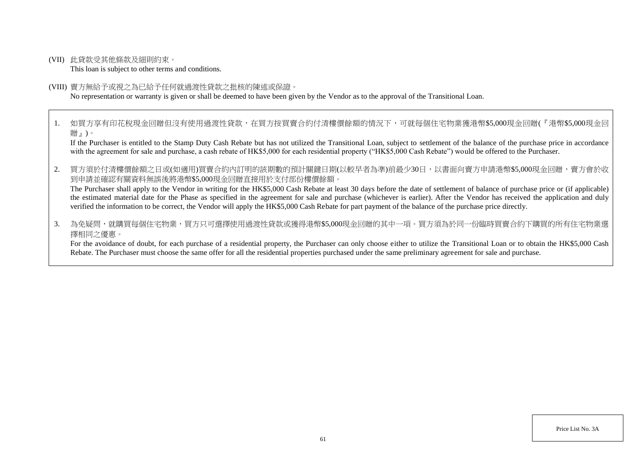(VII) 此貸款受其他條款及細則約束。

This loan is subject to other terms and conditions.

#### (VIII) 賣方無給予或視之為已給予任何就過渡性貸款之批核的陳述或保證。

No representation or warranty is given or shall be deemed to have been given by the Vendor as to the approval of the Transitional Loan.

1. 如買方享有印花稅現金回贈但沒有使用過渡性貸款,在買方按買賣合約付清樓價餘額的情況下,可就每個住宅物業獲港幣\$5,000現金回贈(『港幣\$5,000現金回 贈』)。

If the Purchaser is entitled to the Stamp Duty Cash Rebate but has not utilized the Transitional Loan, subject to settlement of the balance of the purchase price in accordance with the agreement for sale and purchase, a cash rebate of HK\$5,000 for each residential property ("HK\$5,000 Cash Rebate") would be offered to the Purchaser.

2. 買方須於付清樓價餘額之日或(如適用)買賣合約內訂明的該期數的預計關鍵日期(以較早者為準)前最少30日,以書面向賣方申請港幣\$5,000現金回贈,賣方會於收 到申請並確認有關資料無誤後將港幣\$5,000現金回贈直接用於支付部份樓價餘額。

The Purchaser shall apply to the Vendor in writing for the HK\$5,000 Cash Rebate at least 30 days before the date of settlement of balance of purchase price or (if applicable) the estimated material date for the Phase as specified in the agreement for sale and purchase (whichever is earlier). After the Vendor has received the application and duly verified the information to be correct, the Vendor will apply the HK\$5,000 Cash Rebate for part payment of the balance of the purchase price directly.

3. 為免疑問,就購買每個住宅物業,買方只可選擇使用過渡性貸款或獲得港幣\$5.000現金回贈的其中一項。買方須為於同一份臨時買賣合約下購買的所有住宅物業選 擇相同之優惠。

For the avoidance of doubt, for each purchase of a residential property, the Purchaser can only choose either to utilize the Transitional Loan or to obtain the HK\$5,000 Cash Rebate. The Purchaser must choose the same offer for all the residential properties purchased under the same preliminary agreement for sale and purchase.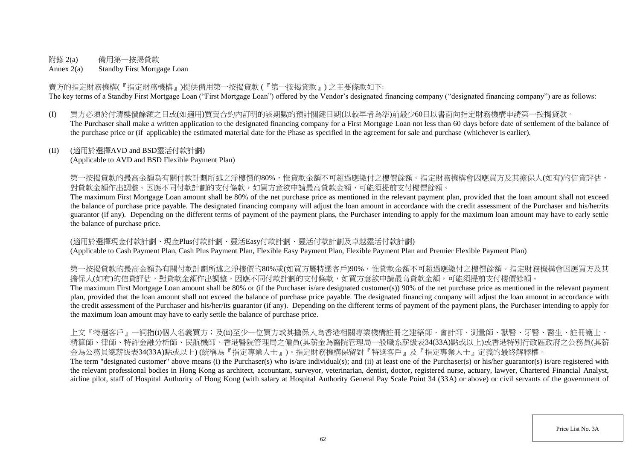# 附錄 2(a) 備用第一按揭貸款

Annex 2(a) Standby First Mortgage Loan

賣方的指定財務機構(『指定財務機構』)提供備用第一按揭貸款 (『第一按揭貸款』) 之主要條款如下: The key terms of a Standby First Mortgage Loan ("First Mortgage Loan") offered by the Vendor's designated financing company ("designated financing company") are as follows:

(I) 買方必須於付清樓價餘額之日或(如適用)買賣合約內訂明的該期數的預計關鍵日期(以較早者為準)前最少60日以書面向指定財務機構申請第一按揭貸款。 The Purchaser shall make a written application to the designated financing company for a First Mortgage Loan not less than 60 days before date of settlement of the balance of the purchase price or (if applicable) the estimated material date for the Phase as specified in the agreement for sale and purchase (whichever is earlier).

# (II) (適用於選擇AVD and BSD靈活付款計劃)

(Applicable to AVD and BSD Flexible Payment Plan)

第一按揭貸款的最高金額為有關付款計劃所述之淨樓價的80%,惟貸款金額不可超過應繳付之樓價餘額。指定財務機構會因應買方及其擔保人(如有)的信貸評估, 對貸款金額作出調整。因應不同付款計劃的支付條款,如買方意欲申請最高貸款金額,可能須提前支付樓價餘額。

The maximum First Mortgage Loan amount shall be 80% of the net purchase price as mentioned in the relevant payment plan, provided that the loan amount shall not exceed the balance of purchase price payable. The designated financing company will adjust the loan amount in accordance with the credit assessment of the Purchaser and his/her/its guarantor (if any). Depending on the different terms of payment of the payment plans, the Purchaser intending to apply for the maximum loan amount may have to early settle the balance of purchase price.

(適用於選擇現金付款計劃、現金Plus付款計劃、靈活Easy付款計劃、靈活付款計劃及卓越靈活付款計劃) (Applicable to Cash Payment Plan, Cash Plus Payment Plan, Flexible Easy Payment Plan, Flexible Payment Plan and Premier Flexible Payment Plan)

第一按揭貸款的最高金額為有關付款計劃所述之淨樓價的80%或(如買方屬特選客戶)90%,惟貸款金額不可超過應繳付之樓價餘額。指定財務機構會因應買方及其 擔保人(如有)的信貸評估,對貸款金額作出調整。因應不同付款計劃的支付條款,如買方意欲申請最高貸款金額,可能須提前支付樓價餘額。

The maximum First Mortgage Loan amount shall be 80% or (if the Purchaser is/are designated customer(s)) 90% of the net purchase price as mentioned in the relevant payment plan, provided that the loan amount shall not exceed the balance of purchase price payable. The designated financing company will adjust the loan amount in accordance with the credit assessment of the Purchaser and his/her/its guarantor (if any). Depending on the different terms of payment of the payment plans, the Purchaser intending to apply for the maximum loan amount may have to early settle the balance of purchase price.

上文『特選客戶』一詞指(i)個人名義買方;及(ii)至少一位買方或其擔保人為香港相關專業機構註冊之建築師、會計師、測量師、獸醫、牙醫、醫生、註冊護士、 精算師、律師、特許金融分析師、民航機師、香港醫院管理局之僱員(其薪金為醫院管理局一般職系薪級表34(33A)點或以上)或香港特別行政區政府之公務員(其薪 金為公務員總薪級表34(33A)點或以上) (統稱為『指定專業人士』)。指定財務機構保留對『特選客戶』及『指定專業人士』定義的最終解釋權。

The term "designated customer" above means (i) the Purchaser(s) who is/are individual(s); and (ii) at least one of the Purchaser(s) or his/her guarantor(s) is/are registered with the relevant professional bodies in Hong Kong as architect, accountant, surveyor, veterinarian, dentist, doctor, registered nurse, actuary, lawyer, Chartered Financial Analyst, airline pilot, staff of Hospital Authority of Hong Kong (with salary at Hospital Authority General Pay Scale Point 34 (33A) or above) or civil servants of the government of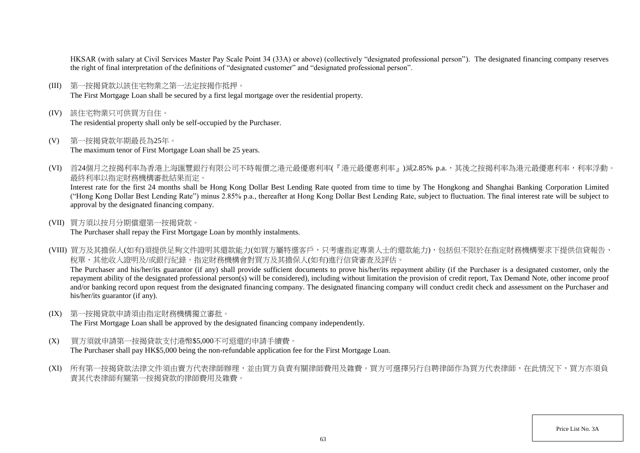HKSAR (with salary at Civil Services Master Pay Scale Point 34 (33A) or above) (collectively "designated professional person"). The designated financing company reserves the right of final interpretation of the definitions of "designated customer" and "designated professional person".

- (III) 第一按揭貸款以該住宅物業之第一法定按揭作抵押。 The First Mortgage Loan shall be secured by a first legal mortgage over the residential property.
- (IV) 該住宅物業只可供買方自住。 The residential property shall only be self-occupied by the Purchaser.
- (V) 第一按揭貸款年期最長為25年。 The maximum tenor of First Mortgage Loan shall be 25 years.
- (VI) 首24個月之按揭利率為香港上海匯豐銀行有限公司不時報價之港元最優惠利率(『港元最優惠利率』)減2.85% p.a.,其後之按揭利率為港元最優惠利率,利率浮動。 最終利率以指定財務機構審批結果而定。

Interest rate for the first 24 months shall be Hong Kong Dollar Best Lending Rate quoted from time to time by The Hongkong and Shanghai Banking Corporation Limited ("Hong Kong Dollar Best Lending Rate") minus 2.85% p.a., thereafter at Hong Kong Dollar Best Lending Rate, subject to fluctuation. The final interest rate will be subject to approval by the designated financing company.

(VII) 買方須以按月分期償還第一按揭貸款。

The Purchaser shall repay the First Mortgage Loan by monthly instalments.

(VIII) 買方及其擔保人(如有)須提供足夠文件證明其還款能力(如買方屬特選客戶,只考慮指定專業人士的還款能力),包括但不限於在指定財務機構要求下提供信貸報告、 稅單、其他收入證明及/或銀行紀錄。指定財務機構會對買方及其擔保人(如有)進行信貸審查及評估。 The Purchaser and his/her/its guarantor (if any) shall provide sufficient documents to prove his/her/its repayment ability (if the Purchaser is a designated customer, only the

repayment ability of the designated professional person(s) will be considered), including without limitation the provision of credit report, Tax Demand Note, other income proof and/or banking record upon request from the designated financing company. The designated financing company will conduct credit check and assessment on the Purchaser and his/her/its guarantor (if any).

(IX) 第一按揭貸款申請須由指定財務機構獨立審批。

The First Mortgage Loan shall be approved by the designated financing company independently.

- (X) 買方須就申請第一按揭貸款支付港幣\$5,000不可退還的申請手續費。 The Purchaser shall pay HK\$5,000 being the non-refundable application fee for the First Mortgage Loan.
- (XI) 所有第一按揭貸款法律文件須由賣方代表律師辦理,並由買方負責有關律師費用及雜費。買方可選擇另行自聘律師作為買方代表律師,在此情況下,買方亦須負 責其代表律師有關第一按揭貸款的律師費用及雜費。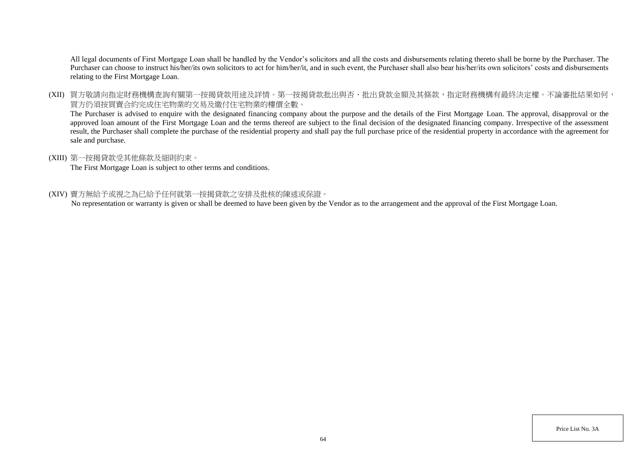All legal documents of First Mortgage Loan shall be handled by the Vendor's solicitors and all the costs and disbursements relating thereto shall be borne by the Purchaser. The Purchaser can choose to instruct his/her/its own solicitors to act for him/her/it, and in such event, the Purchaser shall also bear his/her/its own solicitors' costs and disbursements relating to the First Mortgage Loan.

(XII) 買方敬請向指定財務機構查詢有關第一按揭貸款用途及詳情。第一按揭貸款批出與否、批出貸款金額及其條款,指定財務機構有最終決定權。不論審批結果如何, 買方仍須按買賣合約完成住宅物業的交易及繳付住宅物業的樓價全數。

The Purchaser is advised to enquire with the designated financing company about the purpose and the details of the First Mortgage Loan. The approval, disapproval or the approved loan amount of the First Mortgage Loan and the terms thereof are subject to the final decision of the designated financing company. Irrespective of the assessment result, the Purchaser shall complete the purchase of the residential property and shall pay the full purchase price of the residential property in accordance with the agreement for sale and purchase.

## (XIII) 第一按揭貸款受其他條款及細則約束。

The First Mortgage Loan is subject to other terms and conditions.

### (XIV) 賣方無給予或視之為已給予任何就第一按揭貸款之安排及批核的陳述或保證。

No representation or warranty is given or shall be deemed to have been given by the Vendor as to the arrangement and the approval of the First Mortgage Loan.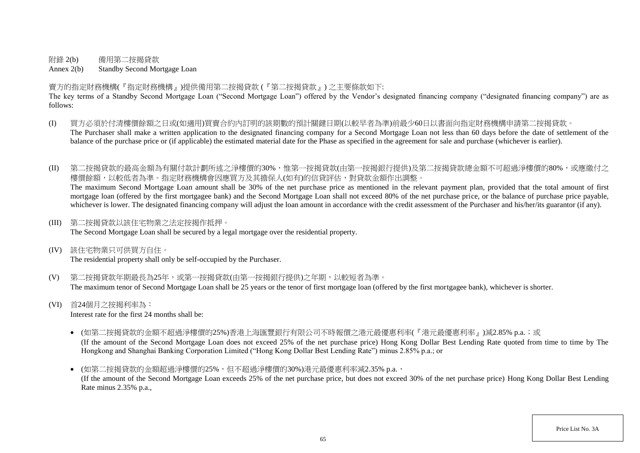附錄 2(b) 備用第二按揭貸款

Annex 2(b) Standby Second Mortgage Loan

賣方的指定財務機構(『指定財務機構』)提供備用第二按揭貸款 (『第二按揭貸款』) 之主要條款如下:

The key terms of a Standby Second Mortgage Loan ("Second Mortgage Loan") offered by the Vendor's designated financing company ("designated financing company") are as follows:

- (I) 買方必須於付清樓價餘額之日或(如適用)買賣合約內訂明的該期數的預計關鍵日期(以較早者為準)前最少60日以書面向指定財務機構申請第二按揭貸款。 The Purchaser shall make a written application to the designated financing company for a Second Mortgage Loan not less than 60 days before the date of settlement of the balance of the purchase price or (if applicable) the estimated material date for the Phase as specified in the agreement for sale and purchase (whichever is earlier).
- (II) 第二按揭貸款的最高金額為有關付款計劃所述之淨樓價的30%,惟第一按揭貸款(由第一按揭銀行提供)及第二按揭貸款總金額不可超過淨樓價的80%,或應繳付之 樓價餘額,以較低者為準。指定財務機構會因應買方及其擔保人(如有)的信貸評估,對貸款金額作出調整。 The maximum Second Mortgage Loan amount shall be 30% of the net purchase price as mentioned in the relevant payment plan, provided that the total amount of first

mortgage loan (offered by the first mortgagee bank) and the Second Mortgage Loan shall not exceed 80% of the net purchase price, or the balance of purchase price payable, whichever is lower. The designated financing company will adjust the loan amount in accordance with the credit assessment of the Purchaser and his/her/its guarantor (if any).

(III) 第二按揭貸款以該住宅物業之法定按揭作抵押。

The Second Mortgage Loan shall be secured by a legal mortgage over the residential property.

(IV) 該住宅物業只可供買方自住。

The residential property shall only be self-occupied by the Purchaser.

- (V) 第二按揭貸款年期最長為25年,或第一按揭貸款(由第一按揭銀行提供)之年期,以較短者為準。 The maximum tenor of Second Mortgage Loan shall be 25 years or the tenor of first mortgage loan (offered by the first mortgagee bank), whichever is shorter.
- (VI) 首24個月之按揭利率為:

Interest rate for the first 24 months shall be:

- (如第二按揭貸款的金額不超過淨樓價的25%)香港上海匯豐銀行有限公司不時報價之港元最優惠利率(『港元最優惠利率』)減2.85% p.a.;或 (If the amount of the Second Mortgage Loan does not exceed 25% of the net purchase price) Hong Kong Dollar Best Lending Rate quoted from time to time by The Hongkong and Shanghai Banking Corporation Limited ("Hong Kong Dollar Best Lending Rate") minus 2.85% p.a.; or
- (如第二按揭貸款的金額超過淨樓價的25%,但不超過淨樓價的30%)港元最優惠利率減2.35% p.a., (If the amount of the Second Mortgage Loan exceeds 25% of the net purchase price, but does not exceed 30% of the net purchase price) Hong Kong Dollar Best Lending Rate minus 2.35% p.a.,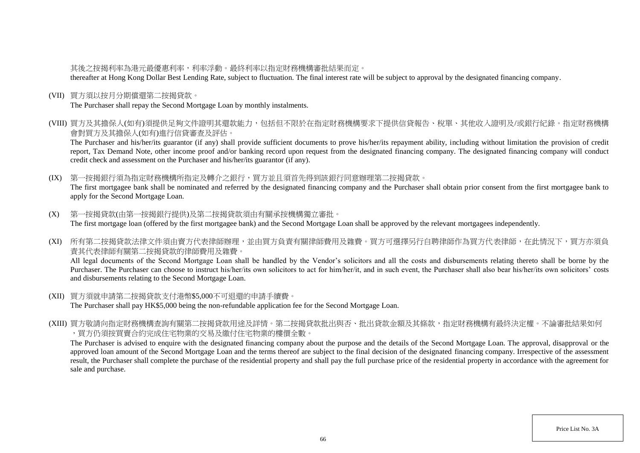# 其後之按揭利率為港元最優惠利率,利率浮動。最終利率以指定財務機構審批結果而定。

thereafter at Hong Kong Dollar Best Lending Rate, subject to fluctuation. The final interest rate will be subject to approval by the designated financing company.

(VII) 買方須以按月分期償還第二按揭貸款。

The Purchaser shall repay the Second Mortgage Loan by monthly instalments.

(VIII) 買方及其擔保人(如有)須提供足夠文件證明其還款能力,包括但不限於在指定財務機構要求下提供信貸報告、稅單、其他收入證明及/或銀行紀錄。指定財務機構 會對買方及其擔保人(如有)進行信貸審查及評估。

The Purchaser and his/her/its guarantor (if any) shall provide sufficient documents to prove his/her/its repayment ability, including without limitation the provision of credit report, Tax Demand Note, other income proof and/or banking record upon request from the designated financing company. The designated financing company will conduct credit check and assessment on the Purchaser and his/her/its guarantor (if any).

(IX) 第一按揭銀行須為指定財務機構所指定及轉介之銀行,買方並且須首先得到該銀行同意辦理第二按揭貸款。 The first mortgagee bank shall be nominated and referred by the designated financing company and the Purchaser shall obtain prior consent from the first mortgagee bank to apply for the Second Mortgage Loan.

- (X) 第一按揭貸款(由第一按揭銀行提供)及第二按揭貸款須由有關承按機構獨立審批。 The first mortgage loan (offered by the first mortgagee bank) and the Second Mortgage Loan shall be approved by the relevant mortgagees independently.
- (XI) 所有第二按揭貸款法律文件須由賣方代表律師辦理,並由買方負責有關律師費用及雜費。買方可選擇另行自聘律師作為買方代表律師,在此情況下,買方亦須負 責其代表律師有關第二按揭貸款的律師費用及雜費。

All legal documents of the Second Mortgage Loan shall be handled by the Vendor's solicitors and all the costs and disbursements relating thereto shall be borne by the Purchaser. The Purchaser can choose to instruct his/her/its own solicitors to act for him/her/it, and in such event, the Purchaser shall also bear his/her/its own solicitors' costs and disbursements relating to the Second Mortgage Loan.

- (XII) 買方須就申請第二按揭貸款支付港幣\$5,000不可退還的申請手續費。 The Purchaser shall pay HK\$5,000 being the non-refundable application fee for the Second Mortgage Loan.
- (XIII) 買方敬請向指定財務機構查詢有關第二按揭貸款用途及詳情。第二按揭貸款批出與否、批出貸款金額及其條款,指定財務機構有最終決定權。不論審批結果如何 ,買方仍須按買賣合約完成住宅物業的交易及繳付住宅物業的樓價全數。

The Purchaser is advised to enquire with the designated financing company about the purpose and the details of the Second Mortgage Loan. The approval, disapproval or the approved loan amount of the Second Mortgage Loan and the terms thereof are subject to the final decision of the designated financing company. Irrespective of the assessment result, the Purchaser shall complete the purchase of the residential property and shall pay the full purchase price of the residential property in accordance with the agreement for sale and purchase.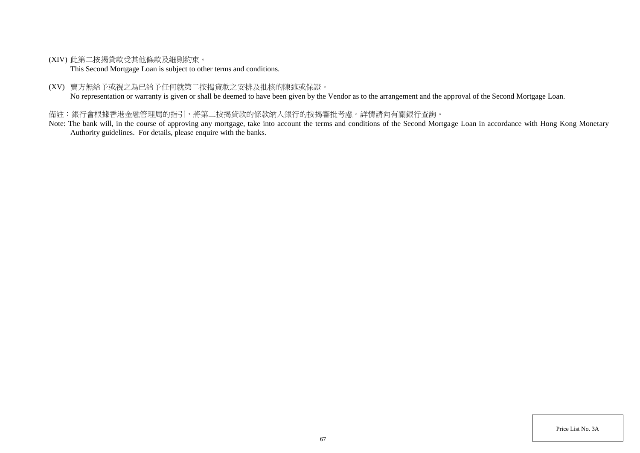(XIV) 此第二按揭貸款受其他條款及細則約束。

This Second Mortgage Loan is subject to other terms and conditions.

(XV) 賣方無給予或視之為已給予任何就第二按揭貸款之安排及批核的陳述或保證。

No representation or warranty is given or shall be deemed to have been given by the Vendor as to the arrangement and the approval of the Second Mortgage Loan.

# 備註:銀行會根據香港金融管理局的指引,將第二按揭貸款的條款納入銀行的按揭審批考慮。詳情請向有關銀行查詢。

Note: The bank will, in the course of approving any mortgage, take into account the terms and conditions of the Second Mortgage Loan in accordance with Hong Kong Monetary Authority guidelines. For details, please enquire with the banks.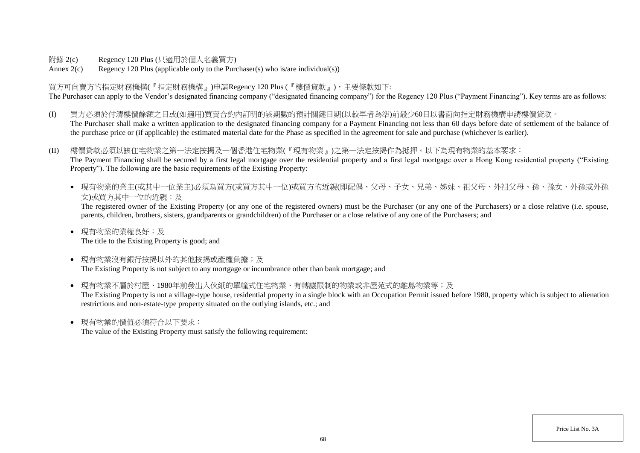附錄 2(c) Regency 120 Plus (只適用於個人名義買方)

Annex  $2(c)$  Regency 120 Plus (applicable only to the Purchaser(s) who is/are individual(s))

買方可向賣方的指定財務機構(『指定財務機構』)申請Regency 120 Plus (『樓價貸款』),主要條款如下: The Purchaser can apply to the Vendor's designated financing company ("designated financing company") for the Regency 120 Plus ("Payment Financing"). Key terms are as follows:

- (I) 買方必須於付清樓價餘額之日或(如適用)買賣合約內訂明的該期數的預計關鍵日期(以較早者為準)前最少60日以書面向指定財務機構申請樓價貸款。 The Purchaser shall make a written application to the designated financing company for a Payment Financing not less than 60 days before date of settlement of the balance of the purchase price or (if applicable) the estimated material date for the Phase as specified in the agreement for sale and purchase (whichever is earlier).
- (II) 樓價貸款必須以該住宅物業之第一法定按揭及一個香港住宅物業(『現有物業』)之第一法定按揭作為抵押。以下為現有物業的基本要求: The Payment Financing shall be secured by a first legal mortgage over the residential property and a first legal mortgage over a Hong Kong residential property ("Existing Property"). The following are the basic requirements of the Existing Property:
	- 現有物業的業主(或其中一位業主)必須為買方(或買方其中一位)或買方的近親(即配偶、父母、子女、兄弟、姊妹、祖父母、外祖父母、孫、孫女、外孫或外孫 女)或買方其中一位的近親;及

The registered owner of the Existing Property (or any one of the registered owners) must be the Purchaser (or any one of the Purchasers) or a close relative (i.e. spouse, parents, children, brothers, sisters, grandparents or grandchildren) of the Purchaser or a close relative of any one of the Purchasers; and

- 現有物業的業權良好;及 The title to the Existing Property is good; and
- 現有物業沒有銀行按揭以外的其他按揭或產權負擔;及 The Existing Property is not subject to any mortgage or incumbrance other than bank mortgage; and
- 現有物業不屬於村屋、1980年前發出入伙紙的單幢式住宅物業、有轉讓限制的物業或非屋苑式的離島物業等;及 The Existing Property is not a village-type house, residential property in a single block with an Occupation Permit issued before 1980, property which is subject to alienation restrictions and non-estate-type property situated on the outlying islands, etc.; and
- 現有物業的價值必須符合以下要求:

The value of the Existing Property must satisfy the following requirement: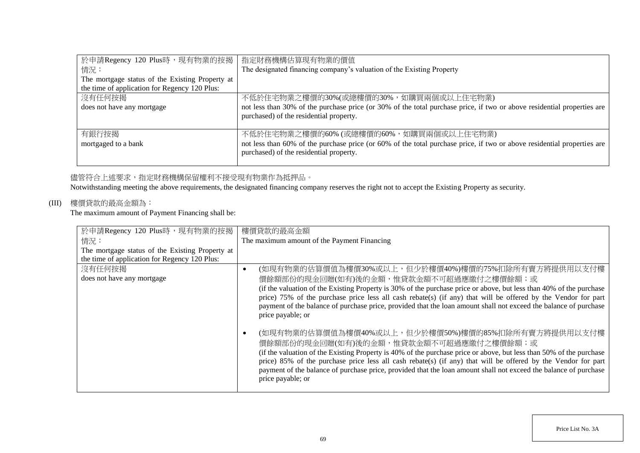| 於申請Regency 120 Plus時,現有物業的按揭                    | 指定財務機構估算現有物業的價值                                                                                                         |
|-------------------------------------------------|-------------------------------------------------------------------------------------------------------------------------|
| 情況:                                             | The designated financing company's valuation of the Existing Property                                                   |
| The mortgage status of the Existing Property at |                                                                                                                         |
| the time of application for Regency 120 Plus:   |                                                                                                                         |
| 沒有任何按揭                                          | 不低於住宅物業之樓價的30%(或總樓價的30%,如購買兩個或以上住宅物業)                                                                                   |
| does not have any mortgage                      | not less than 30% of the purchase price (or 30% of the total purchase price, if two or above residential properties are |
|                                                 | purchased) of the residential property.                                                                                 |
|                                                 |                                                                                                                         |
| 有銀行按揭                                           | 不低於住宅物業之樓價的60% (或總樓價的60%, 如購買兩個或以上住宅物業)                                                                                 |
| mortgaged to a bank                             | not less than 60% of the purchase price (or 60% of the total purchase price, if two or above residential properties are |
|                                                 | purchased) of the residential property.                                                                                 |
|                                                 |                                                                                                                         |

# 儘管符合上述要求,指定財務機構保留權利不接受現有物業作為抵押品。

Notwithstanding meeting the above requirements, the designated financing company reserves the right not to accept the Existing Property as security.

# (III) 樓價貸款的最高金額為:

The maximum amount of Payment Financing shall be:

| 於申請Regency 120 Plus時,現有物業的按揭                    | 樓價貸款的最高金額                                                                                                           |
|-------------------------------------------------|---------------------------------------------------------------------------------------------------------------------|
| 情況:                                             | The maximum amount of the Payment Financing                                                                         |
| The mortgage status of the Existing Property at |                                                                                                                     |
| the time of application for Regency 120 Plus:   |                                                                                                                     |
| 沒有任何按揭                                          | (如現有物業的估算價值為樓價30%或以上,但少於樓價40%)樓價的75%扣除所有賣方將提供用以支付樓<br>٠                                                             |
| does not have any mortgage                      | 價餘額部份的現金回贈(如有)後的金額,惟貸款金額不可超過應繳付之樓價餘額;或                                                                              |
|                                                 | (if the valuation of the Existing Property is 30% of the purchase price or above, but less than 40% of the purchase |
|                                                 | price) 75% of the purchase price less all cash rebate(s) (if any) that will be offered by the Vendor for part       |
|                                                 | payment of the balance of purchase price, provided that the loan amount shall not exceed the balance of purchase    |
|                                                 | price payable; or                                                                                                   |
|                                                 |                                                                                                                     |
|                                                 | (如現有物業的估算價值為樓價40%或以上,但少於樓價50%)樓價的85%扣除所有賣方將提供用以支付樓                                                                  |
|                                                 | 價餘額部份的現金回贈(如有)後的金額,惟貸款金額不可超過應繳付之樓價餘額;或                                                                              |
|                                                 | (if the valuation of the Existing Property is 40% of the purchase price or above, but less than 50% of the purchase |
|                                                 | price) 85% of the purchase price less all cash rebate(s) (if any) that will be offered by the Vendor for part       |
|                                                 | payment of the balance of purchase price, provided that the loan amount shall not exceed the balance of purchase    |
|                                                 | price payable; or                                                                                                   |
|                                                 |                                                                                                                     |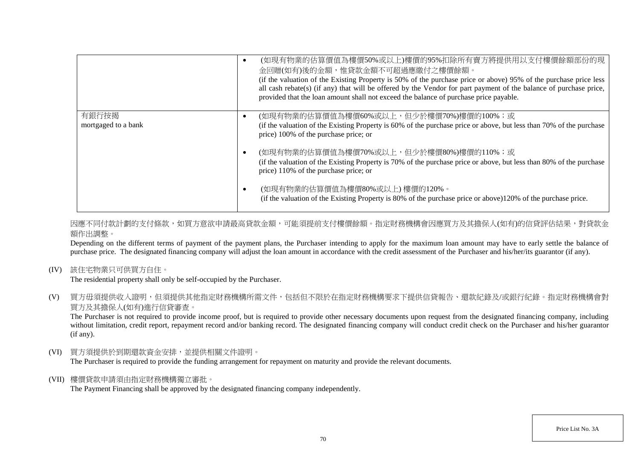|                     | (如現有物業的估算價值為樓價50%或以上)樓價的95%扣除所有賣方將提供用以支付樓價餘額部份的現<br>金回贈(如有)後的金額,惟貸款金額不可超過應繳付之樓價餘額。<br>(if the valuation of the Existing Property is 50% of the purchase price or above) 95% of the purchase price less<br>all cash rebate(s) (if any) that will be offered by the Vendor for part payment of the balance of purchase price,<br>provided that the loan amount shall not exceed the balance of purchase price payable. |
|---------------------|----------------------------------------------------------------------------------------------------------------------------------------------------------------------------------------------------------------------------------------------------------------------------------------------------------------------------------------------------------------------------------------------------------------------|
| 有銀行按揭               | (如現有物業的估算價值為樓價60%或以上,但少於樓價70%)樓價的100%;或                                                                                                                                                                                                                                                                                                                                                                              |
| mortgaged to a bank | (if the valuation of the Existing Property is 60% of the purchase price or above, but less than 70% of the purchase<br>price) 100% of the purchase price; or                                                                                                                                                                                                                                                         |
|                     | (如現有物業的估算價值為樓價70%或以上,但少於樓價80%)樓價的110%;或                                                                                                                                                                                                                                                                                                                                                                              |
|                     | (if the valuation of the Existing Property is 70% of the purchase price or above, but less than 80% of the purchase<br>price) 110% of the purchase price; or                                                                                                                                                                                                                                                         |
|                     | (如現有物業的估算價值為樓價80%或以上)樓價的120%。<br>(if the valuation of the Existing Property is 80% of the purchase price or above)120% of the purchase price.                                                                                                                                                                                                                                                                        |

因應不同付款計劃的支付條款,如買方意欲申請最高貸款金額,可能須提前支付樓價餘額。指定財務機構會因應買方及其擔保人(如有)的信貸評估結果,對貸款金 額作出調整。

Depending on the different terms of payment of the payment plans, the Purchaser intending to apply for the maximum loan amount may have to early settle the balance of purchase price. The designated financing company will adjust the loan amount in accordance with the credit assessment of the Purchaser and his/her/its guarantor (if any).

(IV) 該住宅物業只可供買方自住。

The residential property shall only be self-occupied by the Purchaser.

(V) 買方毋須提供收入證明,但須提供其他指定財務機構所需文件,包括但不限於在指定財務機構要求下提供信貸報告、還款紀錄及/或銀行紀錄。指定財務機構會對 買方及其擔保人(如有)進行信貸審查。

The Purchaser is not required to provide income proof, but is required to provide other necessary documents upon request from the designated financing company, including without limitation, credit report, repayment record and/or banking record. The designated financing company will conduct credit check on the Purchaser and his/her guarantor (if any).

(VI) 買方須提供於到期還款資金安排,並提供相關文件證明。

The Purchaser is required to provide the funding arrangement for repayment on maturity and provide the relevant documents.

(VII) 樓價貸款申請須由指定財務機構獨立審批。

The Payment Financing shall be approved by the designated financing company independently.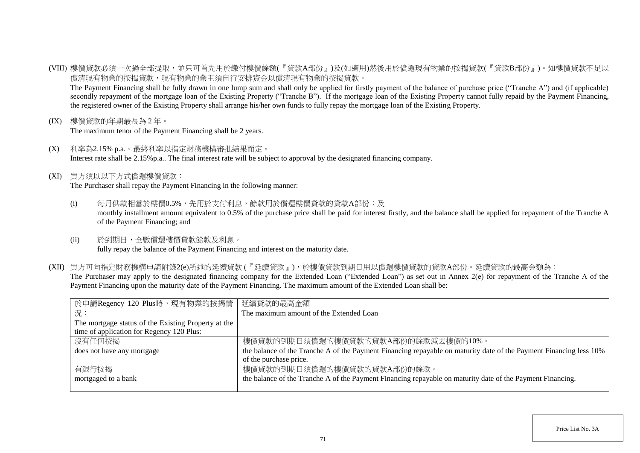(VIII) 樓價貸款必須一次過全部提取,並只可首先用於繳付樓價餘額(『貸款A部份』)及(如適用)然後用於償還現有物業的按揭貸款(『貸款B部份』)。如樓價貸款不足以 償清現有物業的按揭貸款,現有物業的業主須自行安排資金以償清現有物業的按揭貸款。

The Payment Financing shall be fully drawn in one lump sum and shall only be applied for firstly payment of the balance of purchase price ("Tranche A") and (if applicable) secondly repayment of the mortgage loan of the Existing Property ("Tranche B"). If the mortgage loan of the Existing Property cannot fully repaid by the Payment Financing, the registered owner of the Existing Property shall arrange his/her own funds to fully repay the mortgage loan of the Existing Property.

(IX) 樓價貸款的年期最長為 2 年。

The maximum tenor of the Payment Financing shall be 2 years.

- (X) 利率為2.15% p.a.。最終利率以指定財務機構審批結果而定。 Interest rate shall be 2.15%p.a.. The final interest rate will be subject to approval by the designated financing company.
- (XI) 買方須以以下方式償還樓價貸款:

The Purchaser shall repay the Payment Financing in the following manner:

- (i) 每月供款相當於樓價0.5%,先用於支付利息,餘款用於償還樓價貸款的貸款A部份;及 monthly installment amount equivalent to 0.5% of the purchase price shall be paid for interest firstly, and the balance shall be applied for repayment of the Tranche A of the Payment Financing; and
- (ii) 於到期日,全數償還樓價貸款餘款及利息。 fully repay the balance of the Payment Financing and interest on the maturity date.
- (XII) 買方可向指定財務機構申請附錄2(e)所述的延續貸款 (『延續貸款』),於樓價貸款到期日用以償還樓價貸款的貸款A部份。延續貸款的最高金額為: The Purchaser may apply to the designated financing company for the Extended Loan ("Extended Loan") as set out in Annex 2(e) for repayment of the Tranche A of the Payment Financing upon the maturity date of the Payment Financing. The maximum amount of the Extended Loan shall be:

| 於申請Regency 120 Plus時,現有物業的按揭情                       | 延續貸款的最高金額                                                                                                          |
|-----------------------------------------------------|--------------------------------------------------------------------------------------------------------------------|
| 況:                                                  | The maximum amount of the Extended Loan                                                                            |
| The mortgage status of the Existing Property at the |                                                                                                                    |
| time of application for Regency 120 Plus:           |                                                                                                                    |
| 沒有任何按揭                                              | 樓價貸款的到期日須償還的樓價貸款的貸款A部份的餘款減去樓價的10%。                                                                                 |
| does not have any mortgage                          | the balance of the Tranche A of the Payment Financing repayable on maturity date of the Payment Financing less 10% |
|                                                     | of the purchase price.                                                                                             |
| 有銀行按揭                                               | 樓價貸款的到期日須償還的樓價貸款的貸款A部份的餘款。                                                                                         |
| mortgaged to a bank                                 | the balance of the Tranche A of the Payment Financing repayable on maturity date of the Payment Financing.         |
|                                                     |                                                                                                                    |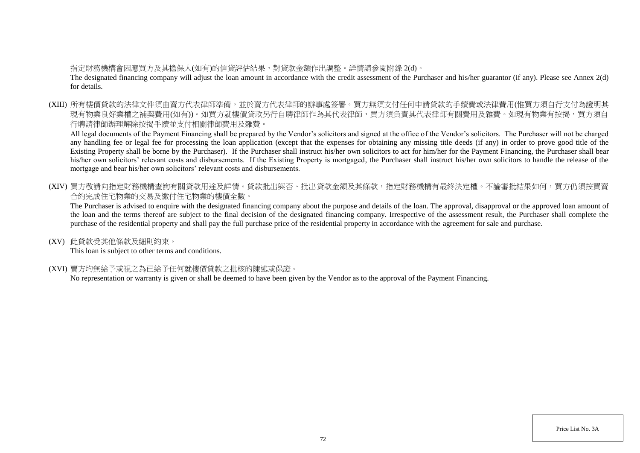# 指定財務機構會因應買方及其擔保人(如有)的信貸評估結果,對貸款金額作出調整。詳情請參閱附錄 2(d)。

The designated financing company will adjust the loan amount in accordance with the credit assessment of the Purchaser and his/her guarantor (if any). Please see Annex 2(d) for details.

(XIII) 所有樓價貸款的法律文件須由賣方代表律師準備,並於賣方代表律師的辦事處簽署。買方無須支付任何申請貸款的手續費或法律費用(惟買方須自行支付為證明其 現有物業良好業權之補契費用(如有))。如買方就樓價貸款另行自聘律師作為其代表律師,買方須負責其代表律師有關費用及雜費。如現有物業有按揭,買方須自 行聘請律師辦理解除按揭手續並支付相關律師費用及雜費。

All legal documents of the Payment Financing shall be prepared by the Vendor's solicitors and signed at the office of the Vendor's solicitors. The Purchaser will not be charged any handling fee or legal fee for processing the loan application (except that the expenses for obtaining any missing title deeds (if any) in order to prove good title of the Existing Property shall be borne by the Purchaser). If the Purchaser shall instruct his/her own solicitors to act for him/her for the Payment Financing, the Purchaser shall bear his/her own solicitors' relevant costs and disbursements. If the Existing Property is mortgaged, the Purchaser shall instruct his/her own solicitors to handle the release of the mortgage and bear his/her own solicitors' relevant costs and disbursements.

(XIV) 買方敬請向指定財務機構查詢有關貸款用途及詳情。貸款批出與否、批出貸款金額及其條款,指定財務機構有最終決定權。不論審批結果如何,買方仍須按買賣 合約完成住宅物業的交易及繳付住宅物業的樓價全數。

The Purchaser is advised to enquire with the designated financing company about the purpose and details of the loan. The approval, disapproval or the approved loan amount of the loan and the terms thereof are subject to the final decision of the designated financing company. Irrespective of the assessment result, the Purchaser shall complete the purchase of the residential property and shall pay the full purchase price of the residential property in accordance with the agreement for sale and purchase.

(XV) 此貸款受其他條款及細則約束。

This loan is subject to other terms and conditions.

(XVI) 賣方均無給予或視之為已給予任何就樓價貸款之批核的陳述或保證。

No representation or warranty is given or shall be deemed to have been given by the Vendor as to the approval of the Payment Financing.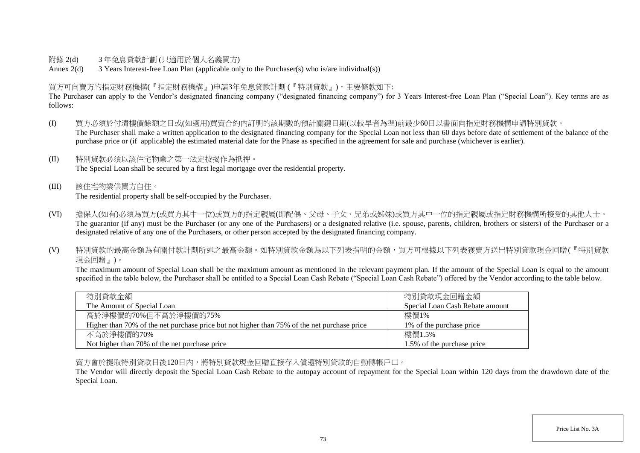## 附錄 2(d) 3 年免息貸款計劃 (只適用於個人名義買方)

Annex 2(d) 3 Years Interest-free Loan Plan (applicable only to the Purchaser(s) who is/are individual(s))

## 買方可向賣方的指定財務機構(『指定財務機構』)申請3年免息貸款計劃 (『特別貸款』),主要條款如下:

The Purchaser can apply to the Vendor's designated financing company ("designated financing company") for 3 Years Interest-free Loan Plan ("Special Loan"). Key terms are as follows:

- (I) 買方必須於付清樓價餘額之日或(如適用)買賣合約內訂明的該期數的預計關鍵日期(以較早者為準)前最少60日以書面向指定財務機構申請特別貸款。 The Purchaser shall make a written application to the designated financing company for the Special Loan not less than 60 days before date of settlement of the balance of the purchase price or (if applicable) the estimated material date for the Phase as specified in the agreement for sale and purchase (whichever is earlier).
- (II) 特別貸款必須以該住宅物業之第一法定按揭作為抵押。 The Special Loan shall be secured by a first legal mortgage over the residential property.
- (III) 該住宅物業供買方自住。 The residential property shall be self-occupied by the Purchaser.
- (VI) 擔保人(如有)必須為買方(或買方其中一位)或買方的指定親屬(即配偶、父母、子女、兄弟或姊妹)或買方其中一位的指定親屬或指定財務機構所接受的其他人士。 The guarantor (if any) must be the Purchaser (or any one of the Purchasers) or a designated relative (i.e. spouse, parents, children, brothers or sisters) of the Purchaser or a designated relative of any one of the Purchasers, or other person accepted by the designated financing company.
- (V) 特別貸款的最高金額為有關付款計劃所述之最高金額。如特別貸款金額為以下列表指明的金額,買方可根據以下列表獲賣方送出特別貸款現金回贈(『特別貸款 現金回贈』)。

The maximum amount of Special Loan shall be the maximum amount as mentioned in the relevant payment plan. If the amount of the Special Loan is equal to the amount specified in the table below, the Purchaser shall be entitled to a Special Loan Cash Rebate ("Special Loan Cash Rebate") offered by the Vendor according to the table below.

| 特別貸款金額                                                                                      | 特別貸款現金回贈金額                      |
|---------------------------------------------------------------------------------------------|---------------------------------|
| The Amount of Special Loan                                                                  | Special Loan Cash Rebate amount |
| 高於淨樓價的70%但不高於淨樓價的75%                                                                        | 樓價1%                            |
| Higher than 70% of the net purchase price but not higher than 75% of the net purchase price | 1\% of the purchase price       |
| 不高於淨樓價的70%                                                                                  | 樓價1.5%                          |
| Not higher than 70% of the net purchase price                                               | 1.5% of the purchase price      |

賣方會於提取特別貸款日後120日內,將特別貸款現金回贈直接存入償還特別貸款的自動轉帳戶口。

The Vendor will directly deposit the Special Loan Cash Rebate to the autopay account of repayment for the Special Loan within 120 days from the drawdown date of the Special Loan.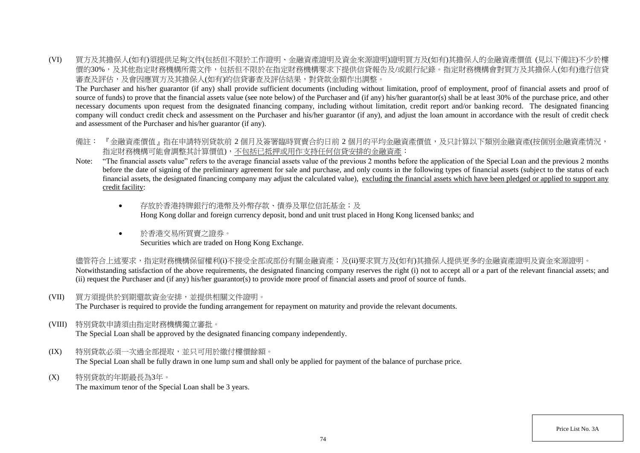(VI) 買方及其擔保人(如有)須提供足夠文件(包括但不限於工作證明、金融資產證明及資金來源證明)證明買方及(如有)其擔保人的金融資產價值 (見以下備註)不少於樓 價的30%,及其他指定財務機構所需文件,包括但不限於在指定財務機構要求下提供信貸報告及/或銀行紀錄。指定財務機構會對買方及其擔保人(如有)進行信貸 審查及評估,及會因應買方及其擔保人(如有)的信貸審查及評估結果,對貸款金額作出調整。

The Purchaser and his/her guarantor (if any) shall provide sufficient documents (including without limitation, proof of employment, proof of financial assets and proof of source of funds) to prove that the financial assets value (see note below) of the Purchaser and (if any) his/her guarantor(s) shall be at least 30% of the purchase price, and other necessary documents upon request from the designated financing company, including without limitation, credit report and/or banking record. The designated financing company will conduct credit check and assessment on the Purchaser and his/her guarantor (if any), and adjust the loan amount in accordance with the result of credit check and assessment of the Purchaser and his/her guarantor (if any).

- 備註: 『金融資產價值』指在申請特別貸款前 2 個月及簽署臨時買賣合約日前 2 個月的平均金融資產價值,及只計算以下類別金融資產(按個別金融資產情況, 指定財務機構可能會調整其計算價值),不包括已抵押或用作支持任何信貸安排的金融資產:
- Note: "The financial assets value" refers to the average financial assets value of the previous 2 months before the application of the Special Loan and the previous 2 months before the date of signing of the preliminary agreement for sale and purchase, and only counts in the following types of financial assets (subject to the status of each financial assets, the designated financing company may adjust the calculated value), excluding the financial assets which have been pledged or applied to support any credit facility:
	- 存放於香港特牌銀行的港幣及外幣存款、債券及單位信託基金;及 Hong Kong dollar and foreign currency deposit, bond and unit trust placed in Hong Kong licensed banks; and
	- 於香港交易所買賣之證券。 Securities which are traded on Hong Kong Exchange.

儘管符合上述要求,指定財務機構保留權利(i)不接受全部或部份有關金融資產;及(ii)要求買方及(如有)其擔保人提供更多的金融資產證明及資金來源證明。 Notwithstanding satisfaction of the above requirements, the designated financing company reserves the right (i) not to accept all or a part of the relevant financial assets; and (ii) request the Purchaser and (if any) his/her guarantor(s) to provide more proof of financial assets and proof of source of funds.

(VII) 買方須提供於到期還款資金安排,並提供相關文件證明。

The Purchaser is required to provide the funding arrangement for repayment on maturity and provide the relevant documents.

(VIII) 特別貸款申請須由指定財務機構獨立審批。

The Special Loan shall be approved by the designated financing company independently.

- (IX) 特別貸款必須一次過全部提取,並只可用於繳付樓價餘額。 The Special Loan shall be fully drawn in one lump sum and shall only be applied for payment of the balance of purchase price.
- (X) 特別貸款的年期最長為3年。

The maximum tenor of the Special Loan shall be 3 years.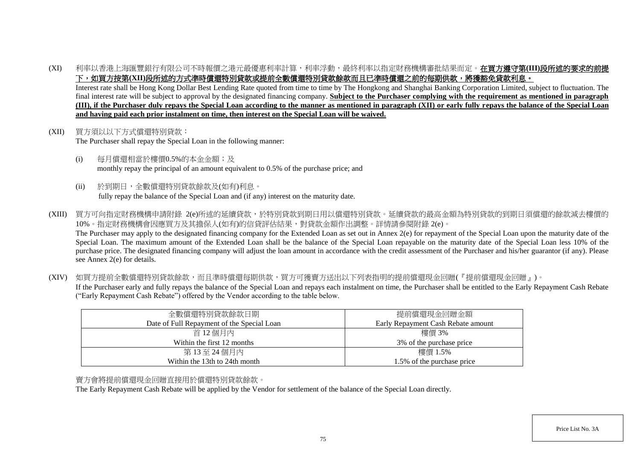(XI) 利率以香港上海匯豐銀行有限公司不時報價之港元最優惠利率計算,利率浮動,最終利率以指定財務機構審批結果而定。在買方遵守第**(III)**段所述的要求的前提 下,如買方按第(XII)段所述的方式準時償還特別貸款或提前全數償還特別貸款餘款而且已準時償還之前的每期供款,將獲豁免貸款利息。

Interest rate shall be Hong Kong Dollar Best Lending Rate quoted from time to time by The Hongkong and Shanghai Banking Corporation Limited, subject to fluctuation. The final interest rate will be subject to approval by the designated financing company. **Subject to the Purchaser complying with the requirement as mentioned in paragraph (III), if the Purchaser duly repays the Special Loan according to the manner as mentioned in paragraph (XII) or early fully repays the balance of the Special Loan and having paid each prior instalment on time, then interest on the Special Loan will be waived.**

- (XII) 買方須以以下方式償還特別貸款: The Purchaser shall repay the Special Loan in the following manner:
	- (i) 每月償還相當於樓價0.5%的本金金額;及 monthly repay the principal of an amount equivalent to 0.5% of the purchase price; and
	- (ii) 於到期日,全數償還特別貸款餘款及(如有)利息。 fully repay the balance of the Special Loan and (if any) interest on the maturity date.
- (XIII) 買方可向指定財務機構申請附錄 2(e)所述的延續貸款,於特別貸款到期日用以償還特別貸款。延續貸款的最高金額為特別貸款的到期日須償還的餘款減去樓價的 10%。指定財務機構會因應買方及其擔保人(如有)的信貸評估結果,對貸款金額作出調整。詳情請參閱附錄 2(e)。 The Purchaser may apply to the designated financing company for the Extended Loan as set out in Annex 2(e) for repayment of the Special Loan upon the maturity date of the Special Loan. The maximum amount of the Extended Loan shall be the balance of the Special Loan repayable on the maturity date of the Special Loan less 10% of the purchase price. The designated financing company will adjust the loan amount in accordance with the credit assessment of the Purchaser and his/her guarantor (if any). Please see Annex 2(e) for details.
- (XIV) 如買方提前全數償還特別貸款餘款,而且準時償還每期供款,買方可獲賣方送出以下列表指明的提前償還現金回贈(『提前償還現金回贈』)。 If the Purchaser early and fully repays the balance of the Special Loan and repays each instalment on time, the Purchaser shall be entitled to the Early Repayment Cash Rebate ("Early Repayment Cash Rebate") offered by the Vendor according to the table below.

| 全數償還特別貸款餘款日期                               | 提前償還現金回贈金額                         |
|--------------------------------------------|------------------------------------|
| Date of Full Repayment of the Special Loan | Early Repayment Cash Rebate amount |
| 首 12個月內                                    | 樓價 3%                              |
| Within the first 12 months                 | 3\% of the purchase price          |
| 第13至24個月內                                  | 樓價 1.5%                            |
| Within the 13th to 24th month              | 1.5% of the purchase price         |

## 賣方會將提前償還現金回贈直接用於償還特別貸款餘款。

The Early Repayment Cash Rebate will be applied by the Vendor for settlement of the balance of the Special Loan directly.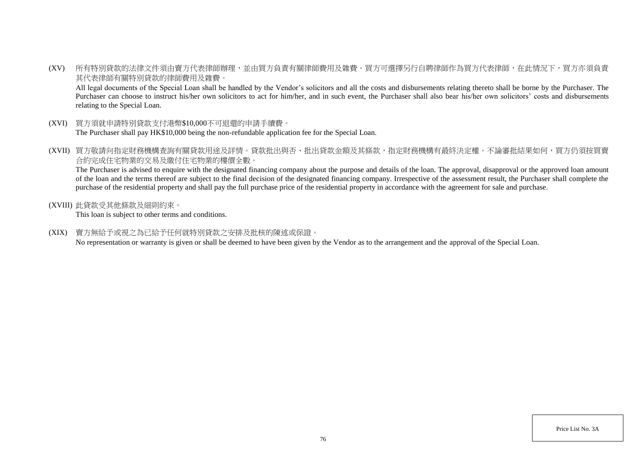(XV) 所有特別貸款的法律文件須由賣方代表律師辦理,並由買方負責有關律師費用及雜費。買方可選擇另行自聘律師作為買方代表律師,在此情況下,買方亦須負責 其代表律師有關特別貸款的律師費用及雜費。

All legal documents of the Special Loan shall be handled by the Vendor's solicitors and all the costs and disbursements relating thereto shall be borne by the Purchaser. The Purchaser can choose to instruct his/her own solicitors to act for him/her, and in such event, the Purchaser shall also bear his/her own solicitors' costs and disbursements relating to the Special Loan.

- (XVI) 買方須就申請特別貸款支付港幣\$10,000不可退還的申請手續費。 The Purchaser shall pay HK\$10,000 being the non-refundable application fee for the Special Loan.
- (XVII) 買方敬請向指定財務機構查詢有關貸款用途及詳情。貸款批出與否、批出貸款金額及其條款,指定財務機構有最終決定權。不論審批結果如何,買方仍須按買賣 合約完成住宅物業的交易及繳付住宅物業的樓價全數。

The Purchaser is advised to enquire with the designated financing company about the purpose and details of the loan. The approval, disapproval or the approved loan amount of the loan and the terms thereof are subject to the final decision of the designated financing company. Irrespective of the assessment result, the Purchaser shall complete the purchase of the residential property and shall pay the full purchase price of the residential property in accordance with the agreement for sale and purchase.

(XVIII) 此貸款受其他條款及細則約束。

This loan is subject to other terms and conditions.

(XIX) 賣方無給予或視之為已給予任何就特別貸款之安排及批核的陳述或保證。

No representation or warranty is given or shall be deemed to have been given by the Vendor as to the arrangement and the approval of the Special Loan.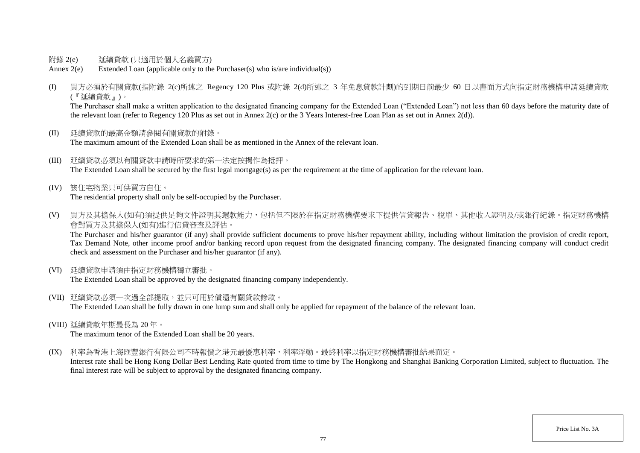- 附錄 2(e) 延續貸款 (只適用於個人名義買方)
- Annex 2(e) Extended Loan (applicable only to the Purchaser(s) who is/are individual(s))
- (I) 買方必須於有關貸款(指附錄 2(c)所述之 Regency 120 Plus 或附錄 2(d)所述之 3 年免息貸款計劃)的到期日前最少 60 日以書面方式向指定財務機構申請延續貸款 (『延續貸款』)。

The Purchaser shall make a written application to the designated financing company for the Extended Loan ("Extended Loan") not less than 60 days before the maturity date of the relevant loan (refer to Regency 120 Plus as set out in Annex 2(c) or the 3 Years Interest-free Loan Plan as set out in Annex 2(d)).

- (II) 延續貸款的最高金額請參閱有關貸款的附錄。 The maximum amount of the Extended Loan shall be as mentioned in the Annex of the relevant loan.
- (III) 延續貸款必須以有關貸款申請時所要求的第一法定按揭作為抵押。 The Extended Loan shall be secured by the first legal mortgage(s) as per the requirement at the time of application for the relevant loan.
- (IV) 該住宅物業只可供買方自住。 The residential property shall only be self-occupied by the Purchaser.
- (V) 買方及其擔保人(如有)須提供足夠文件證明其還款能力,包括但不限於在指定財務機構要求下提供信貸報告、稅單、其他收入證明及/或銀行紀錄。指定財務機構 會對買方及其擔保人(如有)進行信貸審查及評估。

The Purchaser and his/her guarantor (if any) shall provide sufficient documents to prove his/her repayment ability, including without limitation the provision of credit report, Tax Demand Note, other income proof and/or banking record upon request from the designated financing company. The designated financing company will conduct credit check and assessment on the Purchaser and his/her guarantor (if any).

(VI) 延續貸款申請須由指定財務機構獨立審批。

The Extended Loan shall be approved by the designated financing company independently.

- (VII) 延續貸款必須一次過全部提取,並只可用於償還有關貸款餘款。 The Extended Loan shall be fully drawn in one lump sum and shall only be applied for repayment of the balance of the relevant loan.
- (VIII) 延續貸款年期最長為 20 年。

The maximum tenor of the Extended Loan shall be 20 years.

(IX) 利率為香港上海匯豐銀行有限公司不時報價之港元最優惠利率,利率浮動。最終利率以指定財務機構審批結果而定。

Interest rate shall be Hong Kong Dollar Best Lending Rate quoted from time to time by The Hongkong and Shanghai Banking Corporation Limited, subject to fluctuation. The final interest rate will be subject to approval by the designated financing company.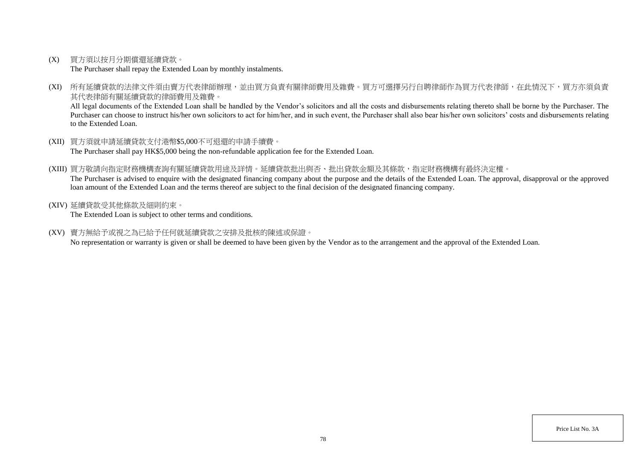(X) 買方須以按月分期償還延續貸款。

The Purchaser shall repay the Extended Loan by monthly instalments.

(XI) 所有延續貸款的法律文件須由賣方代表律師辦理,並由買方負責有關律師費用及雜費。買方可選擇另行自聘律師作為買方代表律師,在此情況下,買方亦須負責 其代表律師有關延續貸款的律師費用及雜費。

All legal documents of the Extended Loan shall be handled by the Vendor's solicitors and all the costs and disbursements relating thereto shall be borne by the Purchaser. The Purchaser can choose to instruct his/her own solicitors to act for him/her, and in such event, the Purchaser shall also bear his/her own solicitors' costs and disbursements relating to the Extended Loan.

- (XII) 買方須就申請延續貸款支付港幣\$5,000不可退還的申請手續費。 The Purchaser shall pay HK\$5,000 being the non-refundable application fee for the Extended Loan.
- (XIII) 買方敬請向指定財務機構查詢有關延續貸款用途及詳情。延續貸款批出與否、批出貸款金額及其條款,指定財務機構有最終決定權。 The Purchaser is advised to enquire with the designated financing company about the purpose and the details of the Extended Loan. The approval, disapproval or the approved loan amount of the Extended Loan and the terms thereof are subject to the final decision of the designated financing company.
- (XIV) 延續貸款受其他條款及細則約束。

The Extended Loan is subject to other terms and conditions.

(XV) 賣方無給予或視之為已給予任何就延續貸款之安排及批核的陳述或保證。

No representation or warranty is given or shall be deemed to have been given by the Vendor as to the arrangement and the approval of the Extended Loan.